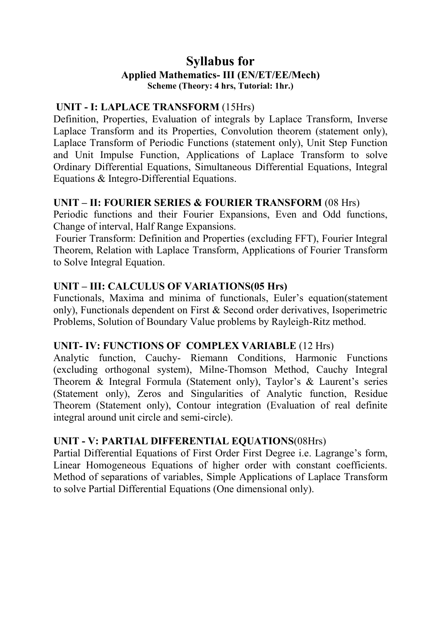# **Syllabus for Applied Mathematics- III (EN/ET/EE/Mech) Scheme (Theory: 4 hrs, Tutorial: 1hr.)**

# **UNIT - I: LAPLACE TRANSFORM** (15Hrs)

Definition, Properties, Evaluation of integrals by Laplace Transform, Inverse Laplace Transform and its Properties, Convolution theorem (statement only), Laplace Transform of Periodic Functions (statement only), Unit Step Function and Unit Impulse Function, Applications of Laplace Transform to solve Ordinary Differential Equations, Simultaneous Differential Equations, Integral Equations & Integro-Differential Equations.

# **UNIT – II: FOURIER SERIES & FOURIER TRANSFORM** (08 Hrs)

Periodic functions and their Fourier Expansions, Even and Odd functions, Change of interval, Half Range Expansions.

Fourier Transform: Definition and Properties (excluding FFT), Fourier Integral Theorem, Relation with Laplace Transform, Applications of Fourier Transform to Solve Integral Equation.

# **UNIT – III: CALCULUS OF VARIATIONS(05 Hrs)**

Functionals, Maxima and minima of functionals, Euler's equation(statement only), Functionals dependent on First & Second order derivatives, Isoperimetric Problems, Solution of Boundary Value problems by Rayleigh-Ritz method.

# **UNIT- IV: FUNCTIONS OF COMPLEX VARIABLE** (12 Hrs)

Analytic function, Cauchy- Riemann Conditions, Harmonic Functions (excluding orthogonal system), Milne-Thomson Method, Cauchy Integral Theorem & Integral Formula (Statement only), Taylor's & Laurent's series (Statement only), Zeros and Singularities of Analytic function, Residue Theorem (Statement only), Contour integration (Evaluation of real definite integral around unit circle and semi-circle).

# **UNIT - V: PARTIAL DIFFERENTIAL EQUATIONS**(08Hrs)

Partial Differential Equations of First Order First Degree i.e. Lagrange's form, Linear Homogeneous Equations of higher order with constant coefficients. Method of separations of variables, Simple Applications of Laplace Transform to solve Partial Differential Equations (One dimensional only).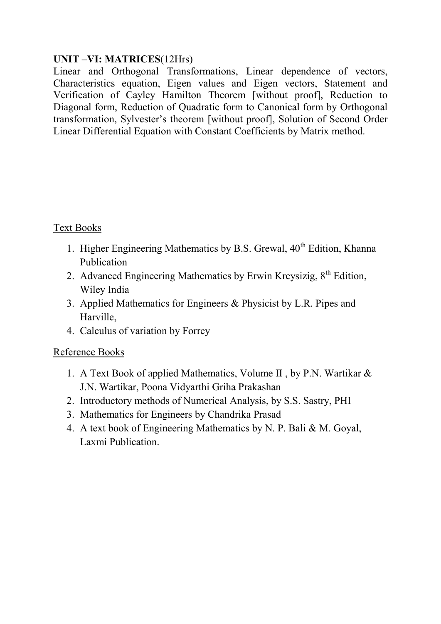# **UNIT –VI: MATRICES**(12Hrs)

Linear and Orthogonal Transformations, Linear dependence of vectors, Characteristics equation, Eigen values and Eigen vectors, Statement and Verification of Cayley Hamilton Theorem [without proof], Reduction to Diagonal form, Reduction of Quadratic form to Canonical form by Orthogonal transformation, Sylvester's theorem [without proof], Solution of Second Order Linear Differential Equation with Constant Coefficients by Matrix method.

# Text Books

- 1. Higher Engineering Mathematics by B.S. Grewal,  $40<sup>th</sup>$  Edition, Khanna Publication
- 2. Advanced Engineering Mathematics by Erwin Kreysizig,  $8<sup>th</sup>$  Edition, Wiley India
- 3. Applied Mathematics for Engineers & Physicist by L.R. Pipes and Harville,
- 4. Calculus of variation by Forrey

# Reference Books

- 1. A Text Book of applied Mathematics, Volume II , by P.N. Wartikar & J.N. Wartikar, Poona Vidyarthi Griha Prakashan
- 2. Introductory methods of Numerical Analysis, by S.S. Sastry, PHI
- 3. Mathematics for Engineers by Chandrika Prasad
- 4. A text book of Engineering Mathematics by N. P. Bali & M. Goyal, Laxmi Publication.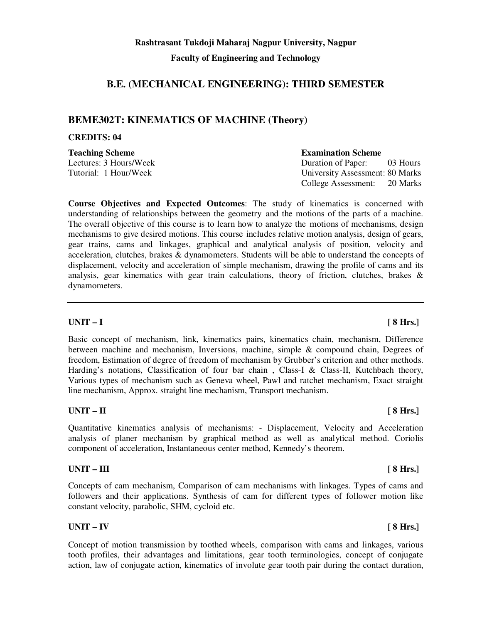# **B.E. (MECHANICAL ENGINEERING): THIRD SEMESTER**

# **BEME302T: KINEMATICS OF MACHINE (Theory)**

### **CREDITS: 04**

**Teaching Scheme Examination Scheme Examination Scheme** 

**Course Objectives and Expected Outcomes**: The study of kinematics is concerned with understanding of relationships between the geometry and the motions of the parts of a machine. The overall objective of this course is to learn how to analyze the motions of mechanisms, design mechanisms to give desired motions. This course includes relative motion analysis, design of gears, gear trains, cams and linkages, graphical and analytical analysis of position, velocity and acceleration, clutches, brakes & dynamometers. Students will be able to understand the concepts of displacement, velocity and acceleration of simple mechanism, drawing the profile of cams and its analysis, gear kinematics with gear train calculations, theory of friction, clutches, brakes & dynamometers.

### **UNIT – I [ 8 Hrs.]**

Basic concept of mechanism, link, kinematics pairs, kinematics chain, mechanism, Difference between machine and mechanism, Inversions, machine, simple & compound chain, Degrees of freedom, Estimation of degree of freedom of mechanism by Grubber's criterion and other methods. Harding's notations, Classification of four bar chain, Class-I & Class-II, Kutchbach theory, Various types of mechanism such as Geneva wheel, Pawl and ratchet mechanism, Exact straight line mechanism, Approx. straight line mechanism, Transport mechanism.

### **UNIT – II [ 8 Hrs.]**

Quantitative kinematics analysis of mechanisms: - Displacement, Velocity and Acceleration analysis of planer mechanism by graphical method as well as analytical method. Coriolis component of acceleration, Instantaneous center method, Kennedy's theorem.

### **UNIT – III** [ 8 Hrs.]

Concepts of cam mechanism, Comparison of cam mechanisms with linkages. Types of cams and followers and their applications. Synthesis of cam for different types of follower motion like constant velocity, parabolic, SHM, cycloid etc.

### **UNIT – IV [ 8 Hrs.]**

Concept of motion transmission by toothed wheels, comparison with cams and linkages, various tooth profiles, their advantages and limitations, gear tooth terminologies, concept of conjugate action, law of conjugate action, kinematics of involute gear tooth pair during the contact duration,

Lectures: 3 Hours/Week Duration of Paper: 03 Hours Tutorial: 1 Hour/Week University Assessment: 80 Marks College Assessment: 20 Marks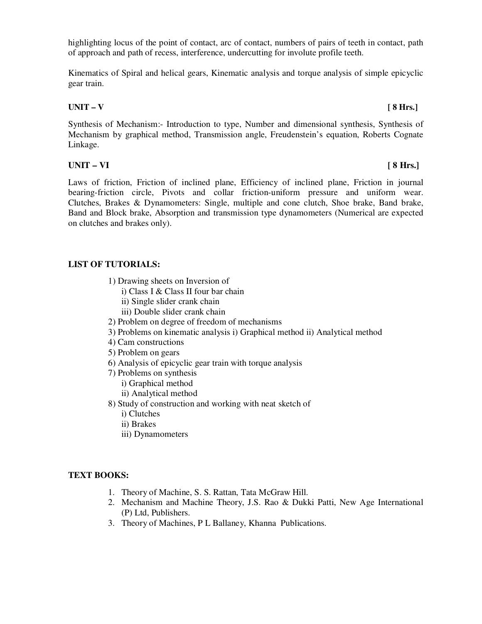highlighting locus of the point of contact, arc of contact, numbers of pairs of teeth in contact, path of approach and path of recess, interference, undercutting for involute profile teeth.

Kinematics of Spiral and helical gears, Kinematic analysis and torque analysis of simple epicyclic gear train.

#### **UNIT – V [ 8 Hrs.]**

Synthesis of Mechanism:- Introduction to type, Number and dimensional synthesis, Synthesis of Mechanism by graphical method, Transmission angle, Freudenstein's equation, Roberts Cognate Linkage.

### **UNIT – VI [ 8 Hrs.]**

Laws of friction, Friction of inclined plane, Efficiency of inclined plane, Friction in journal bearing-friction circle, Pivots and collar friction-uniform pressure and uniform wear. Clutches, Brakes & Dynamometers: Single, multiple and cone clutch, Shoe brake, Band brake, Band and Block brake, Absorption and transmission type dynamometers (Numerical are expected on clutches and brakes only).

### **LIST OF TUTORIALS:**

- 1) Drawing sheets on Inversion of
	- i) Class I & Class II four bar chain
	- ii) Single slider crank chain
	- iii) Double slider crank chain
- 2) Problem on degree of freedom of mechanisms
- 3) Problems on kinematic analysis i) Graphical method ii) Analytical method
- 4) Cam constructions
- 5) Problem on gears
- 6) Analysis of epicyclic gear train with torque analysis
- 7) Problems on synthesis
	- i) Graphical method
	- ii) Analytical method
- 8) Study of construction and working with neat sketch of
	- i) Clutches
	- ii) Brakes
	- iii) Dynamometers

### **TEXT BOOKS:**

- 1. Theory of Machine, S. S. Rattan, Tata McGraw Hill.
- 2. Mechanism and Machine Theory, J.S. Rao & Dukki Patti, New Age International (P) Ltd, Publishers.
- 3. Theory of Machines, P L Ballaney, Khanna Publications.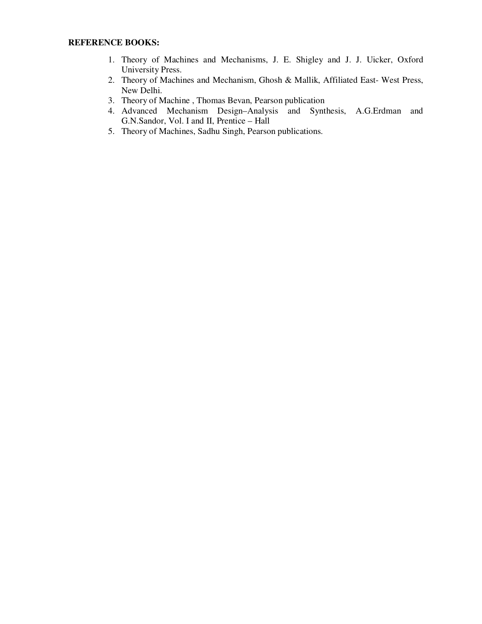- 1. Theory of Machines and Mechanisms, J. E. Shigley and J. J. Uicker, Oxford University Press.
- 2. Theory of Machines and Mechanism, Ghosh & Mallik, Affiliated East- West Press, New Delhi.
- 3. Theory of Machine , Thomas Bevan, Pearson publication
- 4. Advanced Mechanism Design–Analysis and Synthesis, A.G.Erdman and G.N.Sandor, Vol. I and II, Prentice – Hall
- 5. Theory of Machines, Sadhu Singh, Pearson publications.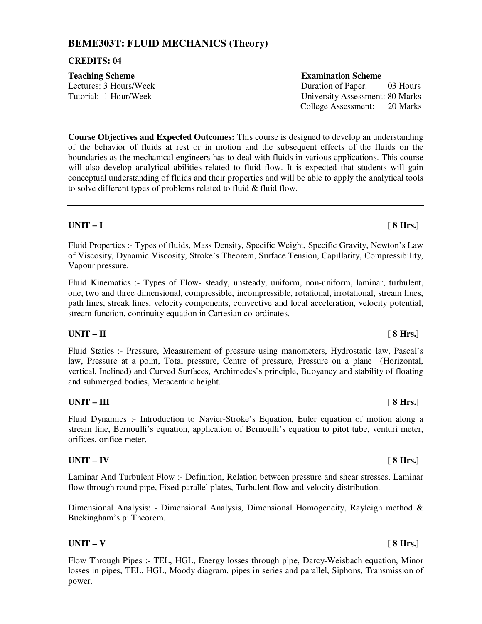# **BEME303T: FLUID MECHANICS (Theory)**

#### **CREDITS: 04**

# **Teaching Scheme Examination Scheme Examination Scheme**

**Course Objectives and Expected Outcomes:** This course is designed to develop an understanding of the behavior of fluids at rest or in motion and the subsequent effects of the fluids on the boundaries as the mechanical engineers has to deal with fluids in various applications. This course will also develop analytical abilities related to fluid flow. It is expected that students will gain conceptual understanding of fluids and their properties and will be able to apply the analytical tools to solve different types of problems related to fluid & fluid flow.

### **UNIT – I [ 8 Hrs.]**

Fluid Properties :- Types of fluids, Mass Density, Specific Weight, Specific Gravity, Newton's Law of Viscosity, Dynamic Viscosity, Stroke's Theorem, Surface Tension, Capillarity, Compressibility, Vapour pressure.

Fluid Kinematics :- Types of Flow- steady, unsteady, uniform, non-uniform, laminar, turbulent, one, two and three dimensional, compressible, incompressible, rotational, irrotational, stream lines, path lines, streak lines, velocity components, convective and local acceleration, velocity potential, stream function, continuity equation in Cartesian co-ordinates.

### **UNIT – II [ 8 Hrs.]**

Fluid Statics :- Pressure, Measurement of pressure using manometers, Hydrostatic law, Pascal's law, Pressure at a point, Total pressure, Centre of pressure, Pressure on a plane (Horizontal, vertical, Inclined) and Curved Surfaces, Archimedes's principle, Buoyancy and stability of floating and submerged bodies, Metacentric height.

### UNIT – III [ 8 Hrs.]

Fluid Dynamics :- Introduction to Navier-Stroke's Equation, Euler equation of motion along a stream line, Bernoulli's equation, application of Bernoulli's equation to pitot tube, venturi meter, orifices, orifice meter.

#### **UNIT – IV [ 8 Hrs.]**

Laminar And Turbulent Flow :- Definition, Relation between pressure and shear stresses, Laminar flow through round pipe, Fixed parallel plates, Turbulent flow and velocity distribution.

Dimensional Analysis: - Dimensional Analysis, Dimensional Homogeneity, Rayleigh method & Buckingham's pi Theorem.

### **UNIT – V [ 8 Hrs.]**

Flow Through Pipes :- TEL, HGL, Energy losses through pipe, Darcy-Weisbach equation, Minor losses in pipes, TEL, HGL, Moody diagram, pipes in series and parallel, Siphons, Transmission of power.

Lectures: 3 Hours/Week Duration of Paper: 03 Hours Tutorial: 1 Hour/Week University Assessment: 80 Marks College Assessment: 20 Marks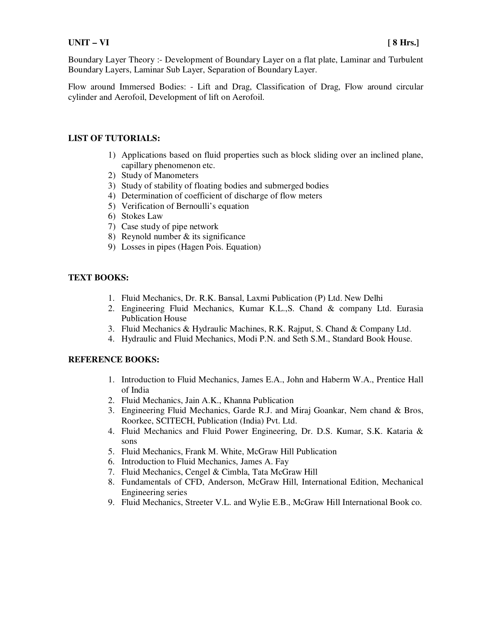Boundary Layer Theory :- Development of Boundary Layer on a flat plate, Laminar and Turbulent Boundary Layers, Laminar Sub Layer, Separation of Boundary Layer.

Flow around Immersed Bodies: - Lift and Drag, Classification of Drag, Flow around circular cylinder and Aerofoil, Development of lift on Aerofoil.

#### **LIST OF TUTORIALS:**

- 1) Applications based on fluid properties such as block sliding over an inclined plane, capillary phenomenon etc.
- 2) Study of Manometers
- 3) Study of stability of floating bodies and submerged bodies
- 4) Determination of coefficient of discharge of flow meters
- 5) Verification of Bernoulli's equation
- 6) Stokes Law
- 7) Case study of pipe network
- 8) Reynold number & its significance
- 9) Losses in pipes (Hagen Pois. Equation)

#### **TEXT BOOKS:**

- 1. Fluid Mechanics, Dr. R.K. Bansal, Laxmi Publication (P) Ltd. New Delhi
- 2. Engineering Fluid Mechanics, Kumar K.L.,S. Chand & company Ltd. Eurasia Publication House
- 3. Fluid Mechanics & Hydraulic Machines, R.K. Rajput, S. Chand & Company Ltd.
- 4. Hydraulic and Fluid Mechanics, Modi P.N. and Seth S.M., Standard Book House.

- 1. Introduction to Fluid Mechanics, James E.A., John and Haberm W.A., Prentice Hall of India
- 2. Fluid Mechanics, Jain A.K., Khanna Publication
- 3. Engineering Fluid Mechanics, Garde R.J. and Miraj Goankar, Nem chand & Bros, Roorkee, SCITECH, Publication (India) Pvt. Ltd.
- 4. Fluid Mechanics and Fluid Power Engineering, Dr. D.S. Kumar, S.K. Kataria & sons
- 5. Fluid Mechanics, Frank M. White, McGraw Hill Publication
- 6. Introduction to Fluid Mechanics, James A. Fay
- 7. Fluid Mechanics, Cengel & Cimbla, Tata McGraw Hill
- 8. Fundamentals of CFD, Anderson, McGraw Hill, International Edition, Mechanical Engineering series
- 9. Fluid Mechanics, Streeter V.L. and Wylie E.B., McGraw Hill International Book co.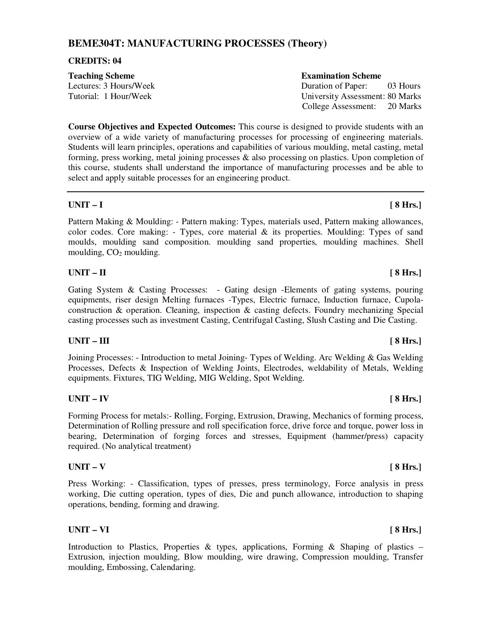### **BEME304T: MANUFACTURING PROCESSES (Theory)**

#### **CREDITS: 04**

| <b>Teaching Scheme</b> | <b>Examination Scheme</b>       |
|------------------------|---------------------------------|
| Lectures: 3 Hours/Week | Duration of Paper:<br>03 Hours  |
| Tutorial: 1 Hour/Week  | University Assessment: 80 Marks |
|                        | College Assessment: 20 Marks    |

**Course Objectives and Expected Outcomes:** This course is designed to provide students with an overview of a wide variety of manufacturing processes for processing of engineering materials. Students will learn principles, operations and capabilities of various moulding, metal casting, metal forming, press working, metal joining processes & also processing on plastics. Upon completion of this course, students shall understand the importance of manufacturing processes and be able to select and apply suitable processes for an engineering product.

### **UNIT – I [ 8 Hrs.]**

Pattern Making & Moulding: - Pattern making: Types, materials used, Pattern making allowances, color codes. Core making: - Types, core material  $\&$  its properties. Moulding: Types of sand moulds, moulding sand composition. moulding sand properties, moulding machines. Shell moulding,  $CO<sub>2</sub>$  moulding.

### **UNIT – II [ 8 Hrs.]**

Gating System & Casting Processes: - Gating design -Elements of gating systems, pouring equipments, riser design Melting furnaces -Types, Electric furnace, Induction furnace, Cupolaconstruction & operation. Cleaning, inspection & casting defects. Foundry mechanizing Special casting processes such as investment Casting, Centrifugal Casting, Slush Casting and Die Casting.

### UNIT – III [ 8 Hrs.]

Joining Processes: - Introduction to metal Joining- Types of Welding. Arc Welding & Gas Welding Processes, Defects & Inspection of Welding Joints, Electrodes, weldability of Metals, Welding equipments. Fixtures, TIG Welding, MIG Welding, Spot Welding.

### **UNIT – IV [ 8 Hrs.]**

Forming Process for metals:- Rolling, Forging, Extrusion, Drawing, Mechanics of forming process, Determination of Rolling pressure and roll specification force, drive force and torque, power loss in bearing, Determination of forging forces and stresses, Equipment (hammer/press) capacity required. (No analytical treatment)

#### **UNIT – V [ 8 Hrs.]**

Press Working: - Classification, types of presses, press terminology, Force analysis in press working, Die cutting operation, types of dies, Die and punch allowance, introduction to shaping operations, bending, forming and drawing.

### **UNIT – VI [ 8 Hrs.]**

Introduction to Plastics, Properties & types, applications, Forming & Shaping of plastics – Extrusion, injection moulding, Blow moulding, wire drawing, Compression moulding, Transfer moulding, Embossing, Calendaring.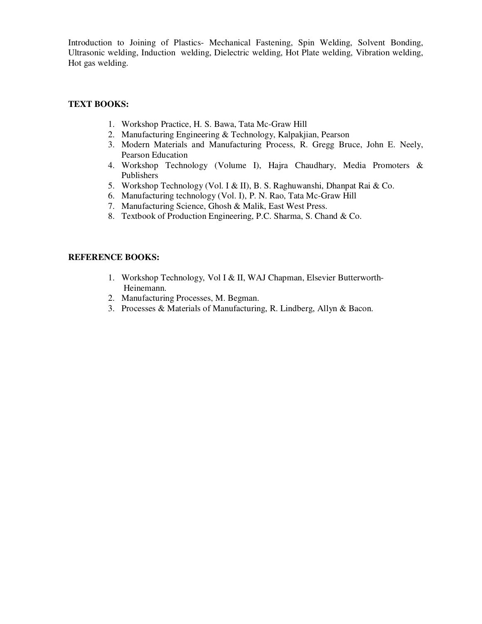Introduction to Joining of Plastics- Mechanical Fastening, Spin Welding, Solvent Bonding, Ultrasonic welding, Induction welding, Dielectric welding, Hot Plate welding, Vibration welding, Hot gas welding.

#### **TEXT BOOKS:**

- 1. Workshop Practice, H. S. Bawa, Tata Mc-Graw Hill
- 2. Manufacturing Engineering & Technology, Kalpakjian, Pearson
- 3. Modern Materials and Manufacturing Process, R. Gregg Bruce, John E. Neely, Pearson Education
- 4. Workshop Technology (Volume I), Hajra Chaudhary, Media Promoters & Publishers
- 5. Workshop Technology (Vol. I & II), B. S. Raghuwanshi, Dhanpat Rai & Co.
- 6. Manufacturing technology (Vol. I), P. N. Rao, Tata Mc-Graw Hill
- 7. Manufacturing Science, Ghosh & Malik, East West Press.
- 8. Textbook of Production Engineering, P.C. Sharma, S. Chand & Co.

- 1. Workshop Technology, Vol I & II, WAJ Chapman, Elsevier Butterworth- Heinemann.
- 2. Manufacturing Processes, M. Begman.
- 3. Processes & Materials of Manufacturing, R. Lindberg, Allyn & Bacon.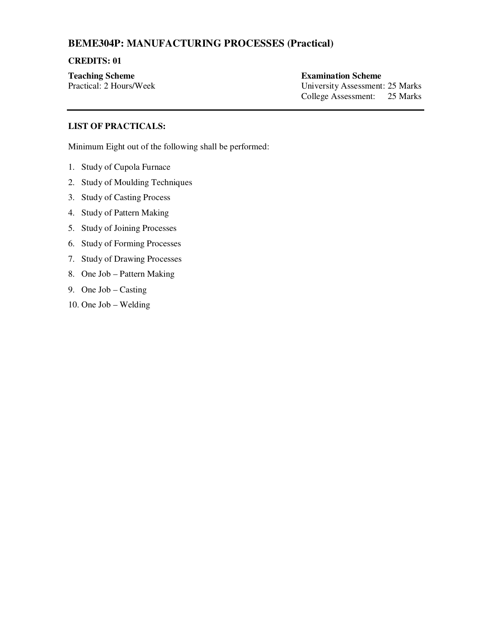### **BEME304P: MANUFACTURING PROCESSES (Practical)**

#### **CREDITS: 01**

**Teaching Scheme Examination Scheme** 

Practical: 2 Hours/Week University Assessment: 25 Marks College Assessment: 25 Marks

### **LIST OF PRACTICALS:**

Minimum Eight out of the following shall be performed:

- 1. Study of Cupola Furnace
- 2. Study of Moulding Techniques
- 3. Study of Casting Process
- 4. Study of Pattern Making
- 5. Study of Joining Processes
- 6. Study of Forming Processes
- 7. Study of Drawing Processes
- 8. One Job Pattern Making
- 9. One Job Casting
- 10. One Job Welding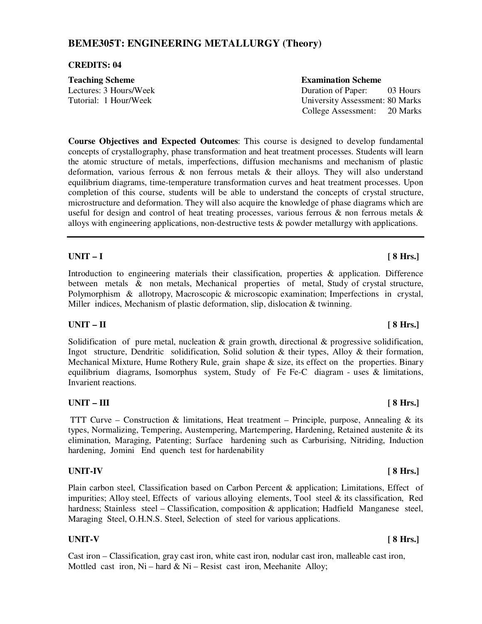### **BEME305T: ENGINEERING METALLURGY (Theory)**

#### **CREDITS: 04**

| <b>Teaching Scheme</b> | <b>Examination Scheme</b>       |
|------------------------|---------------------------------|
| Lectures: 3 Hours/Week | Duration of Paper:<br>03 Hours  |
| Tutorial: 1 Hour/Week  | University Assessment: 80 Marks |
|                        | College Assessment:<br>20 Marks |

**Course Objectives and Expected Outcomes**: This course is designed to develop fundamental concepts of crystallography, phase transformation and heat treatment processes. Students will learn the atomic structure of metals, imperfections, diffusion mechanisms and mechanism of plastic deformation, various ferrous  $\&$  non ferrous metals  $\&$  their alloys. They will also understand equilibrium diagrams, time-temperature transformation curves and heat treatment processes. Upon completion of this course, students will be able to understand the concepts of crystal structure, microstructure and deformation. They will also acquire the knowledge of phase diagrams which are useful for design and control of heat treating processes, various ferrous & non ferrous metals  $\&$ alloys with engineering applications, non-destructive tests & powder metallurgy with applications.

#### **UNIT – I [ 8 Hrs.]**

Introduction to engineering materials their classification, properties & application. Difference between metals & non metals, Mechanical properties of metal, Study of crystal structure, Polymorphism & allotropy, Macroscopic & microscopic examination; Imperfections in crystal, Miller indices, Mechanism of plastic deformation, slip, dislocation & twinning.

### **UNIT – II [ 8 Hrs.]**

Solidification of pure metal, nucleation  $\&$  grain growth, directional  $\&$  progressive solidification, Ingot structure, Dendritic solidification, Solid solution & their types, Alloy & their formation, Mechanical Mixture, Hume Rothery Rule, grain shape & size, its effect on the properties. Binary equilibrium diagrams, Isomorphus system, Study of Fe Fe-C diagram - uses & limitations, Invarient reactions.

#### UNIT – III [ 8 Hrs.]

TTT Curve – Construction & limitations, Heat treatment – Principle, purpose, Annealing & its types, Normalizing, Tempering, Austempering, Martempering, Hardening, Retained austenite & its elimination, Maraging, Patenting; Surface hardening such as Carburising, Nitriding, Induction hardening, Jomini End quench test for hardenability

Plain carbon steel, Classification based on Carbon Percent & application; Limitations, Effect of impurities; Alloy steel, Effects of various alloying elements, Tool steel & its classification, Red hardness; Stainless steel – Classification, composition & application; Hadfield Manganese steel, Maraging Steel, O.H.N.S. Steel, Selection of steel for various applications.

#### **UNIT-V [ 8 Hrs.]**

Cast iron – Classification, gray cast iron, white cast iron, nodular cast iron, malleable cast iron, Mottled cast iron,  $Ni$  – hard &  $Ni$  – Resist cast iron, Meehanite Alloy;

### **UNIT-IV [ 8 Hrs.]**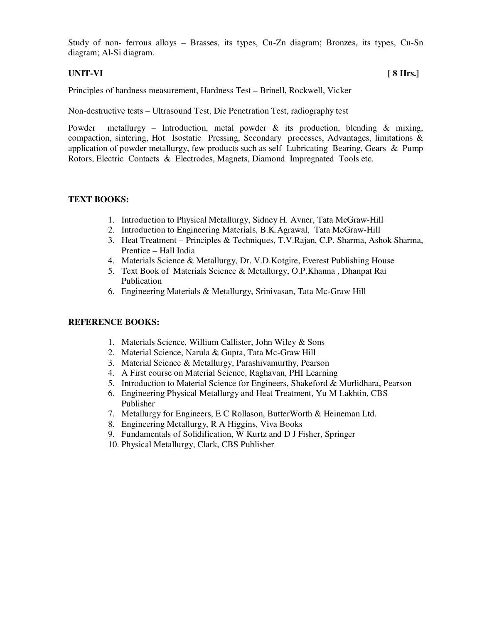Study of non- ferrous alloys – Brasses, its types, Cu-Zn diagram; Bronzes, its types, Cu-Sn diagram; Al-Si diagram.

### **UNIT-VI [ 8 Hrs.]**

Principles of hardness measurement, Hardness Test – Brinell, Rockwell, Vicker

Non-destructive tests – Ultrasound Test, Die Penetration Test, radiography test

Powder metallurgy – Introduction, metal powder & its production, blending & mixing, compaction, sintering, Hot Isostatic Pressing, Secondary processes, Advantages, limitations & application of powder metallurgy, few products such as self Lubricating Bearing, Gears & Pump Rotors, Electric Contacts & Electrodes, Magnets, Diamond Impregnated Tools etc.

#### **TEXT BOOKS:**

- 1. Introduction to Physical Metallurgy, Sidney H. Avner, Tata McGraw-Hill
- 2. Introduction to Engineering Materials, B.K.Agrawal, Tata McGraw-Hill
- 3. Heat Treatment Principles & Techniques, T.V.Rajan, C.P. Sharma, Ashok Sharma, Prentice – Hall India
- 4. Materials Science & Metallurgy, Dr. V.D.Kotgire, Everest Publishing House
- 5. Text Book of Materials Science & Metallurgy, O.P.Khanna , Dhanpat Rai Publication
- 6. Engineering Materials & Metallurgy, Srinivasan, Tata Mc-Graw Hill

- 1. Materials Science, Willium Callister, John Wiley & Sons
- 2. Material Science, Narula & Gupta, Tata Mc-Graw Hill
- 3. Material Science & Metallurgy, Parashivamurthy, Pearson
- 4. A First course on Material Science, Raghavan, PHI Learning
- 5. Introduction to Material Science for Engineers, Shakeford & Murlidhara, Pearson
- 6. Engineering Physical Metallurgy and Heat Treatment, Yu M Lakhtin, CBS Publisher
- 7. Metallurgy for Engineers, E C Rollason, ButterWorth & Heineman Ltd.
- 8. Engineering Metallurgy, R A Higgins, Viva Books
- 9. Fundamentals of Solidification, W Kurtz and D J Fisher, Springer
- 10. Physical Metallurgy, Clark, CBS Publisher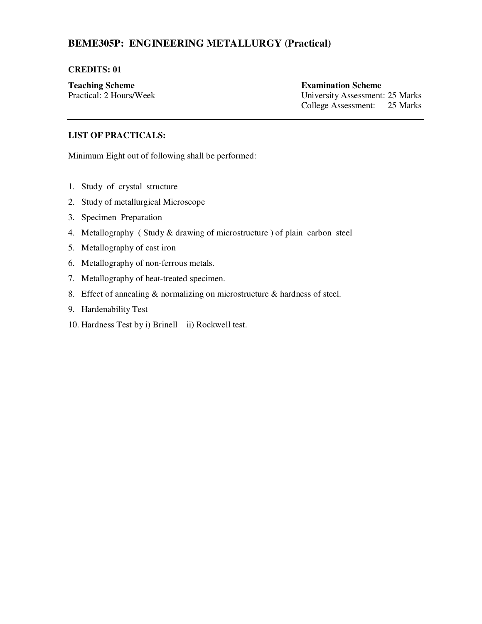# **BEME305P: ENGINEERING METALLURGY (Practical)**

#### **CREDITS: 01**

**Teaching Scheme**<br> **Practical:** 2 Hours/Week<br> **Examination Scheme**<br> **Examination Scheme**<br> **Examination Scheme** University Assessment: 25 Marks College Assessment: 25 Marks

#### **LIST OF PRACTICALS:**

Minimum Eight out of following shall be performed:

- 1. Study of crystal structure
- 2. Study of metallurgical Microscope
- 3. Specimen Preparation
- 4. Metallography ( Study & drawing of microstructure ) of plain carbon steel
- 5. Metallography of cast iron
- 6. Metallography of non-ferrous metals.
- 7. Metallography of heat-treated specimen.
- 8. Effect of annealing & normalizing on microstructure & hardness of steel.
- 9. Hardenability Test
- 10. Hardness Test by i) Brinell ii) Rockwell test.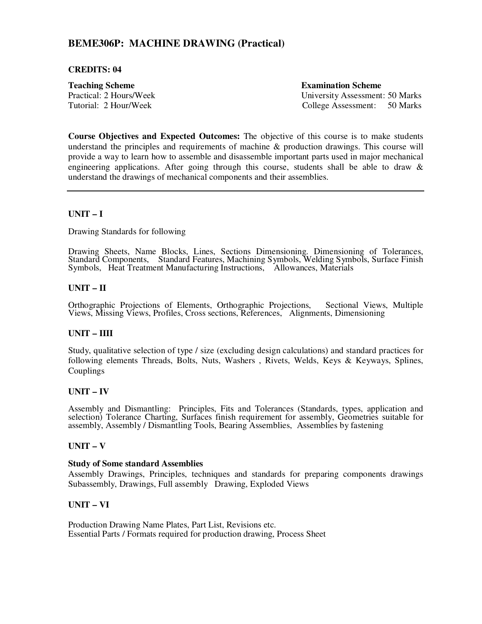### **BEME306P: MACHINE DRAWING (Practical)**

#### **CREDITS: 04**

**Teaching Scheme Examination Scheme** 

Practical: 2 Hours/Week University Assessment: 50 Marks Tutorial: 2 Hour/Week College Assessment: 50 Marks

**Course Objectives and Expected Outcomes:** The objective of this course is to make students understand the principles and requirements of machine & production drawings. This course will provide a way to learn how to assemble and disassemble important parts used in major mechanical engineering applications. After going through this course, students shall be able to draw  $\&$ understand the drawings of mechanical components and their assemblies.

#### **UNIT – I**

Drawing Standards for following

Drawing Sheets, Name Blocks, Lines, Sections Dimensioning. Dimensioning of Tolerances, Standard Components, Standard Features, Machining Symbols, Welding Symbols, Surface Finish Symbols, Heat Treatment Manufacturing Instructions, Allowances, Materials

#### **UNIT – II**

Orthographic Projections of Elements, Orthographic Projections, Sectional Views, Multiple Views, Missing Views, Profiles, Cross sections, References, Alignments, Dimensioning

#### **UNIT – IIII**

Study, qualitative selection of type / size (excluding design calculations) and standard practices for following elements Threads, Bolts, Nuts, Washers , Rivets, Welds, Keys & Keyways, Splines, Couplings

#### **UNIT – IV**

Assembly and Dismantling: Principles, Fits and Tolerances (Standards, types, application and selection) Tolerance Charting, Surfaces finish requirement for assembly, Geometries suitable for assembly, Assembly / Dismantling Tools, Bearing Assemblies, Assemblies by fastening

#### **UNIT – V**

#### **Study of Some standard Assemblies**

Assembly Drawings, Principles, techniques and standards for preparing components drawings Subassembly, Drawings, Full assembly Drawing, Exploded Views

#### **UNIT – VI**

Production Drawing Name Plates, Part List, Revisions etc. Essential Parts / Formats required for production drawing, Process Sheet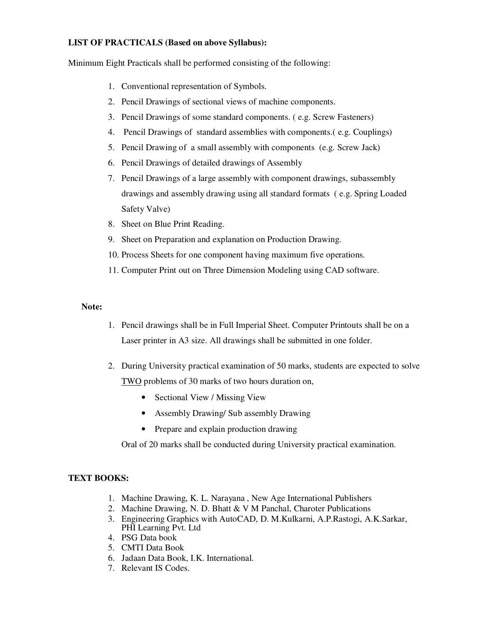#### **LIST OF PRACTICALS (Based on above Syllabus):**

Minimum Eight Practicals shall be performed consisting of the following:

- 1. Conventional representation of Symbols.
- 2. Pencil Drawings of sectional views of machine components.
- 3. Pencil Drawings of some standard components. ( e.g. Screw Fasteners)
- 4. Pencil Drawings of standard assemblies with components.( e.g. Couplings)
- 5. Pencil Drawing of a small assembly with components (e.g. Screw Jack)
- 6. Pencil Drawings of detailed drawings of Assembly
- 7. Pencil Drawings of a large assembly with component drawings, subassembly drawings and assembly drawing using all standard formats ( e.g. Spring Loaded Safety Valve)
- 8. Sheet on Blue Print Reading.
- 9. Sheet on Preparation and explanation on Production Drawing.
- 10. Process Sheets for one component having maximum five operations.
- 11. Computer Print out on Three Dimension Modeling using CAD software.

#### **Note:**

- 1. Pencil drawings shall be in Full Imperial Sheet. Computer Printouts shall be on a Laser printer in A3 size. All drawings shall be submitted in one folder.
- 2. During University practical examination of 50 marks, students are expected to solve TWO problems of 30 marks of two hours duration on,
	- Sectional View / Missing View
	- Assembly Drawing/ Sub assembly Drawing
	- Prepare and explain production drawing

Oral of 20 marks shall be conducted during University practical examination.

### **TEXT BOOKS:**

- 1. Machine Drawing, K. L. Narayana , New Age International Publishers
- 2. Machine Drawing, N. D. Bhatt & V M Panchal, Charoter Publications
- 3. Engineering Graphics with AutoCAD, D. M.Kulkarni, A.P.Rastogi, A.K.Sarkar, PHI Learning Pvt. Ltd
- 4. PSG Data book
- 5. CMTI Data Book
- 6. Jadaan Data Book, I.K. International.
- 7. Relevant IS Codes.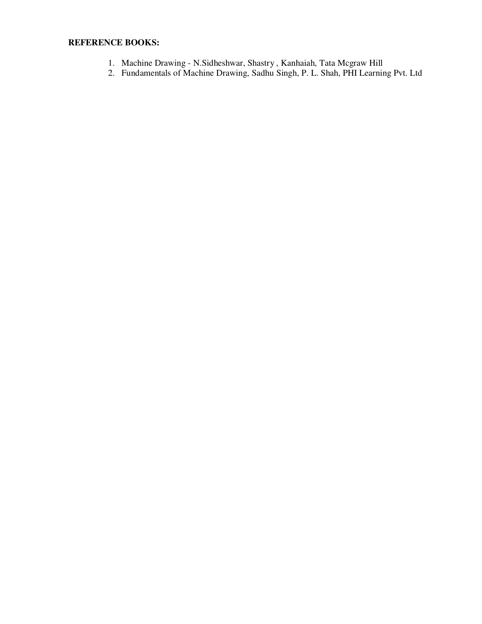- 1. Machine Drawing N.Sidheshwar, Shastry , Kanhaiah, Tata Mcgraw Hill
- 2. Fundamentals of Machine Drawing, Sadhu Singh, P. L. Shah, PHI Learning Pvt. Ltd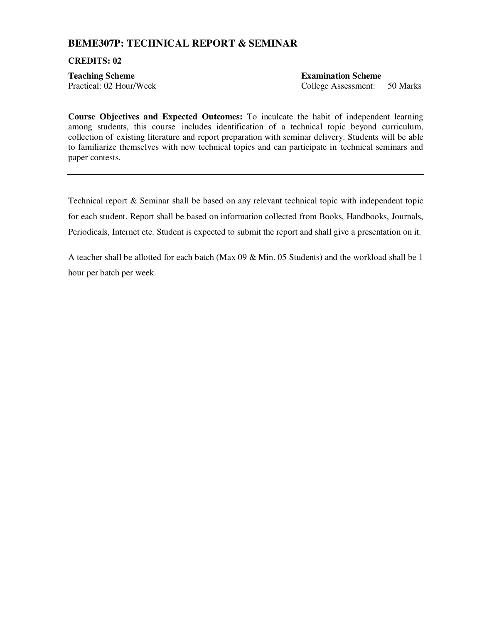### **BEME307P: TECHNICAL REPORT & SEMINAR**

#### **CREDITS: 02**

**Teaching Scheme Examination Scheme Examination Scheme** 

Practical: 02 Hour/Week College Assessment: 50 Marks

**Course Objectives and Expected Outcomes:** To inculcate the habit of independent learning among students, this course includes identification of a technical topic beyond curriculum, collection of existing literature and report preparation with seminar delivery. Students will be able to familiarize themselves with new technical topics and can participate in technical seminars and paper contests.

Technical report & Seminar shall be based on any relevant technical topic with independent topic for each student. Report shall be based on information collected from Books, Handbooks, Journals, Periodicals, Internet etc. Student is expected to submit the report and shall give a presentation on it.

A teacher shall be allotted for each batch (Max 09 & Min. 05 Students) and the workload shall be 1 hour per batch per week.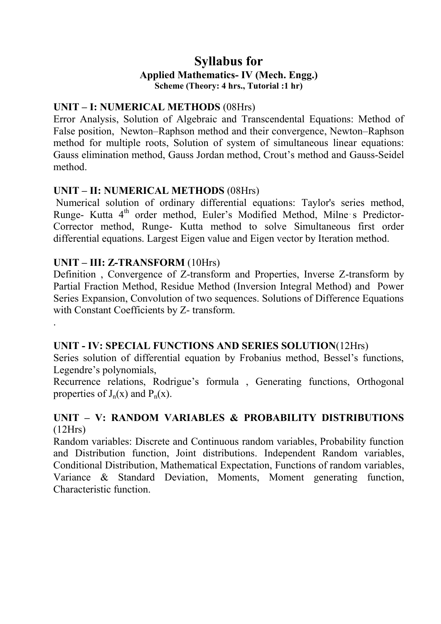# **Syllabus for Applied Mathematics- IV (Mech. Engg.) Scheme (Theory: 4 hrs., Tutorial :1 hr)**

# **UNIT – I: NUMERICAL METHODS** (08Hrs)

Error Analysis, Solution of Algebraic and Transcendental Equations: Method of False position, Newton–Raphson method and their convergence, Newton–Raphson method for multiple roots, Solution of system of simultaneous linear equations: Gauss elimination method, Gauss Jordan method, Crout's method and Gauss-Seidel method.

# **UNIT – II: NUMERICAL METHODS** (08Hrs)

Numerical solution of ordinary differential equations: Taylor's series method, Runge- Kutta 4<sup>th</sup> order method, Euler's Modified Method, Milne s Predictor-Corrector method, Runge- Kutta method to solve Simultaneous first order differential equations. Largest Eigen value and Eigen vector by Iteration method.

# **UNIT – III: Z-TRANSFORM** (10Hrs)

.

Definition , Convergence of Z-transform and Properties, Inverse Z-transform by Partial Fraction Method, Residue Method (Inversion Integral Method) and Power Series Expansion, Convolution of two sequences. Solutions of Difference Equations with Constant Coefficients by Z- transform.

# **UNIT - IV: SPECIAL FUNCTIONS AND SERIES SOLUTION**(12Hrs)

Series solution of differential equation by Frobanius method, Bessel's functions, Legendre's polynomials,

Recurrence relations, Rodrigue's formula , Generating functions, Orthogonal properties of  $J_n(x)$  and  $P_n(x)$ .

# **UNIT – V: RANDOM VARIABLES & PROBABILITY DISTRIBUTIONS** (12Hrs)

Random variables: Discrete and Continuous random variables, Probability function and Distribution function, Joint distributions. Independent Random variables, Conditional Distribution, Mathematical Expectation, Functions of random variables, Variance  $\&$  Standard Deviation, Moments, Moment generating function, Characteristic function.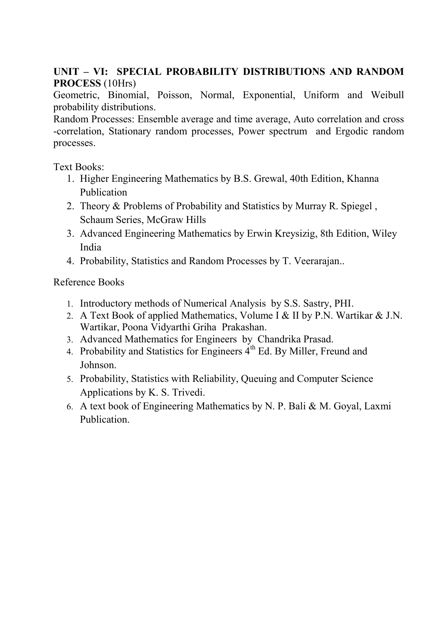# **UNIT – VI: SPECIAL PROBABILITY DISTRIBUTIONS AND RANDOM PROCESS** (10Hrs)

Geometric, Binomial, Poisson, Normal, Exponential, Uniform and Weibull probability distributions.

Random Processes: Ensemble average and time average, Auto correlation and cross -correlation, Stationary random processes, Power spectrum and Ergodic random processes.

Text Books:

- 1. Higher Engineering Mathematics by B.S. Grewal, 40th Edition, Khanna Publication
- 2. Theory & Problems of Probability and Statistics by Murray R. Spiegel , Schaum Series, McGraw Hills
- 3. Advanced Engineering Mathematics by Erwin Kreysizig, 8th Edition, Wiley India
- 4. Probability, Statistics and Random Processes by T. Veerarajan..

Reference Books

- 1. Introductory methods of Numerical Analysis by S.S. Sastry, PHI.
- 2. A Text Book of applied Mathematics, Volume I & II by P.N. Wartikar & J.N. Wartikar, Poona Vidyarthi Griha Prakashan.
- 3. Advanced Mathematics for Engineers by Chandrika Prasad.
- 4. Probability and Statistics for Engineers  $4<sup>th</sup>$  Ed. By Miller, Freund and Johnson.
- 5. Probability, Statistics with Reliability, Queuing and Computer Science Applications by K. S. Trivedi.
- 6. A text book of Engineering Mathematics by N. P. Bali & M. Goyal, Laxmi Publication.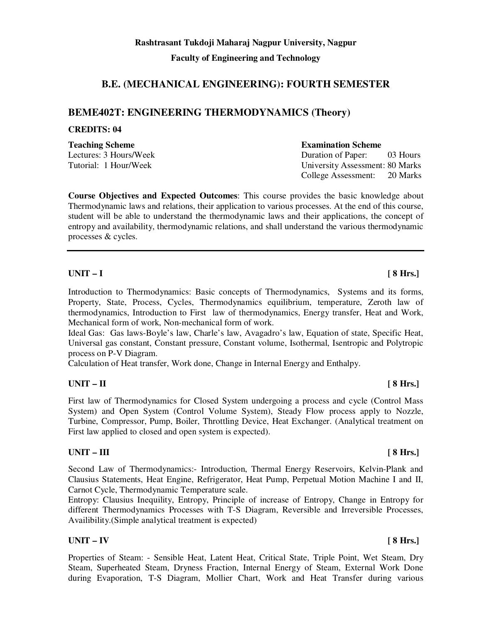**Faculty of Engineering and Technology** 

### **B.E. (MECHANICAL ENGINEERING): FOURTH SEMESTER**

#### **BEME402T: ENGINEERING THERMODYNAMICS (Theory)**

#### **CREDITS: 04**

**Teaching Scheme Examination Scheme Examination Scheme** 

# Lectures: 3 Hours/Week Duration of Paper: 03 Hours Tutorial: 1 Hour/Week University Assessment: 80 Marks College Assessment: 20 Marks

**Course Objectives and Expected Outcomes**: This course provides the basic knowledge about Thermodynamic laws and relations, their application to various processes. At the end of this course, student will be able to understand the thermodynamic laws and their applications, the concept of entropy and availability, thermodynamic relations, and shall understand the various thermodynamic processes & cycles. j

Introduction to Thermodynamics: Basic concepts of Thermodynamics, Systems and its forms, Property, State, Process, Cycles, Thermodynamics equilibrium, temperature, Zeroth law of thermodynamics, Introduction to First law of thermodynamics, Energy transfer, Heat and Work, Mechanical form of work, Non-mechanical form of work.

Ideal Gas: Gas laws-Boyle's law, Charle's law, Avagadro's law, Equation of state, Specific Heat, Universal gas constant, Constant pressure, Constant volume, Isothermal, Isentropic and Polytropic process on P-V Diagram.

Calculation of Heat transfer, Work done, Change in Internal Energy and Enthalpy.

#### **UNIT – II [ 8 Hrs.]**

First law of Thermodynamics for Closed System undergoing a process and cycle (Control Mass System) and Open System (Control Volume System), Steady Flow process apply to Nozzle, Turbine, Compressor, Pump, Boiler, Throttling Device, Heat Exchanger. (Analytical treatment on First law applied to closed and open system is expected).

#### **UNIT – III** [ 8 Hrs.]

Second Law of Thermodynamics:- Introduction, Thermal Energy Reservoirs, Kelvin-Plank and Clausius Statements, Heat Engine, Refrigerator, Heat Pump, Perpetual Motion Machine I and II, Carnot Cycle, Thermodynamic Temperature scale.

Entropy: Clausius Inequility, Entropy, Principle of increase of Entropy, Change in Entropy for different Thermodynamics Processes with T-S Diagram, Reversible and Irreversible Processes, Availibility.(Simple analytical treatment is expected)

### **UNIT – IV [ 8 Hrs.]**

Properties of Steam: - Sensible Heat, Latent Heat, Critical State, Triple Point, Wet Steam, Dry Steam, Superheated Steam, Dryness Fraction, Internal Energy of Steam, External Work Done during Evaporation, T-S Diagram, Mollier Chart, Work and Heat Transfer during various

# **UNIT – I [ 8 Hrs.]**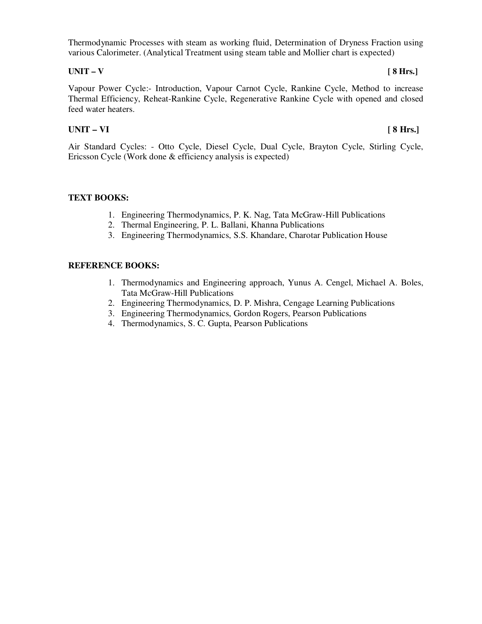Thermodynamic Processes with steam as working fluid, Determination of Dryness Fraction using various Calorimeter. (Analytical Treatment using steam table and Mollier chart is expected)

#### **UNIT – V [ 8 Hrs.]**

Vapour Power Cycle:- Introduction, Vapour Carnot Cycle, Rankine Cycle, Method to increase Thermal Efficiency, Reheat-Rankine Cycle, Regenerative Rankine Cycle with opened and closed feed water heaters.

### **UNIT – VI [ 8 Hrs.]**

Air Standard Cycles: - Otto Cycle, Diesel Cycle, Dual Cycle, Brayton Cycle, Stirling Cycle, Ericsson Cycle (Work done & efficiency analysis is expected)

#### **TEXT BOOKS:**

- 1. Engineering Thermodynamics, P. K. Nag, Tata McGraw-Hill Publications
- 2. Thermal Engineering, P. L. Ballani, Khanna Publications
- 3. Engineering Thermodynamics, S.S. Khandare, Charotar Publication House

- 1. Thermodynamics and Engineering approach, Yunus A. Cengel, Michael A. Boles, Tata McGraw-Hill Publications
- 2. Engineering Thermodynamics, D. P. Mishra, Cengage Learning Publications
- 3. Engineering Thermodynamics, Gordon Rogers, Pearson Publications
- 4. Thermodynamics, S. C. Gupta, Pearson Publications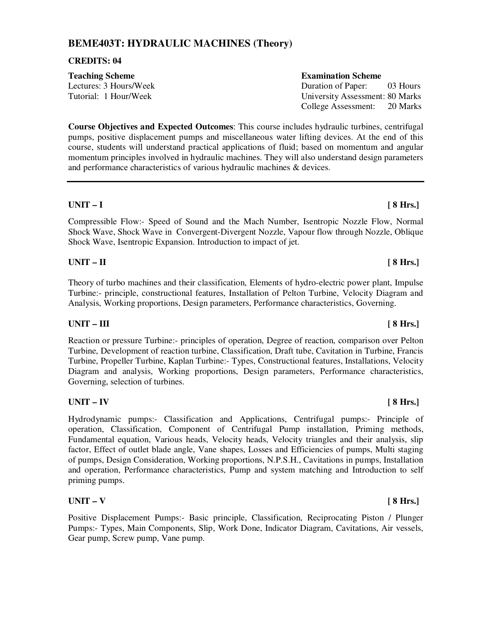## **BEME403T: HYDRAULIC MACHINES (Theory)**

#### **CREDITS: 04**

| <b>Teaching Scheme</b> | <b>Examination Scheme</b>       |
|------------------------|---------------------------------|
| Lectures: 3 Hours/Week | Duration of Paper:<br>03 Hours  |
| Tutorial: 1 Hour/Week  | University Assessment: 80 Marks |
|                        | College Assessment:<br>20 Marks |

**Course Objectives and Expected Outcomes**: This course includes hydraulic turbines, centrifugal pumps, positive displacement pumps and miscellaneous water lifting devices. At the end of this course, students will understand practical applications of fluid; based on momentum and angular momentum principles involved in hydraulic machines. They will also understand design parameters and performance characteristics of various hydraulic machines & devices.

Compressible Flow:- Speed of Sound and the Mach Number, Isentropic Nozzle Flow, Normal Shock Wave, Shock Wave in Convergent-Divergent Nozzle, Vapour flow through Nozzle, Oblique Shock Wave, Isentropic Expansion. Introduction to impact of jet.

#### **UNIT – II [ 8 Hrs.]**

Theory of turbo machines and their classification, Elements of hydro-electric power plant, Impulse Turbine:- principle, constructional features, Installation of Pelton Turbine, Velocity Diagram and Analysis, Working proportions, Design parameters, Performance characteristics, Governing.

### UNIT – III [ 8 Hrs.]

Reaction or pressure Turbine:- principles of operation, Degree of reaction, comparison over Pelton Turbine, Development of reaction turbine, Classification, Draft tube, Cavitation in Turbine, Francis Turbine, Propeller Turbine, Kaplan Turbine:- Types, Constructional features, Installations, Velocity Diagram and analysis, Working proportions, Design parameters, Performance characteristics, Governing, selection of turbines.

### **UNIT – IV [ 8 Hrs.]**

Hydrodynamic pumps:- Classification and Applications, Centrifugal pumps:- Principle of operation, Classification, Component of Centrifugal Pump installation, Priming methods, Fundamental equation, Various heads, Velocity heads, Velocity triangles and their analysis, slip factor, Effect of outlet blade angle, Vane shapes, Losses and Efficiencies of pumps, Multi staging of pumps, Design Consideration, Working proportions, N.P.S.H., Cavitations in pumps, Installation and operation, Performance characteristics, Pump and system matching and Introduction to self priming pumps.

### **UNIT – V [ 8 Hrs.]**

Positive Displacement Pumps:- Basic principle, Classification, Reciprocating Piston / Plunger Pumps:- Types, Main Components, Slip, Work Done, Indicator Diagram, Cavitations, Air vessels, Gear pump, Screw pump, Vane pump.

### **UNIT – I [ 8 Hrs.]**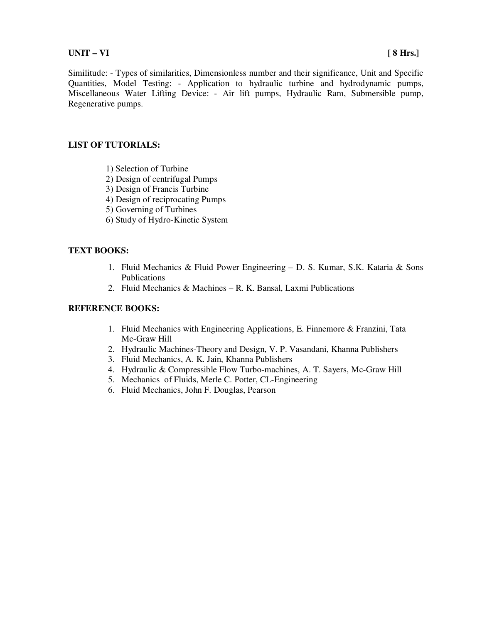#### **UNIT – VI [ 8 Hrs.]**

Similitude: - Types of similarities, Dimensionless number and their significance, Unit and Specific Quantities, Model Testing: - Application to hydraulic turbine and hydrodynamic pumps, Miscellaneous Water Lifting Device: - Air lift pumps, Hydraulic Ram, Submersible pump, Regenerative pumps.

#### **LIST OF TUTORIALS:**

- 1) Selection of Turbine
- 2) Design of centrifugal Pumps
- 3) Design of Francis Turbine
- 4) Design of reciprocating Pumps
- 5) Governing of Turbines
- 6) Study of Hydro-Kinetic System

#### **TEXT BOOKS:**

- 1. Fluid Mechanics & Fluid Power Engineering D. S. Kumar, S.K. Kataria & Sons Publications
- 2. Fluid Mechanics & Machines R. K. Bansal, Laxmi Publications

- 1. Fluid Mechanics with Engineering Applications, E. Finnemore & Franzini, Tata Mc-Graw Hill
- 2. Hydraulic Machines-Theory and Design, V. P. Vasandani, Khanna Publishers
- 3. Fluid Mechanics, A. K. Jain, Khanna Publishers
- 4. Hydraulic & Compressible Flow Turbo-machines, A. T. Sayers, Mc-Graw Hill
- 5. Mechanics of Fluids, Merle C. Potter, CL-Engineering
- 6. Fluid Mechanics, John F. Douglas, Pearson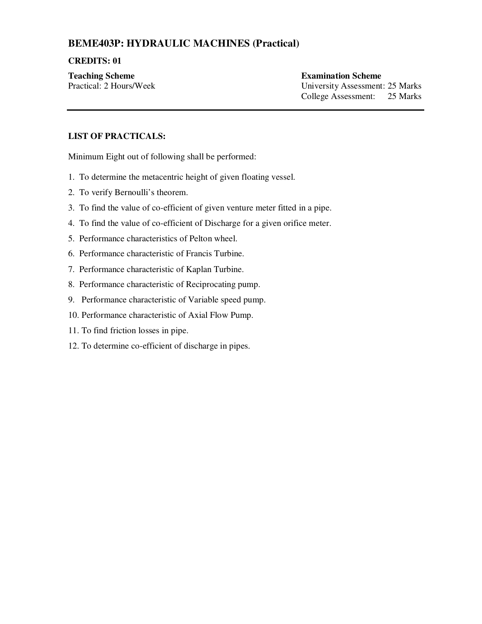# **BEME403P: HYDRAULIC MACHINES (Practical)**

#### **CREDITS: 01**

**Teaching Scheme Examination Scheme Examination Scheme** 

Practical: 2 Hours/Week University Assessment: 25 Marks College Assessment: 25 Marks

### **LIST OF PRACTICALS:**

Minimum Eight out of following shall be performed:

- 1. To determine the metacentric height of given floating vessel.
- 2. To verify Bernoulli's theorem.
- 3. To find the value of co-efficient of given venture meter fitted in a pipe.
- 4. To find the value of co-efficient of Discharge for a given orifice meter.
- 5. Performance characteristics of Pelton wheel.
- 6. Performance characteristic of Francis Turbine.
- 7. Performance characteristic of Kaplan Turbine.
- 8. Performance characteristic of Reciprocating pump.
- 9. Performance characteristic of Variable speed pump.
- 10. Performance characteristic of Axial Flow Pump.
- 11. To find friction losses in pipe.
- 12. To determine co-efficient of discharge in pipes.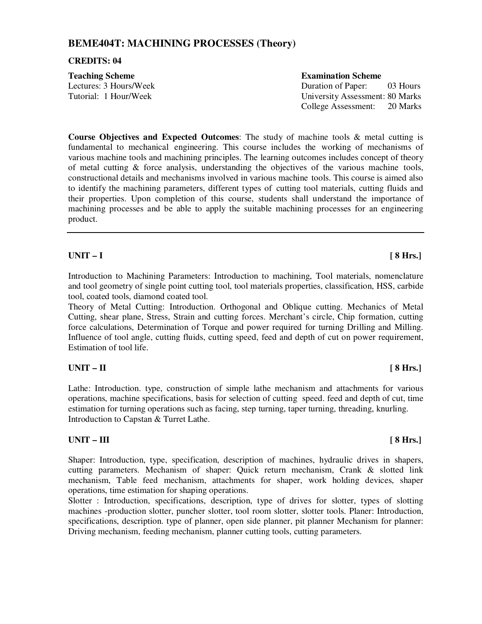### **BEME404T: MACHINING PROCESSES (Theory)**

#### **CREDITS: 04**

| <b>Teaching Scheme</b> | <b>Examination Scheme</b> |
|------------------------|---------------------------|
| Lectures: 3 Hours/Week | Duration of Paper:        |
| Tutorial: 1 Hour/Week  | University Assessment     |
|                        |                           |

In of Paper: 03 Hours ity Assessment: 80 Marks College Assessment: 20 Marks

**Course Objectives and Expected Outcomes**: The study of machine tools & metal cutting is fundamental to mechanical engineering. This course includes the working of mechanisms of various machine tools and machining principles. The learning outcomes includes concept of theory of metal cutting  $\&$  force analysis, understanding the objectives of the various machine tools, constructional details and mechanisms involved in various machine tools. This course is aimed also to identify the machining parameters, different types of cutting tool materials, cutting fluids and their properties. Upon completion of this course, students shall understand the importance of machining processes and be able to apply the suitable machining processes for an engineering product.

#### **UNIT – I [ 8 Hrs.]**

Introduction to Machining Parameters: Introduction to machining, Tool materials, nomenclature and tool geometry of single point cutting tool, tool materials properties, classification, HSS, carbide tool, coated tools, diamond coated tool.

Theory of Metal Cutting: Introduction. Orthogonal and Oblique cutting. Mechanics of Metal Cutting, shear plane, Stress, Strain and cutting forces. Merchant's circle, Chip formation, cutting force calculations, Determination of Torque and power required for turning Drilling and Milling. Influence of tool angle, cutting fluids, cutting speed, feed and depth of cut on power requirement, Estimation of tool life.

#### **UNIT – II [ 8 Hrs.]**

Lathe: Introduction. type, construction of simple lathe mechanism and attachments for various operations, machine specifications, basis for selection of cutting speed. feed and depth of cut, time estimation for turning operations such as facing, step turning, taper turning, threading, knurling. Introduction to Capstan & Turret Lathe.

#### UNIT – III [ 8 Hrs.]

Shaper: Introduction, type, specification, description of machines, hydraulic drives in shapers, cutting parameters. Mechanism of shaper: Quick return mechanism, Crank & slotted link mechanism, Table feed mechanism, attachments for shaper, work holding devices, shaper operations, time estimation for shaping operations.

Slotter : Introduction, specifications, description, type of drives for slotter, types of slotting machines -production slotter, puncher slotter, tool room slotter, slotter tools. Planer: Introduction, specifications, description. type of planner, open side planner, pit planner Mechanism for planner: Driving mechanism, feeding mechanism, planner cutting tools, cutting parameters.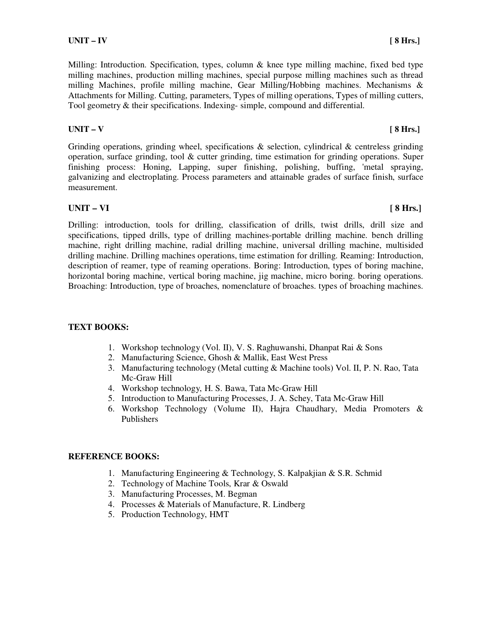Milling: Introduction. Specification, types, column & knee type milling machine, fixed bed type milling machines, production milling machines, special purpose milling machines such as thread milling Machines, profile milling machine, Gear Milling/Hobbing machines. Mechanisms & Attachments for Milling. Cutting, parameters, Types of milling operations, Types of milling cutters, Tool geometry & their specifications. Indexing- simple, compound and differential.

### **UNIT – V** [ 8 Hrs.]

Grinding operations, grinding wheel, specifications  $\&$  selection, cylindrical  $\&$  centreless grinding operation, surface grinding, tool  $\&$  cutter grinding, time estimation for grinding operations. Super finishing process: Honing, Lapping, super finishing, polishing, buffing, 'metal spraying, galvanizing and electroplating. Process parameters and attainable grades of surface finish, surface measurement.

### **UNIT – VI [ 8 Hrs.]**

Drilling: introduction, tools for drilling, classification of drills, twist drills, drill size and specifications, tipped drills, type of drilling machines-portable drilling machine. bench drilling machine, right drilling machine, radial drilling machine, universal drilling machine, multisided drilling machine. Drilling machines operations, time estimation for drilling. Reaming: Introduction, description of reamer, type of reaming operations. Boring: Introduction, types of boring machine, horizontal boring machine, vertical boring machine, jig machine, micro boring. boring operations. Broaching: Introduction, type of broaches, nomenclature of broaches. types of broaching machines.

### **TEXT BOOKS:**

- 1. Workshop technology (Vol. II), V. S. Raghuwanshi, Dhanpat Rai & Sons
- 2. Manufacturing Science, Ghosh & Mallik, East West Press
- 3. Manufacturing technology (Metal cutting & Machine tools) Vol. II, P. N. Rao, Tata Mc-Graw Hill
- 4. Workshop technology, H. S. Bawa, Tata Mc-Graw Hill
- 5. Introduction to Manufacturing Processes, J. A. Schey, Tata Mc-Graw Hill
- 6. Workshop Technology (Volume II), Hajra Chaudhary, Media Promoters & Publishers

- 1. Manufacturing Engineering & Technology, S. Kalpakjian & S.R. Schmid
- 2. Technology of Machine Tools, Krar & Oswald
- 3. Manufacturing Processes, M. Begman
- 4. Processes & Materials of Manufacture, R. Lindberg
- 5. Production Technology, HMT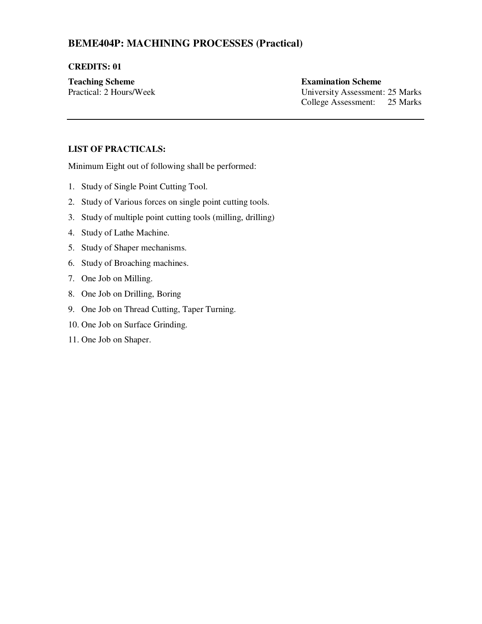# **BEME404P: MACHINING PROCESSES (Practical)**

#### **CREDITS: 01**

### **Teaching Scheme Examination Scheme Examination Scheme**

Practical: 2 Hours/Week University Assessment: 25 Marks College Assessment: 25 Marks

### **LIST OF PRACTICALS:**

Minimum Eight out of following shall be performed:

- 1. Study of Single Point Cutting Tool.
- 2. Study of Various forces on single point cutting tools.
- 3. Study of multiple point cutting tools (milling, drilling)
- 4. Study of Lathe Machine.
- 5. Study of Shaper mechanisms.
- 6. Study of Broaching machines.
- 7. One Job on Milling.
- 8. One Job on Drilling, Boring
- 9. One Job on Thread Cutting, Taper Turning.
- 10. One Job on Surface Grinding.
- 11. One Job on Shaper.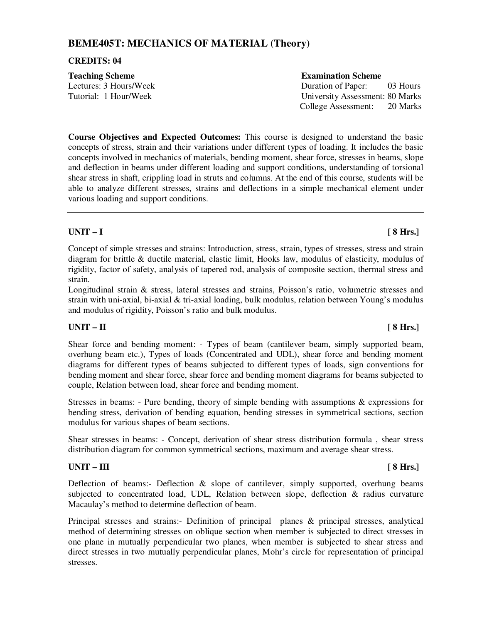### **BEME405T: MECHANICS OF MATERIAL (Theory)**

#### **CREDITS: 04**

| <b>Teaching Scheme</b> | <b>Examination Scheme</b>       |
|------------------------|---------------------------------|
| Lectures: 3 Hours/Week | 03 Hours<br>Duration of Paper:  |
| Tutorial: 1 Hour/Week  | University Assessment: 80 Marks |
|                        | 20 Marks<br>College Assessment: |

**Course Objectives and Expected Outcomes:** This course is designed to understand the basic concepts of stress, strain and their variations under different types of loading. It includes the basic concepts involved in mechanics of materials, bending moment, shear force, stresses in beams, slope and deflection in beams under different loading and support conditions, understanding of torsional shear stress in shaft, crippling load in struts and columns. At the end of this course, students will be able to analyze different stresses, strains and deflections in a simple mechanical element under various loading and support conditions.

### **UNIT – I [ 8 Hrs.]**

Concept of simple stresses and strains: Introduction, stress, strain, types of stresses, stress and strain diagram for brittle & ductile material, elastic limit, Hooks law, modulus of elasticity, modulus of rigidity, factor of safety, analysis of tapered rod, analysis of composite section, thermal stress and strain.

Longitudinal strain & stress, lateral stresses and strains, Poisson's ratio, volumetric stresses and strain with uni-axial, bi-axial & tri-axial loading, bulk modulus, relation between Young's modulus and modulus of rigidity, Poisson's ratio and bulk modulus.

### **UNIT – II [ 8 Hrs.]**

Shear force and bending moment: - Types of beam (cantilever beam, simply supported beam, overhung beam etc.), Types of loads (Concentrated and UDL), shear force and bending moment diagrams for different types of beams subjected to different types of loads, sign conventions for bending moment and shear force, shear force and bending moment diagrams for beams subjected to couple, Relation between load, shear force and bending moment.

Stresses in beams: - Pure bending, theory of simple bending with assumptions  $\&$  expressions for bending stress, derivation of bending equation, bending stresses in symmetrical sections, section modulus for various shapes of beam sections.

Shear stresses in beams: - Concept, derivation of shear stress distribution formula , shear stress distribution diagram for common symmetrical sections, maximum and average shear stress.

#### UNIT – III **1996 III EXECUTE:**

Deflection of beams:- Deflection  $\&$  slope of cantilever, simply supported, overhung beams subjected to concentrated load, UDL, Relation between slope, deflection & radius curvature Macaulay's method to determine deflection of beam.

Principal stresses and strains:- Definition of principal planes & principal stresses, analytical method of determining stresses on oblique section when member is subjected to direct stresses in one plane in mutually perpendicular two planes, when member is subjected to shear stress and direct stresses in two mutually perpendicular planes, Mohr's circle for representation of principal stresses.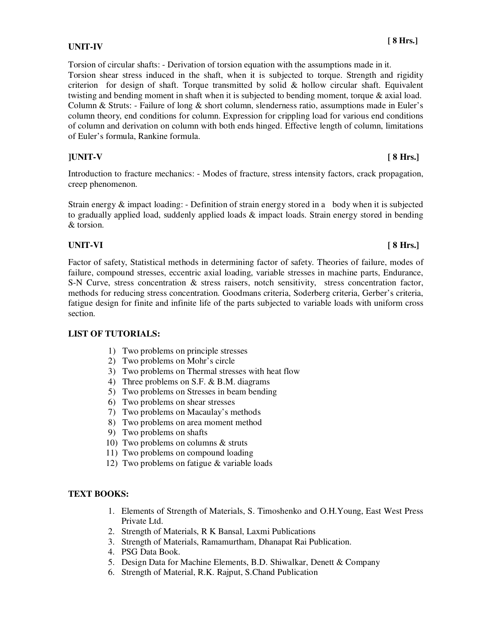#### **UNIT-IV**

Torsion of circular shafts: - Derivation of torsion equation with the assumptions made in it. Torsion shear stress induced in the shaft, when it is subjected to torque. Strength and rigidity criterion for design of shaft. Torque transmitted by solid & hollow circular shaft. Equivalent twisting and bending moment in shaft when it is subjected to bending moment, torque & axial load. Column & Struts: - Failure of long & short column, slenderness ratio, assumptions made in Euler's column theory, end conditions for column. Expression for crippling load for various end conditions of column and derivation on column with both ends hinged. Effective length of column, limitations of Euler's formula, Rankine formula.

**]UNIT-V [ 8 Hrs.]** 

Introduction to fracture mechanics: - Modes of fracture, stress intensity factors, crack propagation, creep phenomenon.

Strain energy  $\&$  impact loading: - Definition of strain energy stored in a body when it is subjected to gradually applied load, suddenly applied loads & impact loads. Strain energy stored in bending & torsion.

### **UNIT-VI [ 8 Hrs.]**

Factor of safety, Statistical methods in determining factor of safety. Theories of failure, modes of failure, compound stresses, eccentric axial loading, variable stresses in machine parts, Endurance, S-N Curve, stress concentration & stress raisers, notch sensitivity, stress concentration factor, methods for reducing stress concentration. Goodmans criteria, Soderberg criteria, Gerber's criteria, fatigue design for finite and infinite life of the parts subjected to variable loads with uniform cross section.

### **LIST OF TUTORIALS:**

- 1) Two problems on principle stresses
- 2) Two problems on Mohr's circle
- 3) Two problems on Thermal stresses with heat flow
- 4) Three problems on S.F. & B.M. diagrams
- 5) Two problems on Stresses in beam bending
- 6) Two problems on shear stresses
- 7) Two problems on Macaulay's methods
- 8) Two problems on area moment method
- 9) Two problems on shafts
- 10) Two problems on columns & struts
- 11) Two problems on compound loading
- 12) Two problems on fatigue & variable loads

### **TEXT BOOKS:**

- 1. Elements of Strength of Materials, S. Timoshenko and O.H.Young, East West Press Private Ltd.
- 2. Strength of Materials, R K Bansal, Laxmi Publications
- 3. Strength of Materials, Ramamurtham, Dhanapat Rai Publication.
- 4. PSG Data Book.
- 5. Design Data for Machine Elements, B.D. Shiwalkar, Denett & Company
- 6. Strength of Material, R.K. Rajput, S.Chand Publication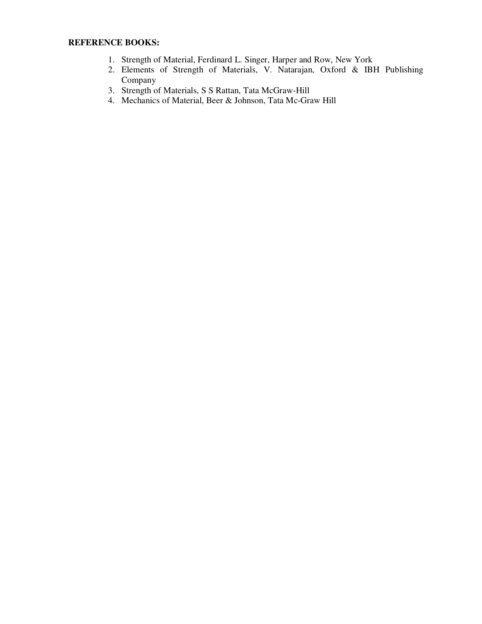- 1. Strength of Material, Ferdinard L. Singer, Harper and Row, New York
- 2. Elements of Strength of Materials, V. Natarajan, Oxford & IBH Publishing Company
- 3. Strength of Materials, S S Rattan, Tata McGraw-Hill
- 4. Mechanics of Material, Beer & Johnson, Tata Mc-Graw Hill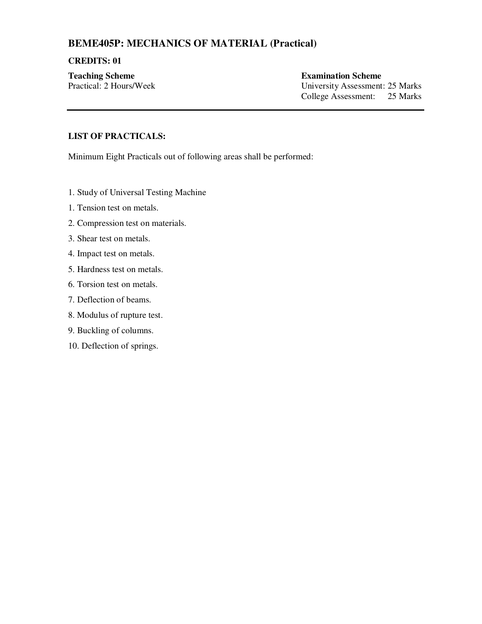# **BEME405P: MECHANICS OF MATERIAL (Practical)**

#### **CREDITS: 01**

# **Teaching Scheme Examination Scheme**

Practical: 2 Hours/Week University Assessment: 25 Marks College Assessment: 25 Marks

### **LIST OF PRACTICALS:**

Minimum Eight Practicals out of following areas shall be performed:

- 1. Study of Universal Testing Machine
- 1. Tension test on metals.
- 2. Compression test on materials.
- 3. Shear test on metals.
- 4. Impact test on metals.
- 5. Hardness test on metals.
- 6. Torsion test on metals.
- 7. Deflection of beams.
- 8. Modulus of rupture test.
- 9. Buckling of columns.
- 10. Deflection of springs.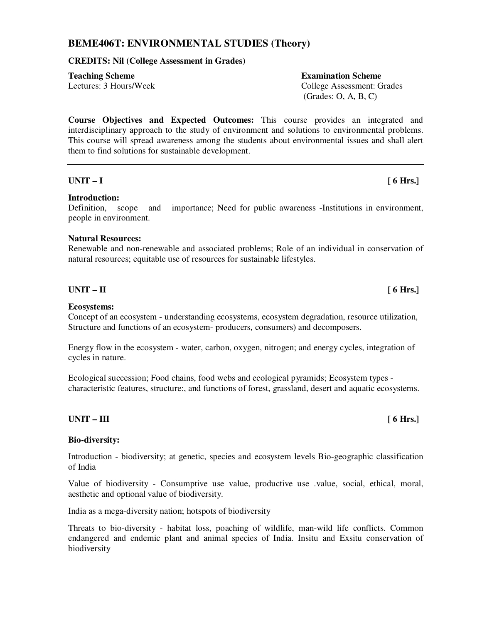### **BEME406T: ENVIRONMENTAL STUDIES (Theory)**

#### **CREDITS: Nil (College Assessment in Grades)**

**Teaching Scheme Examination Scheme Examination Scheme** 

Lectures: 3 Hours/Week College Assessment: Grades (Grades: O, A, B, C)

**Course Objectives and Expected Outcomes:** This course provides an integrated and interdisciplinary approach to the study of environment and solutions to environmental problems. This course will spread awareness among the students about environmental issues and shall alert them to find solutions for sustainable development.

#### **UNIT – I [ 6 Hrs.]**

#### **Introduction:**

#### Definition, scope and importance; Need for public awareness -Institutions in environment, people in environment.

#### **Natural Resources:**

Renewable and non-renewable and associated problems; Role of an individual in conservation of natural resources; equitable use of resources for sustainable lifestyles.

#### **UNIT – II** [ 6 Hrs.]

#### **Ecosystems:**

Concept of an ecosystem - understanding ecosystems, ecosystem degradation, resource utilization, Structure and functions of an ecosystem- producers, consumers) and decomposers.

Energy flow in the ecosystem - water, carbon, oxygen, nitrogen; and energy cycles, integration of cycles in nature.

Ecological succession; Food chains, food webs and ecological pyramids; Ecosystem types characteristic features, structure:, and functions of forest, grassland, desert and aquatic ecosystems.

#### **UNIT – III** [ 6 Hrs.]

#### **Bio-diversity:**

Introduction - biodiversity; at genetic, species and ecosystem levels Bio-geographic classification of India

Value of biodiversity - Consumptive use value, productive use .value, social, ethical, moral, aesthetic and optional value of biodiversity.

India as a mega-diversity nation; hotspots of biodiversity

Threats to bio-diversity - habitat loss, poaching of wildlife, man-wild life conflicts. Common endangered and endemic plant and animal species of India. Insitu and Exsitu conservation of biodiversity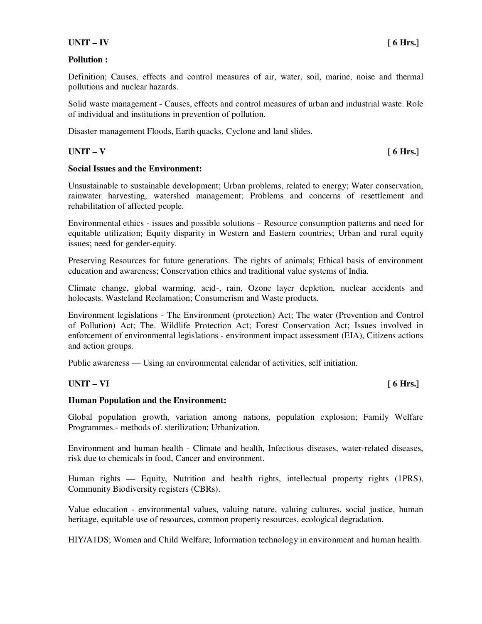### **UNIT – IV [ 6 Hrs.]**

#### **Pollution :**

Definition; Causes, effects and control measures of air, water, soil, marine, noise and thermal pollutions and nuclear hazards.

Solid waste management - Causes, effects and control measures of urban and industrial waste. Role of individual and institutions in prevention of pollution.

Disaster management Floods, Earth quacks, Cyclone and land slides.

### **UNIT – V [ 6 Hrs.]**

#### **Social Issues and the Environment:**

Unsustainable to sustainable development; Urban problems, related to energy; Water conservation, rainwater harvesting, watershed management; Problems and concerns of resettlement and rehabilitation of affected people.

Environmental ethics - issues and possible solutions – Resource consumption patterns and need for equitable utilization; Equity disparity in Western and Eastern countries; Urban and rural equity issues; need for gender-equity.

Preserving Resources for future generations. The rights of animals; Ethical basis of environment education and awareness; Conservation ethics and traditional value systems of India.

Climate change, global warming, acid-, rain, Ozone layer depletion, nuclear accidents and holocasts. Wasteland Reclamation; Consumerism and Waste products.

Environment legislations - The Environment (protection) Act; The water (Prevention and Control of Pollution) Act; The. Wildlife Protection Act; Forest Conservation Act; Issues involved in enforcement of environmental legislations - environment impact assessment (EIA), Citizens actions and action groups.

Public awareness — Using an environmental calendar of activities, self initiation.

### **UNIT – VI [ 6 Hrs.]**

#### **Human Population and the Environment:**

Global population growth, variation among nations, population explosion; Family Welfare Programmes.- methods of. sterilization; Urbanization.

Environment and human health - Climate and health, Infectious diseases, water-related diseases, risk due to chemicals in food, Cancer and environment.

Human rights — Equity, Nutrition and health rights, intellectual property rights (1PRS), Community Biodiversity registers (CBRs).

Value education - environmental values, valuing nature, valuing cultures, social justice, human heritage, equitable use of resources, common property resources, ecological degradation.

HIY/A1DS; Women and Child Welfare; Information technology in environment and human health.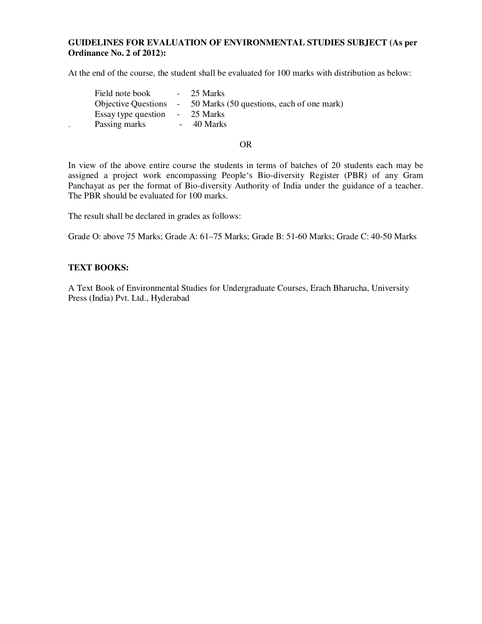#### **GUIDELINES FOR EVALUATION OF ENVIRONMENTAL STUDIES SUBJECT (As per Ordinance No. 2 of 2012):**

At the end of the course, the student shall be evaluated for 100 marks with distribution as below:

|                      | Field note book     | $-25$ Marks                                                     |
|----------------------|---------------------|-----------------------------------------------------------------|
|                      |                     | Objective Questions - 50 Marks (50 questions, each of one mark) |
|                      | Essay type question | - 25 Marks                                                      |
| $\ddot{\phantom{a}}$ | Passing marks       | $-40$ Marks                                                     |

#### OR

In view of the above entire course the students in terms of batches of 20 students each may be assigned a project work encompassing People's Bio-diversity Register (PBR) of any Gram Panchayat as per the format of Bio-diversity Authority of India under the guidance of a teacher. The PBR should be evaluated for 100 marks.

The result shall be declared in grades as follows:

Grade O: above 75 Marks; Grade A: 61–75 Marks; Grade B: 51-60 Marks; Grade C: 40-50 Marks

#### **TEXT BOOKS:**

A Text Book of Environmental Studies for Undergraduate Courses, Erach Bharucha, University Press (India) Pvt. Ltd., Hyderabad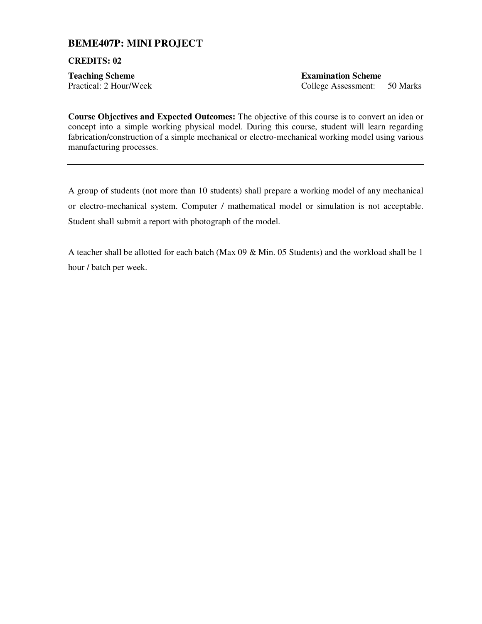### **BEME407P: MINI PROJECT**

**CREDITS: 02** 

**Teaching Scheme Examination Scheme**  Practical: 2 Hour/Week College Assessment: 50 Marks

**Course Objectives and Expected Outcomes:** The objective of this course is to convert an idea or concept into a simple working physical model. During this course, student will learn regarding fabrication/construction of a simple mechanical or electro-mechanical working model using various manufacturing processes.

A group of students (not more than 10 students) shall prepare a working model of any mechanical or electro-mechanical system. Computer / mathematical model or simulation is not acceptable. Student shall submit a report with photograph of the model.

A teacher shall be allotted for each batch (Max 09 & Min. 05 Students) and the workload shall be 1 hour / batch per week.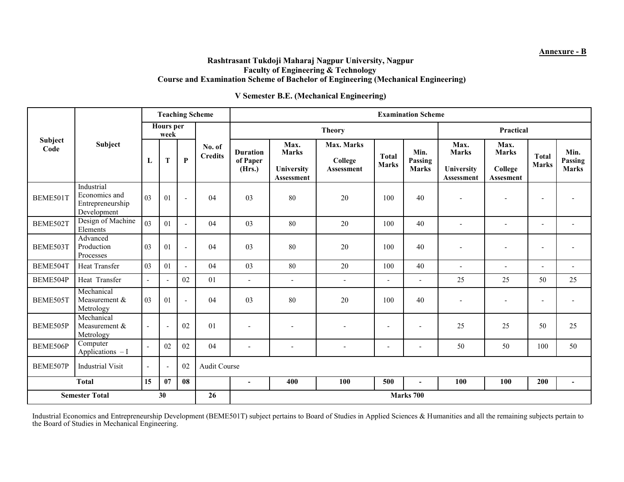#### **Annexure - B**

#### **Rashtrasant Tukdoji Maharaj Nagpur University, Nagpur Faculty of Engineering & Technology Course and Examination Scheme of Bachelor of Engineering (Mechanical Engineering)**

#### **V Semester B.E. (Mechanical Engineering)**

|                                   | Subject                                                        | <b>Teaching Scheme</b>   |                |                |                          | <b>Examination Scheme</b>             |                                                  |                                            |                              |                                 |                                                  |                                                     |                              |                                 |
|-----------------------------------|----------------------------------------------------------------|--------------------------|----------------|----------------|--------------------------|---------------------------------------|--------------------------------------------------|--------------------------------------------|------------------------------|---------------------------------|--------------------------------------------------|-----------------------------------------------------|------------------------------|---------------------------------|
|                                   |                                                                | <b>Hours</b> per<br>week |                |                |                          | <b>Theory</b>                         |                                                  |                                            |                              | Practical                       |                                                  |                                                     |                              |                                 |
| <b>Subject</b><br>Code            |                                                                | L                        | T              | $\mathbf P$    | No. of<br><b>Credits</b> | <b>Duration</b><br>of Paper<br>(Hrs.) | Max.<br><b>Marks</b><br>University<br>Assessment | Max. Marks<br>College<br><b>Assessment</b> | <b>Total</b><br><b>Marks</b> | Min.<br>Passing<br><b>Marks</b> | Max.<br><b>Marks</b><br>University<br>Assessment | Max.<br><b>Marks</b><br>College<br><b>Assesment</b> | <b>Total</b><br><b>Marks</b> | Min.<br>Passing<br><b>Marks</b> |
| BEME501T                          | Industrial<br>Economics and<br>Entrepreneurship<br>Development | 03                       | 01             | ÷,             | 04                       | 03                                    | 80                                               | 20                                         | 100                          | 40                              | $\overline{\phantom{a}}$                         | $\overline{a}$                                      | $\overline{\phantom{a}}$     |                                 |
| BEME502T                          | Design of Machine<br>Elements                                  | 03                       | 01             | $\blacksquare$ | 04                       | 03                                    | 80                                               | 20                                         | 100                          | 40                              | $\overline{\phantom{a}}$                         | $\blacksquare$                                      | $\sim$                       | ٠                               |
| BEME503T                          | Advanced<br>Production<br>Processes                            | 03                       | 01             | $\blacksquare$ | 04                       | 03                                    | 80                                               | 20                                         | 100                          | 40                              | $\overline{\phantom{a}}$                         | $\overline{\phantom{a}}$                            | $\blacksquare$               |                                 |
| BEME504T                          | Heat Transfer                                                  | 03                       | 01             | $\blacksquare$ | 04                       | 03                                    | 80                                               | 20                                         | 100                          | 40                              | $\blacksquare$                                   | $\blacksquare$                                      | $\overline{\phantom{a}}$     | $\blacksquare$                  |
| BEME504P                          | Heat Transfer                                                  | $\blacksquare$           |                | 02             | 01                       | $\overline{a}$                        | $\overline{\phantom{a}}$                         | $\sim$                                     | $\overline{\phantom{0}}$     | $\overline{\phantom{a}}$        | 25                                               | 25                                                  | 50                           | 25                              |
| BEME505T                          | Mechanical<br>Measurement &<br>Metrology                       | 03                       | 01             | $\overline{a}$ | 04                       | 03                                    | 80                                               | 20                                         | 100                          | 40                              | $\blacksquare$                                   | $\blacksquare$                                      | $\overline{\phantom{a}}$     |                                 |
| BEME505P                          | Mechanical<br>Measurement &<br>Metrology                       | $\blacksquare$           | $\sim$         | 02             | 01                       | $\blacksquare$                        | $\blacksquare$                                   |                                            | $\blacksquare$               | $\overline{\phantom{a}}$        | 25                                               | 25                                                  | 50                           | 25                              |
| BEME506P                          | Computer<br>Applications $-I$                                  |                          | 02             | 02             | 04                       | $\overline{\phantom{a}}$              | $\blacksquare$                                   |                                            | $\blacksquare$               | $\blacksquare$                  | 50                                               | 50                                                  | 100                          | 50                              |
| BEME507P                          | <b>Industrial Visit</b>                                        |                          | $\blacksquare$ | 02             |                          | <b>Audit Course</b>                   |                                                  |                                            |                              |                                 |                                                  |                                                     |                              |                                 |
|                                   | <b>Total</b>                                                   | 15                       | 07             | 08             |                          | ٠                                     | 400                                              | 100                                        | 500                          | $\blacksquare$                  | 100                                              | 100                                                 | 200                          | $\sim$                          |
| <b>Semester Total</b><br>30<br>26 |                                                                |                          |                |                |                          | Marks 700                             |                                                  |                                            |                              |                                 |                                                  |                                                     |                              |                                 |

Industrial Economics and Entrepreneurship Development (BEME501T) subject pertains to Board of Studies in Applied Sciences & Humanities and all the remaining subjects pertain to the Board of Studies in Mechanical Engineering.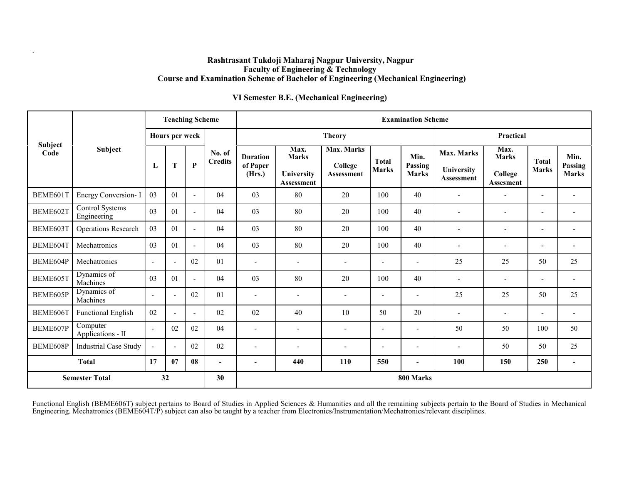#### **Rashtrasant Tukdoji Maharaj Nagpur University, Nagpur Faculty of Engineering & Technology Course and Examination Scheme of Bachelor of Engineering (Mechanical Engineering)**

.

### **VI Semester B.E. (Mechanical Engineering)**

|                        | <b>Subject</b>                        | <b>Teaching Scheme</b>   |                          |                |                          | <b>Examination Scheme</b>             |                                                         |                                            |                              |                                 |                                               |                                              |                              |                                 |
|------------------------|---------------------------------------|--------------------------|--------------------------|----------------|--------------------------|---------------------------------------|---------------------------------------------------------|--------------------------------------------|------------------------------|---------------------------------|-----------------------------------------------|----------------------------------------------|------------------------------|---------------------------------|
|                        |                                       | Hours per week           |                          |                |                          |                                       |                                                         | <b>Theory</b>                              |                              | Practical                       |                                               |                                              |                              |                                 |
| <b>Subject</b><br>Code |                                       | L                        | T                        | $\mathbf{P}$   | No. of<br><b>Credits</b> | <b>Duration</b><br>of Paper<br>(Hrs.) | Max.<br><b>Marks</b><br>University<br><b>Assessment</b> | Max. Marks<br>College<br><b>Assessment</b> | <b>Total</b><br><b>Marks</b> | Min.<br>Passing<br><b>Marks</b> | Max. Marks<br>University<br><b>Assessment</b> | Max.<br><b>Marks</b><br>College<br>Assesment | <b>Total</b><br><b>Marks</b> | Min.<br>Passing<br><b>Marks</b> |
| BEME601T               | Energy Conversion- I                  | 03                       | 0 <sub>1</sub>           | $\overline{a}$ | 04                       | 03                                    | 80                                                      | 20                                         | 100                          | 40                              |                                               |                                              | $\overline{\phantom{a}}$     |                                 |
| BEME602T               | <b>Control Systems</b><br>Engineering | 03                       | 01                       | $\blacksquare$ | 04                       | 03                                    | 80                                                      | 20                                         | 100                          | 40                              |                                               | $\overline{\phantom{a}}$                     | $\overline{\phantom{a}}$     |                                 |
| BEME603T               | Operations Research                   | 03                       | 01                       | $\overline{a}$ | 04                       | 03                                    | 80                                                      | 20                                         | 100                          | 40                              |                                               | ٠                                            | $\blacksquare$               |                                 |
| BEME604T               | Mechatronics                          | 03                       | 01                       | $\blacksquare$ | 04                       | 03                                    | 80                                                      | 20                                         | 100                          | 40                              |                                               | ٠                                            | $\overline{\phantom{a}}$     | $\overline{\phantom{a}}$        |
| BEME604P               | Mechatronics                          | $\sim$                   | $\overline{\phantom{a}}$ | 02             | 01                       | $\overline{\phantom{a}}$              | $\blacksquare$                                          | $\overline{\phantom{a}}$                   | $\overline{\phantom{a}}$     | $\overline{\phantom{a}}$        | 25                                            | 25                                           | 50                           | 25                              |
| BEME605T               | Dynamics of<br>Machines               | 03                       | 0 <sub>1</sub>           | $\blacksquare$ | 04                       | 03                                    | 80                                                      | 20                                         | 100                          | 40                              | $\overline{\phantom{a}}$                      | $\blacksquare$                               | $\qquad \qquad \blacksquare$ | $\overline{\phantom{a}}$        |
| BEME605P               | Dynamics of<br>Machines               | $\sim$                   | $\sim$                   | 02             | 01                       | $\overline{\phantom{a}}$              | $\blacksquare$                                          | $\blacksquare$                             | $\blacksquare$               | $\overline{\phantom{a}}$        | 25                                            | 25                                           | 50                           | 25                              |
| BEME606T               | <b>Functional English</b>             | 02                       | $\overline{a}$           | $\blacksquare$ | 02                       | 02                                    | 40                                                      | 10                                         | 50                           | 20                              | $\overline{\phantom{a}}$                      | $\overline{\phantom{a}}$                     | $\overline{\phantom{a}}$     | $\overline{\phantom{a}}$        |
| BEME607P               | Computer<br>Applications - II         | $\overline{\phantom{a}}$ | 02                       | 02             | 04                       | $\blacksquare$                        | $\overline{\phantom{a}}$                                | $\overline{\phantom{a}}$                   | $\overline{\phantom{a}}$     | $\overline{\phantom{a}}$        | 50                                            | 50                                           | 100                          | 50                              |
| BEME608P               | <b>Industrial Case Study</b>          | $\overline{a}$           | $\sim$                   | 02             | 02                       | $\blacksquare$                        | $\blacksquare$                                          | $\overline{\phantom{a}}$                   | $\blacksquare$               | $\overline{a}$                  | $\overline{\phantom{a}}$                      | 50                                           | 50                           | 25                              |
| <b>Total</b>           |                                       | 17                       | 07                       | 08             | $\blacksquare$           | $\overline{\phantom{a}}$              | 440                                                     | 110                                        | 550                          | $\sim$                          | 100                                           | 150                                          | 250                          | $\sim$                          |
| <b>Semester Total</b>  |                                       |                          | 32                       |                | 30                       |                                       |                                                         |                                            |                              | 800 Marks                       |                                               |                                              |                              |                                 |

Functional English (BEME606T) subject pertains to Board of Studies in Applied Sciences & Humanities and all the remaining subjects pertain to the Board of Studies in Mechanical Engineering. Mechatronics (BEME604T/P) subject can also be taught by a teacher from Electronics/Instrumentation/Mechatronics/relevant disciplines.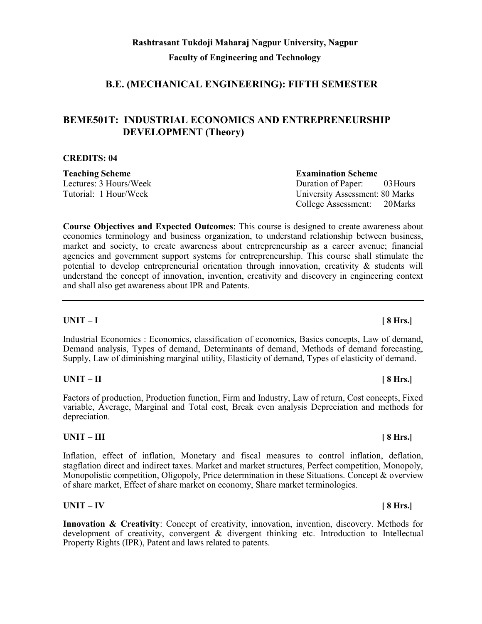# **B.E. (MECHANICAL ENGINEERING): FIFTH SEMESTER**

# **BEME501T: INDUSTRIAL ECONOMICS AND ENTREPRENEURSHIP DEVELOPMENT (Theory)**

# **CREDITS: 04**

**Teaching Scheme Examination Scheme**

Lectures: 3 Hours/Week Duration of Paper: 03Hours Tutorial: 1 Hour/Week University Assessment: 80 Marks College Assessment: 20Marks

**Course Objectives and Expected Outcomes**: This course is designed to create awareness about economics terminology and business organization, to understand relationship between business, market and society, to create awareness about entrepreneurship as a career avenue; financial agencies and government support systems for entrepreneurship. This course shall stimulate the potential to develop entrepreneurial orientation through innovation, creativity  $\&$  students will understand the concept of innovation, invention, creativity and discovery in engineering context and shall also get awareness about IPR and Patents.

### **UNIT – I [ 8 Hrs.]**

Industrial Economics : Economics, classification of economics, Basics concepts, Law of demand, Demand analysis, Types of demand, Determinants of demand, Methods of demand forecasting, Supply, Law of diminishing marginal utility, Elasticity of demand, Types of elasticity of demand.

### **UNIT – II [ 8 Hrs.]**

Factors of production, Production function, Firm and Industry, Law of return, Cost concepts, Fixed variable, Average, Marginal and Total cost, Break even analysis Depreciation and methods for depreciation.

### **UNIT – III [ 8 Hrs.]**

Inflation, effect of inflation, Monetary and fiscal measures to control inflation, deflation, stagflation direct and indirect taxes. Market and market structures, Perfect competition, Monopoly, Monopolistic competition, Oligopoly, Price determination in these Situations. Concept & overview of share market, Effect of share market on economy, Share market terminologies.

### **UNIT – IV [ 8 Hrs.]**

**Innovation & Creativity**: Concept of creativity, innovation, invention, discovery. Methods for development of creativity, convergent & divergent thinking etc. Introduction to Intellectual Property Rights (IPR), Patent and laws related to patents.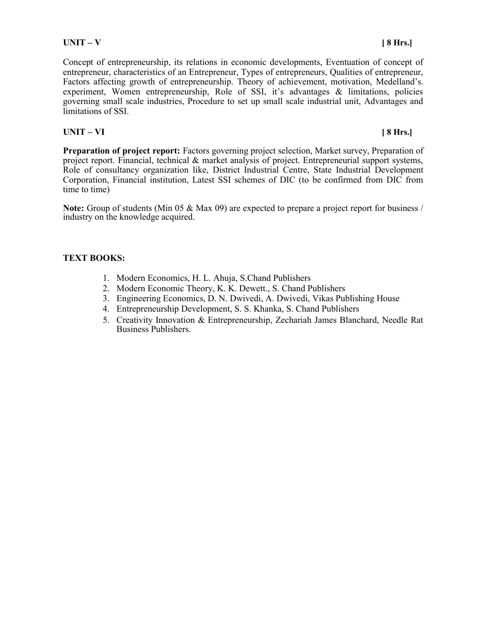**UNIT – V [ 8 Hrs.]**

Concept of entrepreneurship, its relations in economic developments, Eventuation of concept of entrepreneur, characteristics of an Entrepreneur, Types of entrepreneurs, Qualities of entrepreneur, Factors affecting growth of entrepreneurship. Theory of achievement, motivation, Medelland's. experiment, Women entrepreneurship, Role of SSI, it's advantages & limitations, policies governing small scale industries, Procedure to set up small scale industrial unit, Advantages and limitations of SSI.

# **UNIT – VI [ 8 Hrs.]**

Preparation of project report: Factors governing project selection, Market survey, Preparation of project report. Financial, technical & market analysis of project. Entrepreneurial support systems, Role of consultancy organization like, District Industrial Centre, State Industrial Development Corporation, Financial institution, Latest SSI schemes of DIC (to be confirmed from DIC from time to time)

Note: Group of students (Min 05 & Max 09) are expected to prepare a project report for business / industry on the knowledge acquired.

# **TEXT BOOKS:**

- 1. Modern Economics, H. L. Ahuja, S.Chand Publishers
- 2. Modern Economic Theory, K. K. Dewett., S. Chand Publishers
- 3. Engineering Economics, D. N. Dwivedi, A. Dwivedi, Vikas Publishing House
- 4. Entrepreneurship Development, S. S. Khanka, S. Chand Publishers
- 5. Creativity Innovation & Entrepreneurship, Zechariah James Blanchard, Needle Rat Business Publishers.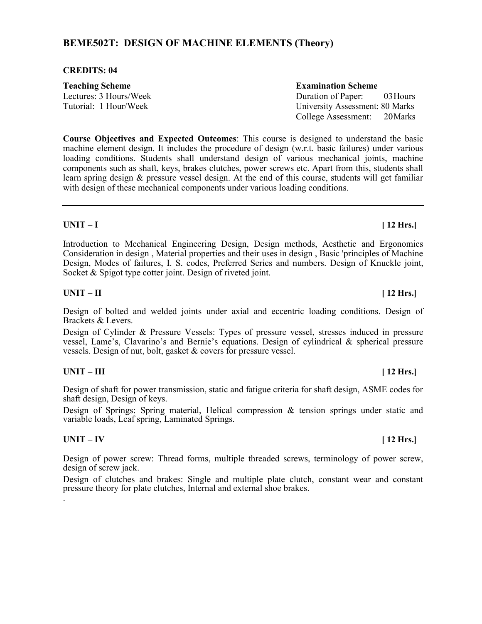# **BEME502T: DESIGN OF MACHINE ELEMENTS (Theory)**

#### **CREDITS: 04**

| <b>Teaching Scheme</b> | <b>Examination Scheme</b>              |
|------------------------|----------------------------------------|
| Lectures: 3 Hours/Week | Duration of Paper: 03 Hours            |
| Tutorial: 1 Hour/Week  | <b>University Assessment: 80 Marks</b> |
|                        | College Assessment: 20 Marks           |

**Course Objectives and Expected Outcomes**: This course is designed to understand the basic machine element design. It includes the procedure of design (w.r.t. basic failures) under various loading conditions. Students shall understand design of various mechanical joints, machine components such as shaft, keys, brakes clutches, power screws etc. Apart from this, students shall learn spring design & pressure vessel design. At the end of this course, students will get familiar with design of these mechanical components under various loading conditions.

#### **UNIT – I [ 12 Hrs.]**

Introduction to Mechanical Engineering Design, Design methods, Aesthetic and Ergonomics Consideration in design , Material properties and their uses in design , Basic 'principles of Machine Design, Modes of failures, I. S. codes, Preferred Series and numbers. Design of Knuckle joint, Socket & Spigot type cotter joint. Design of riveted joint.

### **UNIT – II [ 12 Hrs.]**

Design of bolted and welded joints under axial and eccentric loading conditions. Design of Brackets & Levers.

Design of Cylinder & Pressure Vessels: Types of pressure vessel, stresses induced in pressure vessel, Lame's, Clavarino's and Bernie's equations. Design of cylindrical & spherical pressure vessels. Design of nut, bolt, gasket & covers for pressure vessel.

#### **UNIT – III [ 12 Hrs.]**

Design of shaft for power transmission, static and fatigue criteria for shaft design, ASME codes for shaft design, Design of keys.

Design of Springs: Spring material, Helical compression & tension springs under static and variable loads, Leaf spring, Laminated Springs.

#### **UNIT – IV [ 12 Hrs.]**

.

Design of power screw: Thread forms, multiple threaded screws, terminology of power screw, design of screw jack.

Design of clutches and brakes: Single and multiple plate clutch, constant wear and constant pressure theory for plate clutches, Internal and external shoe brakes.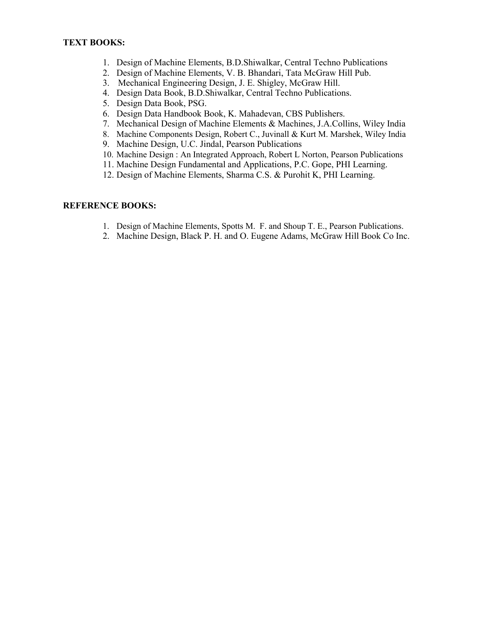- 1. Design of Machine Elements, B.D.Shiwalkar, Central Techno Publications
- 2. Design of Machine Elements, V. B. Bhandari, Tata McGraw Hill Pub.
- 3. Mechanical Engineering Design, J. E. Shigley, McGraw Hill.
- 4. Design Data Book, B.D.Shiwalkar, Central Techno Publications.
- 5. Design Data Book, PSG.
- 6. Design Data Handbook Book, K. Mahadevan, CBS Publishers.
- 7. Mechanical Design of Machine Elements & Machines, J.A.Collins, Wiley India
- 8. Machine Components Design, Robert C., Juvinall & Kurt M. Marshek, Wiley India
- 9. Machine Design, U.C. Jindal, Pearson Publications
- 10. Machine Design : An Integrated Approach, Robert L Norton, Pearson Publications
- 11. Machine Design Fundamental and Applications, P.C. Gope, PHI Learning.
- 12. Design of Machine Elements, Sharma C.S. & Purohit K, PHI Learning.

# **REFERENCE BOOKS:**

- 1. Design of Machine Elements, Spotts M. F. and Shoup T. E., Pearson Publications.
- 2. Machine Design, Black P. H. and O. Eugene Adams, McGraw Hill Book Co Inc.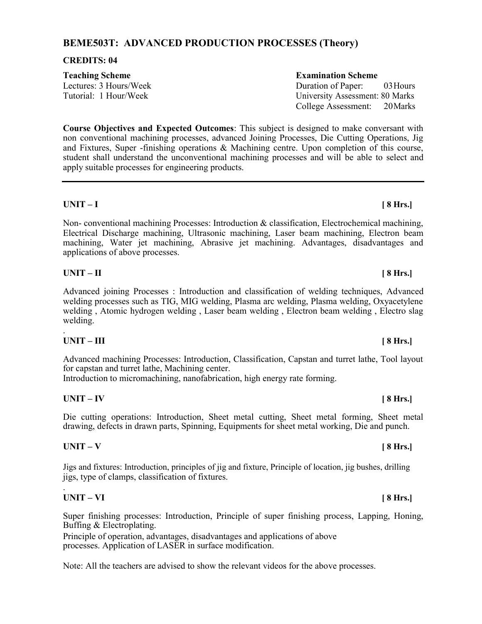# **BEME503T: ADVANCED PRODUCTION PROCESSES (Theory)**

#### **CREDITS: 04**

# **Teaching Scheme Examination Scheme**

Lectures: 3 Hours/Week Duration of Paper: 03Hours Tutorial: 1 Hour/Week University Assessment: 80 Marks College Assessment: 20Marks

**Course Objectives and Expected Outcomes**: This subject is designed to make conversant with non conventional machining processes, advanced Joining Processes, Die Cutting Operations, Jig and Fixtures, Super -finishing operations & Machining centre. Upon completion of this course, student shall understand the unconventional machining processes and will be able to select and apply suitable processes for engineering products.

### **UNIT – I [ 8 Hrs.]**

Non- conventional machining Processes: Introduction  $\&$  classification, Electrochemical machining, Electrical Discharge machining, Ultrasonic machining, Laser beam machining, Electron beam machining, Water jet machining, Abrasive jet machining. Advantages, disadvantages and applications of above processes.

### **UNIT – II [ 8 Hrs.]**

Advanced joining Processes : Introduction and classification of welding techniques, Advanced welding processes such as TIG, MIG welding, Plasma arc welding, Plasma welding, Oxyacetylene welding , Atomic hydrogen welding , Laser beam welding , Electron beam welding , Electro slag welding.

### **UNIT – III [ 8 Hrs.]**

.

Advanced machining Processes: Introduction, Classification, Capstan and turret lathe, Tool layout for capstan and turret lathe, Machining center.

Introduction to micromachining, nanofabrication, high energy rate forming.

### **UNIT – IV [ 8 Hrs.]**

Die cutting operations: Introduction, Sheet metal cutting, Sheet metal forming, Sheet metal drawing, defects in drawn parts, Spinning, Equipments for sheet metal working, Die and punch.

#### **UNIT – V [ 8 Hrs.]**

Jigs and fixtures: Introduction, principles of jig and fixture, Principle of location, jig bushes, drilling jigs, type of clamps, classification of fixtures.

#### . **UNIT – VI [ 8 Hrs.]**

Super finishing processes: Introduction, Principle of super finishing process, Lapping, Honing, Buffing & Electroplating.

Principle of operation, advantages, disadvantages and applications of above processes. Application of LASER in surface modification.

Note: All the teachers are advised to show the relevant videos for the above processes.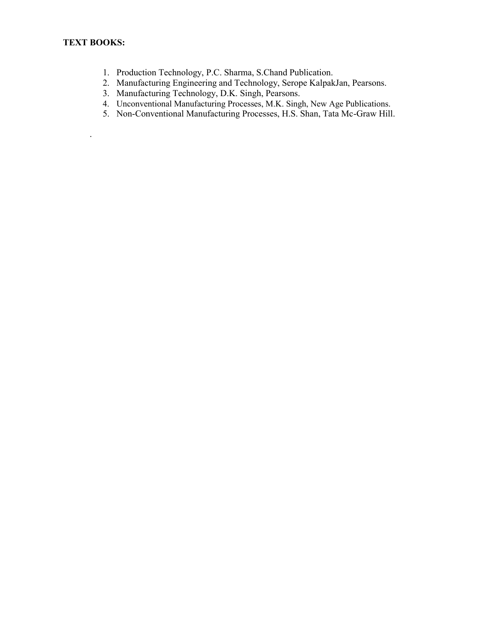.

- 1. Production Technology, P.C. Sharma, S.Chand Publication.
- 2. Manufacturing Engineering and Technology, Serope KalpakJan, Pearsons.
- 3. Manufacturing Technology, D.K. Singh, Pearsons.
- 4. Unconventional Manufacturing Processes, M.K. Singh, New Age Publications.
- 5. Non-Conventional Manufacturing Processes, H.S. Shan, Tata Mc-Graw Hill.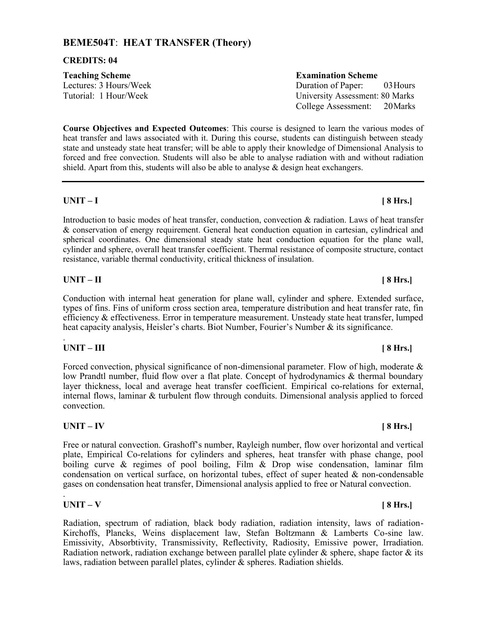# **BEME504T**: **HEAT TRANSFER (Theory)**

#### **CREDITS: 04**

# **Teaching Scheme Examination Scheme**

**Course Objectives and Expected Outcomes**: This course is designed to learn the various modes of heat transfer and laws associated with it. During this course, students can distinguish between steady state and unsteady state heat transfer; will be able to apply their knowledge of Dimensional Analysis to forced and free convection. Students will also be able to analyse radiation with and without radiation shield. Apart from this, students will also be able to analyse & design heat exchangers.

### **UNIT – I [ 8 Hrs.]**

Introduction to basic modes of heat transfer, conduction, convection & radiation. Laws of heat transfer & conservation of energy requirement. General heat conduction equation in cartesian, cylindrical and spherical coordinates. One dimensional steady state heat conduction equation for the plane wall, cylinder and sphere, overall heat transfer coefficient. Thermal resistance of composite structure, contact resistance, variable thermal conductivity, critical thickness of insulation.

### **UNIT – II [ 8 Hrs.]**

Conduction with internal heat generation for plane wall, cylinder and sphere. Extended surface, types of fins. Fins of uniform cross section area, temperature distribution and heat transfer rate, fin efficiency & effectiveness. Error in temperature measurement. Unsteady state heat transfer, lumped heat capacity analysis, Heisler's charts. Biot Number, Fourier's Number & its significance.

### **UNIT – III [ 8 Hrs.]**

.

Forced convection, physical significance of non-dimensional parameter. Flow of high, moderate & low Prandtl number, fluid flow over a flat plate. Concept of hydrodynamics & thermal boundary layer thickness, local and average heat transfer coefficient. Empirical co-relations for external, internal flows, laminar & turbulent flow through conduits. Dimensional analysis applied to forced convection.

#### **UNIT – IV [ 8 Hrs.]**

Free or natural convection. Grashoff's number, Rayleigh number, flow over horizontal and vertical plate, Empirical Co-relations for cylinders and spheres, heat transfer with phase change, pool boiling curve & regimes of pool boiling, Film & Drop wise condensation, laminar film condensation on vertical surface, on horizontal tubes, effect of super heated & non-condensable gases on condensation heat transfer, Dimensional analysis applied to free or Natural convection.

## **UNIT – V [ 8 Hrs.]**

.

Radiation, spectrum of radiation, black body radiation, radiation intensity, laws of radiation-Kirchoffs, Plancks, Weins displacement law, Stefan Boltzmann & Lamberts Co-sine law. Emissivity, Absorbtivity, Transmissivity, Reflectivity, Radiosity, Emissive power, Irradiation. Radiation network, radiation exchange between parallel plate cylinder  $\&$  sphere, shape factor  $\&$  its laws, radiation between parallel plates, cylinder & spheres. Radiation shields.

Lectures: 3 Hours/Week Duration of Paper: 03Hours Tutorial: 1 Hour/Week University Assessment: 80 Marks College Assessment: 20Marks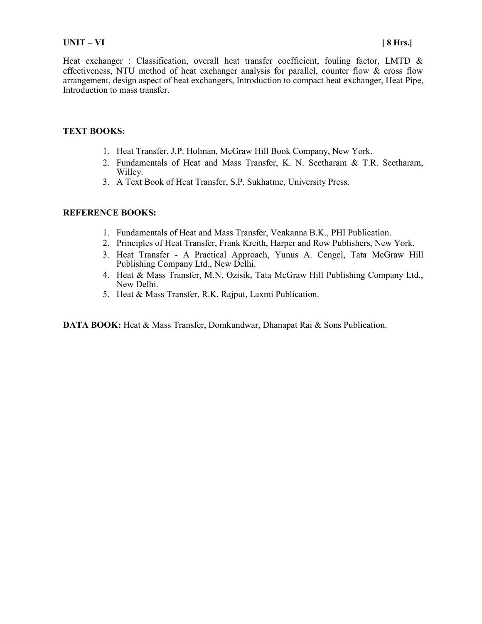### **UNIT – VI [ 8 Hrs.]**

Heat exchanger : Classification, overall heat transfer coefficient, fouling factor, LMTD & effectiveness, NTU method of heat exchanger analysis for parallel, counter flow & cross flow arrangement, design aspect of heat exchangers, Introduction to compact heat exchanger, Heat Pipe, Introduction to mass transfer.

### **TEXT BOOKS:**

- 1. Heat Transfer, J.P. Holman, McGraw Hill Book Company, New York.
- 2. Fundamentals of Heat and Mass Transfer, K. N. Seetharam & T.R. Seetharam, Willey.
- 3. A Text Book of Heat Transfer, S.P. Sukhatme, University Press.

### **REFERENCE BOOKS:**

- 1. Fundamentals of Heat and Mass Transfer, Venkanna B.K., PHI Publication.
- 2. Principles of Heat Transfer, Frank Kreith, Harper and Row Publishers, New York.
- 3. Heat Transfer A Practical Approach, Yunus A. Cengel, Tata McGraw Hill Publishing Company Ltd., New Delhi.
- 4. Heat & Mass Transfer, M.N. Ozisik, Tata McGraw Hill Publishing Company Ltd., New Delhi.
- 5. Heat & Mass Transfer, R.K. Rajput, Laxmi Publication.

**DATA BOOK:** Heat & Mass Transfer, Domkundwar, Dhanapat Rai & Sons Publication.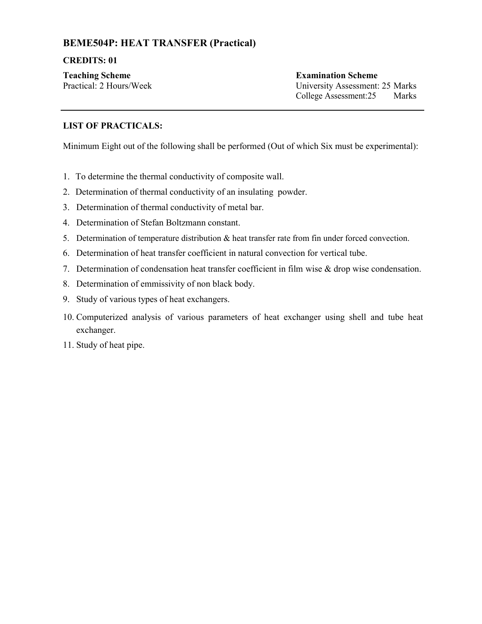# **BEME504P: HEAT TRANSFER (Practical)**

### **CREDITS: 01**

**Teaching Scheme Examination Scheme**

Practical: 2 Hours/Week University Assessment: 25 Marks College Assessment:25 Marks

# **LIST OF PRACTICALS:**

Minimum Eight out of the following shall be performed (Out of which Six must be experimental):

- 1. To determine the thermal conductivity of composite wall.
- 2. Determination of thermal conductivity of an insulating powder.
- 3. Determination of thermal conductivity of metal bar.
- 4. Determination of Stefan Boltzmann constant.
- 5. Determination of temperature distribution & heat transfer rate from fin under forced convection.
- 6. Determination of heat transfer coefficient in natural convection for vertical tube.
- 7. Determination of condensation heat transfer coefficient in film wise & drop wise condensation.
- 8. Determination of emmissivity of non black body.
- 9. Study of various types of heat exchangers.
- 10. Computerized analysis of various parameters of heat exchanger using shell and tube heat exchanger.
- 11. Study of heat pipe.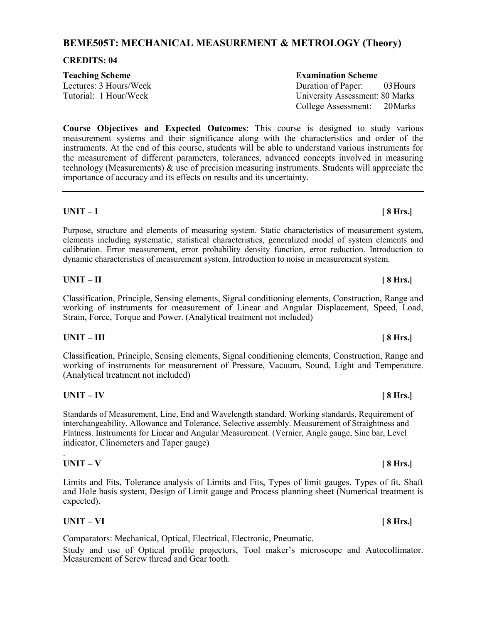# **BEME505T: MECHANICAL MEASUREMENT & METROLOGY (Theory)**

#### **CREDITS: 04**

| <b>Teaching Scheme</b> | <b>Examination Scheme</b>              |
|------------------------|----------------------------------------|
| Lectures: 3 Hours/Week | Duration of Paper: 03 Hours            |
| Tutorial: 1 Hour/Week  | <b>University Assessment: 80 Marks</b> |
|                        | College Assessment: 20 Marks           |

**Course Objectives and Expected Outcomes**: This course is designed to study various measurement systems and their significance along with the characteristics and order of the instruments. At the end of this course, students will be able to understand various instruments for the measurement of different parameters, tolerances, advanced concepts involved in measuring technology (Measurements)  $\&$  use of precision measuring instruments. Students will appreciate the importance of accuracy and its effects on results and its uncertainty.

### **UNIT – I [ 8 Hrs.]**

Purpose, structure and elements of measuring system. Static characteristics of measurement system, elements including systematic, statistical characteristics, generalized model of system elements and calibration. Error measurement, error probability density function, error reduction. Introduction to dynamic characteristics of measurement system. Introduction to noise in measurement system.

### **UNIT – II [ 8 Hrs.]**

Classification, Principle, Sensing elements, Signal conditioning elements, Construction, Range and working of instruments for measurement of Linear and Angular Displacement, Speed, Load, Strain, Force, Torque and Power. (Analytical treatment not included)

### **UNIT – III [ 8 Hrs.]**

Classification, Principle, Sensing elements, Signal conditioning elements, Construction, Range and working of instruments for measurement of Pressure, Vacuum, Sound, Light and Temperature. (Analytical treatment not included)

### **UNIT – IV [ 8 Hrs.]**

Standards of Measurement, Line, End and Wavelength standard. Working standards, Requirement of interchangeability, Allowance and Tolerance, Selective assembly. Measurement of Straightness and Flatness. Instruments for Linear and Angular Measurement. (Vernier, Angle gauge, Sine bar, Level indicator, Clinometers and Taper gauge)

### **UNIT – V [ 8 Hrs.]**

.

Limits and Fits, Tolerance analysis of Limits and Fits, Types of limit gauges, Types of fit, Shaft and Hole basis system, Design of Limit gauge and Process planning sheet (Numerical treatment is expected).

### **UNIT – VI [ 8 Hrs.]**

Comparators: Mechanical, Optical, Electrical, Electronic, Pneumatic.

Study and use of Optical profile projectors, Tool maker's microscope and Autocollimator. Measurement of Screw thread and Gear tooth.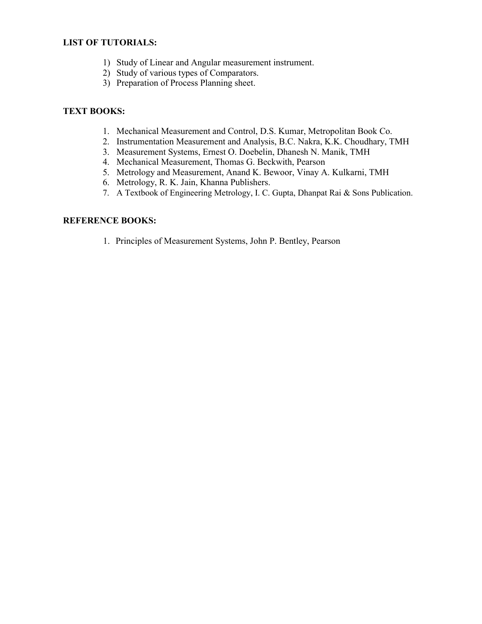### **LIST OF TUTORIALS:**

- 1) Study of Linear and Angular measurement instrument.
- 2) Study of various types of Comparators.
- 3) Preparation of Process Planning sheet.

#### **TEXT BOOKS:**

- 1. Mechanical Measurement and Control, D.S. Kumar, Metropolitan Book Co.
- 2. Instrumentation Measurement and Analysis, B.C. Nakra, K.K. Choudhary, TMH
- 3. Measurement Systems, Ernest O. Doebelin, Dhanesh N. Manik, TMH
- 4. Mechanical Measurement, Thomas G. Beckwith, Pearson
- 5. Metrology and Measurement, Anand K. Bewoor, Vinay A. Kulkarni, TMH
- 6. Metrology, R. K. Jain, Khanna Publishers.
- 7. A Textbook of Engineering Metrology, I. C. Gupta, Dhanpat Rai & Sons Publication.

### **REFERENCE BOOKS:**

1. Principles of Measurement Systems, John P. Bentley, Pearson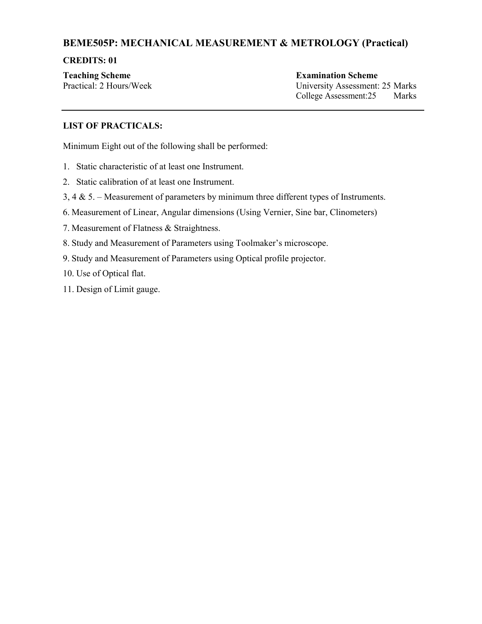# **BEME505P: MECHANICAL MEASUREMENT & METROLOGY (Practical)**

#### **CREDITS: 01**

**Teaching Scheme Examination Scheme**

Practical: 2 Hours/Week University Assessment: 25 Marks College Assessment:25 Marks

### **LIST OF PRACTICALS:**

Minimum Eight out of the following shall be performed:

- 1. Static characteristic of at least one Instrument.
- 2. Static calibration of at least one Instrument.
- 3, 4  $\&$  5. Measurement of parameters by minimum three different types of Instruments.
- 6. Measurement of Linear, Angular dimensions (Using Vernier, Sine bar, Clinometers)
- 7. Measurement of Flatness & Straightness.
- 8. Study and Measurement of Parameters using Toolmaker's microscope.
- 9. Study and Measurement of Parameters using Optical profile projector.

10. Use of Optical flat.

11. Design of Limit gauge.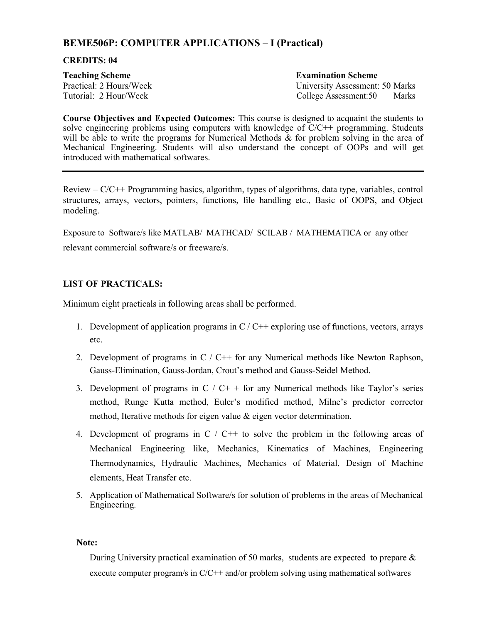# **BEME506P: COMPUTER APPLICATIONS – I (Practical)**

#### **CREDITS: 04**

**Teaching Scheme Examination Scheme**

Practical: 2 Hours/Week University Assessment: 50 Marks Tutorial: 2 Hour/Week College Assessment:50 Marks

**Course Objectives and Expected Outcomes:** This course is designed to acquaint the students to solve engineering problems using computers with knowledge of  $C/C++$  programming. Students will be able to write the programs for Numerical Methods & for problem solving in the area of Mechanical Engineering. Students will also understand the concept of OOPs and will get introduced with mathematical softwares.

Review  $-C/C++$  Programming basics, algorithm, types of algorithms, data type, variables, control structures, arrays, vectors, pointers, functions, file handling etc., Basic of OOPS, and Object modeling.

Exposure to Software/s like MATLAB/ MATHCAD/ SCILAB / MATHEMATICA or any other relevant commercial software/s or freeware/s.

# **LIST OF PRACTICALS:**

Minimum eight practicals in following areas shall be performed.

- 1. Development of application programs in  $C/C++$  exploring use of functions, vectors, arrays etc.
- 2. Development of programs in C / C++ for any Numerical methods like Newton Raphson, Gauss-Elimination, Gauss-Jordan, Crout's method and Gauss-Seidel Method.
- 3. Development of programs in  $C / C^+$  + for any Numerical methods like Taylor's series method, Runge Kutta method, Euler's modified method, Milne's predictor corrector method, Iterative methods for eigen value & eigen vector determination.
- 4. Development of programs in  $C / C^{++}$  to solve the problem in the following areas of Mechanical Engineering like, Mechanics, Kinematics of Machines, Engineering Thermodynamics, Hydraulic Machines, Mechanics of Material, Design of Machine elements, Heat Transfer etc.
- 5. Application of Mathematical Software/s for solution of problems in the areas of Mechanical Engineering.

#### **Note:**

During University practical examination of 50 marks, students are expected to prepare  $\&$ execute computer program/s in C/C++ and/or problem solving using mathematical softwares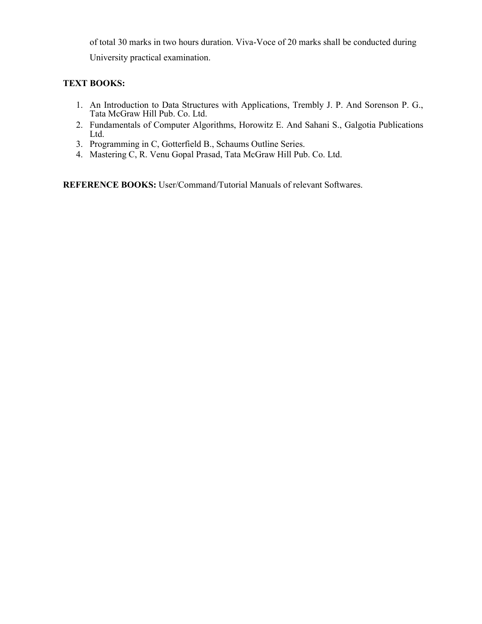of total 30 marks in two hours duration. Viva-Voce of 20 marks shall be conducted during University practical examination.

# **TEXT BOOKS:**

- 1. An Introduction to Data Structures with Applications, Trembly J. P. And Sorenson P. G., Tata McGraw Hill Pub. Co. Ltd.
- 2. Fundamentals of Computer Algorithms, Horowitz E. And Sahani S., Galgotia Publications Ltd.
- 3. Programming in C, Gotterfield B., Schaums Outline Series.
- 4. Mastering C, R. Venu Gopal Prasad, Tata McGraw Hill Pub. Co. Ltd.

**REFERENCE BOOKS:** User/Command/Tutorial Manuals of relevant Softwares.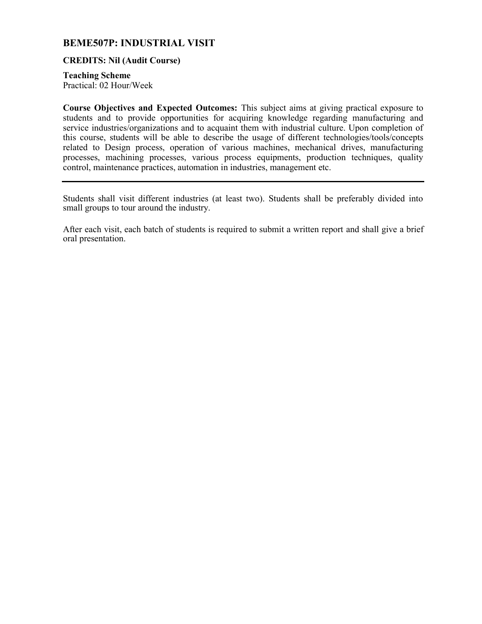# **BEME507P: INDUSTRIAL VISIT**

#### **CREDITS: Nil (Audit Course)**

**Teaching Scheme**

Practical: 02 Hour/Week

**Course Objectives and Expected Outcomes:** This subject aims at giving practical exposure to students and to provide opportunities for acquiring knowledge regarding manufacturing and service industries/organizations and to acquaint them with industrial culture. Upon completion of this course, students will be able to describe the usage of different technologies/tools/concepts related to Design process, operation of various machines, mechanical drives, manufacturing processes, machining processes, various process equipments, production techniques, quality control, maintenance practices, automation in industries, management etc.

Students shall visit different industries (at least two). Students shall be preferably divided into small groups to tour around the industry.

After each visit, each batch of students is required to submit a written report and shall give a brief oral presentation.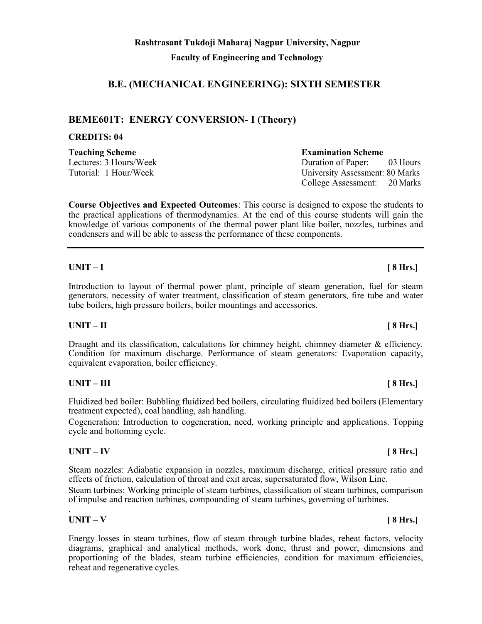# **B.E. (MECHANICAL ENGINEERING): SIXTH SEMESTER**

# **BEME601T: ENERGY CONVERSION- I (Theory)**

# **CREDITS: 04**

**Teaching Scheme Examination Scheme**

**Course Objectives and Expected Outcomes**: This course is designed to expose the students to the practical applications of thermodynamics. At the end of this course students will gain the knowledge of various components of the thermal power plant like boiler, nozzles, turbines and condensers and will be able to assess the performance of these components.

# **UNIT – I [ 8 Hrs.]**

Introduction to layout of thermal power plant, principle of steam generation, fuel for steam generators, necessity of water treatment, classification of steam generators, fire tube and water tube boilers, high pressure boilers, boiler mountings and accessories.

### **UNIT – II [ 8 Hrs.]**

Draught and its classification, calculations for chimney height, chimney diameter  $\&$  efficiency. Condition for maximum discharge. Performance of steam generators: Evaporation capacity, equivalent evaporation, boiler efficiency.

### **UNIT – III [ 8 Hrs.]**

Fluidized bed boiler: Bubbling fluidized bed boilers, circulating fluidized bed boilers (Elementary treatment expected), coal handling, ash handling.

Cogeneration: Introduction to cogeneration, need, working principle and applications. Topping cycle and bottoming cycle.

### **UNIT – IV [ 8 Hrs.]**

Steam nozzles: Adiabatic expansion in nozzles, maximum discharge, critical pressure ratio and effects of friction, calculation of throat and exit areas, supersaturated flow, Wilson Line.

Steam turbines: Working principle of steam turbines, classification of steam turbines, comparison of impulse and reaction turbines, compounding of steam turbines, governing of turbines.

### . **UNIT – V [ 8 Hrs.]**

Energy losses in steam turbines, flow of steam through turbine blades, reheat factors, velocity diagrams, graphical and analytical methods, work done, thrust and power, dimensions and proportioning of the blades, steam turbine efficiencies, condition for maximum efficiencies, reheat and regenerative cycles.

Lectures: 3 Hours/Week Duration of Paper: 03 Hours Tutorial: 1 Hour/Week University Assessment: 80 Marks College Assessment: 20 Marks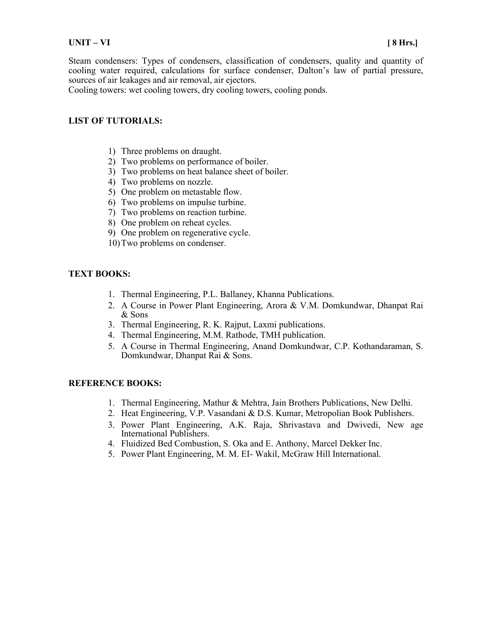Steam condensers: Types of condensers, classification of condensers, quality and quantity of cooling water required, calculations for surface condenser, Dalton's law of partial pressure, sources of air leakages and air removal, air ejectors.

Cooling towers: wet cooling towers, dry cooling towers, cooling ponds.

#### **LIST OF TUTORIALS:**

- 1) Three problems on draught.
- 2) Two problems on performance of boiler.
- 3) Two problems on heat balance sheet of boiler.
- 4) Two problems on nozzle.
- 5) One problem on metastable flow.
- 6) Two problems on impulse turbine.
- 7) Two problems on reaction turbine.
- 8) One problem on reheat cycles.
- 9) One problem on regenerative cycle.
- 10)Two problems on condenser.

### **TEXT BOOKS:**

- 1. Thermal Engineering, P.L. Ballaney, Khanna Publications.
- 2. A Course in Power Plant Engineering, Arora & V.M. Domkundwar, Dhanpat Rai & Sons
- 3. Thermal Engineering, R. K. Rajput, Laxmi publications.
- 4. Thermal Engineering, M.M. Rathode, TMH publication.
- 5. A Course in Thermal Engineering, Anand Domkundwar, C.P. Kothandaraman, S. Domkundwar, Dhanpat Rai & Sons.

### **REFERENCE BOOKS:**

- 1. Thermal Engineering, Mathur & Mehtra, Jain Brothers Publications, New Delhi.
- 2. Heat Engineering, V.P. Vasandani & D.S. Kumar, Metropolian Book Publishers.
- 3. Power Plant Engineering, A.K. Raja, Shrivastava and Dwivedi, New age International Publishers.
- 4. Fluidized Bed Combustion, S. Oka and E. Anthony, Marcel Dekker Inc.
- 5. Power Plant Engineering, M. M. EI- Wakil, McGraw Hill International.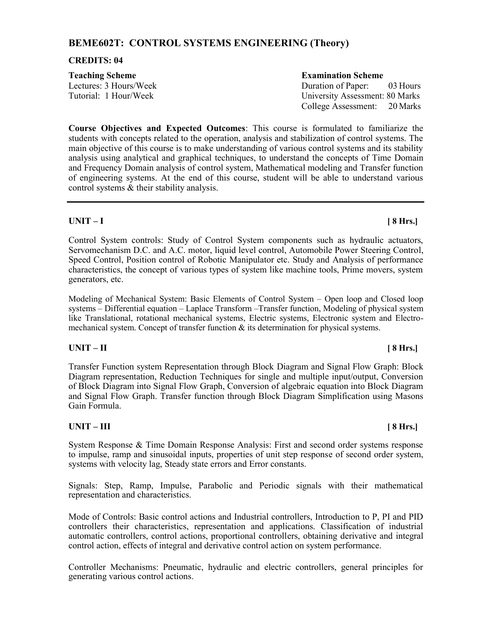# **BEME602T: CONTROL SYSTEMS ENGINEERING (Theory)**

#### **CREDITS: 04**

| <b>Teaching Scheme</b> | <b>Examination Scheme</b>              |
|------------------------|----------------------------------------|
| Lectures: 3 Hours/Week | Duration of Paper: 03 Hours            |
| Tutorial: 1 Hour/Week  | <b>University Assessment: 80 Marks</b> |
|                        | College Assessment: 20 Marks           |

**Course Objectives and Expected Outcomes**: This course is formulated to familiarize the students with concepts related to the operation, analysis and stabilization of control systems. The main objective of this course is to make understanding of various control systems and its stability analysis using analytical and graphical techniques, to understand the concepts of Time Domain and Frequency Domain analysis of control system, Mathematical modeling and Transfer function of engineering systems. At the end of this course, student will be able to understand various control systems & their stability analysis.

### **UNIT – I [ 8 Hrs.]**

Control System controls: Study of Control System components such as hydraulic actuators, Servomechanism D.C. and A.C. motor, liquid level control, Automobile Power Steering Control, Speed Control, Position control of Robotic Manipulator etc. Study and Analysis of performance characteristics, the concept of various types of system like machine tools, Prime movers, system generators, etc.

Modeling of Mechanical System: Basic Elements of Control System – Open loop and Closed loop systems – Differential equation – Laplace Transform –Transfer function, Modeling of physical system like Translational, rotational mechanical systems, Electric systems, Electronic system and Electromechanical system. Concept of transfer function & its determination for physical systems.

### **UNIT – II [ 8 Hrs.]**

Transfer Function system Representation through Block Diagram and Signal Flow Graph: Block Diagram representation, Reduction Techniques for single and multiple input/output, Conversion of Block Diagram into Signal Flow Graph, Conversion of algebraic equation into Block Diagram and Signal Flow Graph. Transfer function through Block Diagram Simplification using Masons Gain Formula.

### **UNIT – III [ 8 Hrs.]**

System Response & Time Domain Response Analysis: First and second order systems response to impulse, ramp and sinusoidal inputs, properties of unit step response of second order system, systems with velocity lag, Steady state errors and Error constants.

Signals: Step, Ramp, Impulse, Parabolic and Periodic signals with their mathematical representation and characteristics.

Mode of Controls: Basic control actions and Industrial controllers, Introduction to P, PI and PID controllers their characteristics, representation and applications. Classification of industrial automatic controllers, control actions, proportional controllers, obtaining derivative and integral control action, effects of integral and derivative control action on system performance.

Controller Mechanisms: Pneumatic, hydraulic and electric controllers, general principles for generating various control actions.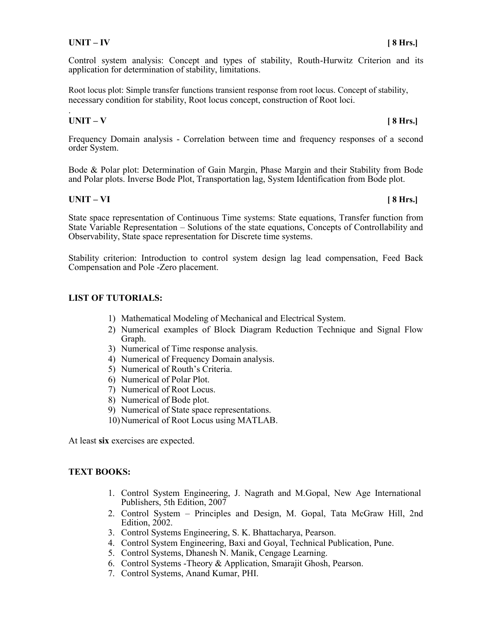Control system analysis: Concept and types of stability, Routh-Hurwitz Criterion and its application for determination of stability, limitations.

Root locus plot: Simple transfer functions transient response from root locus. Concept of stability, necessary condition for stability, Root locus concept, construction of Root loci.

#### . **UNIT – V [ 8 Hrs.]**

Frequency Domain analysis - Correlation between time and frequency responses of a second order System.

Bode & Polar plot: Determination of Gain Margin, Phase Margin and their Stability from Bode and Polar plots. Inverse Bode Plot, Transportation lag, System Identification from Bode plot.

### **UNIT – VI [ 8 Hrs.]**

State space representation of Continuous Time systems: State equations, Transfer function from State Variable Representation – Solutions of the state equations, Concepts of Controllability and Observability, State space representation for Discrete time systems.

Stability criterion: Introduction to control system design lag lead compensation, Feed Back Compensation and Pole -Zero placement.

### **LIST OF TUTORIALS:**

- 1) Mathematical Modeling of Mechanical and Electrical System.
- 2) Numerical examples of Block Diagram Reduction Technique and Signal Flow Graph.
- 3) Numerical of Time response analysis.
- 4) Numerical of Frequency Domain analysis.
- 5) Numerical of Routh's Criteria.
- 6) Numerical of Polar Plot.
- 7) Numerical of Root Locus.
- 8) Numerical of Bode plot.
- 9) Numerical of State space representations.
- 10)Numerical of Root Locus using MATLAB.

At least **six** exercises are expected.

#### **TEXT BOOKS:**

- 1. Control System Engineering, J. Nagrath and M.Gopal, New Age International Publishers, 5th Edition, 2007
- 2. Control System Principles and Design, M. Gopal, Tata McGraw Hill, 2nd Edition, 2002.
- 3. Control Systems Engineering, S. K. Bhattacharya, Pearson.
- 4. Control System Engineering, Baxi and Goyal, Technical Publication, Pune.
- 5. Control Systems, Dhanesh N. Manik, Cengage Learning.
- 6. Control Systems -Theory & Application, Smarajit Ghosh, Pearson.
- 7. Control Systems, Anand Kumar, PHI.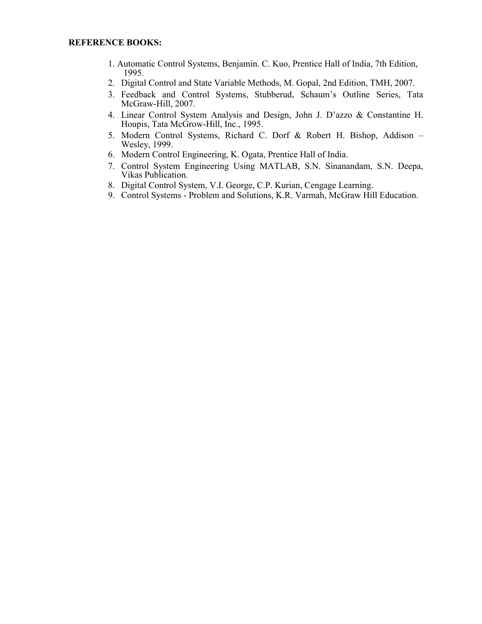- 1. Automatic Control Systems, Benjamin. C. Kuo, Prentice Hall of India, 7th Edition, 1995.
- 2. Digital Control and State Variable Methods, M. Gopal, 2nd Edition, TMH, 2007.
- 3. Feedback and Control Systems, Stubberud, Schaum's Outline Series, Tata McGraw-Hill, 2007.
- 4. Linear Control System Analysis and Design, John J. D'azzo & Constantine H. Houpis, Tata McGrow-Hill, Inc., 1995.
- 5. Modern Control Systems, Richard C. Dorf & Robert H. Bishop, Addison Wesley, 1999.
- 6. Modern Control Engineering, K. Ogata, Prentice Hall of India.
- 7. Control System Engineering Using MATLAB, S.N. Sinanandam, S.N. Deepa, Vikas Publication.
- 8. Digital Control System, V.I. George, C.P. Kurian, Cengage Learning.
- 9. Control Systems Problem and Solutions, K.R. Varmah, McGraw Hill Education.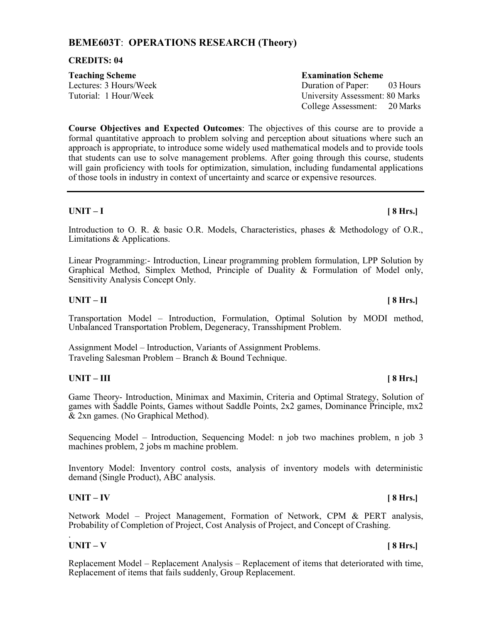# **BEME603T**: **OPERATIONS RESEARCH (Theory)**

#### **CREDITS: 04**

| <b>Teaching Scheme</b> | <b>Examination Scheme</b>              |
|------------------------|----------------------------------------|
| Lectures: 3 Hours/Week | Duration of Paper: 03 Hours            |
| Tutorial: 1 Hour/Week  | <b>University Assessment: 80 Marks</b> |
|                        | College Assessment: 20 Marks           |

**Course Objectives and Expected Outcomes**: The objectives of this course are to provide a formal quantitative approach to problem solving and perception about situations where such an approach is appropriate, to introduce some widely used mathematical models and to provide tools that students can use to solve management problems. After going through this course, students will gain proficiency with tools for optimization, simulation, including fundamental applications of those tools in industry in context of uncertainty and scarce or expensive resources.

# **UNIT – I [ 8 Hrs.]**

Introduction to O. R. & basic O.R. Models, Characteristics, phases & Methodology of O.R., Limitations & Applications.

Linear Programming:- Introduction, Linear programming problem formulation, LPP Solution by Graphical Method, Simplex Method, Principle of Duality & Formulation of Model only, Sensitivity Analysis Concept Only.

### **UNIT – II [ 8 Hrs.]**

Transportation Model – Introduction, Formulation, Optimal Solution by MODI method, Unbalanced Transportation Problem, Degeneracy, Transshipment Problem.

Assignment Model – Introduction, Variants of Assignment Problems. Traveling Salesman Problem – Branch & Bound Technique.

### **UNIT – III [ 8 Hrs.]**

Game Theory- Introduction, Minimax and Maximin, Criteria and Optimal Strategy, Solution of games with Saddle Points, Games without Saddle Points, 2x2 games, Dominance Principle, mx2 & 2xn games. (No Graphical Method).

Sequencing Model – Introduction, Sequencing Model: n job two machines problem, n job 3 machines problem, 2 jobs m machine problem.

Inventory Model: Inventory control costs, analysis of inventory models with deterministic demand (Single Product), ABC analysis.

### **UNIT – IV [ 8 Hrs.]**

Network Model – Project Management, Formation of Network, CPM & PERT analysis, Probability of Completion of Project, Cost Analysis of Project, and Concept of Crashing.

#### . **UNIT – V [ 8 Hrs.]**

Replacement Model – Replacement Analysis – Replacement of items that deteriorated with time, Replacement of items that fails suddenly, Group Replacement.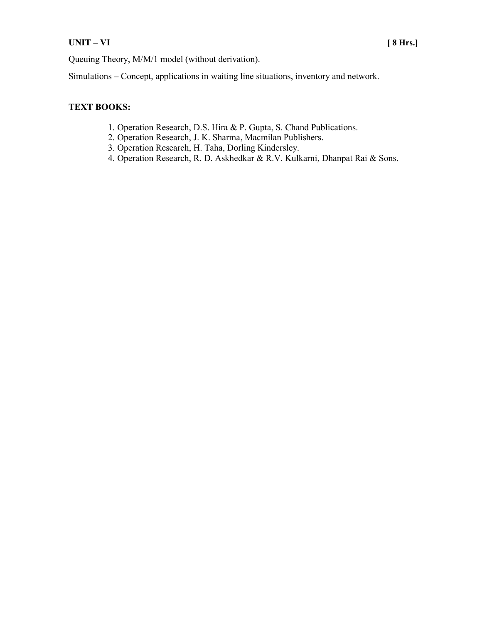# **UNIT – VI [ 8 Hrs.]**

Queuing Theory, M/M/1 model (without derivation).

Simulations – Concept, applications in waiting line situations, inventory and network.

### **TEXT BOOKS:**

- 1. Operation Research, D.S. Hira & P. Gupta, S. Chand Publications.
- 2. Operation Research, J. K. Sharma, Macmilan Publishers.
- 3. Operation Research, H. Taha, Dorling Kindersley.
- 4. Operation Research, R. D. Askhedkar & R.V. Kulkarni, Dhanpat Rai & Sons.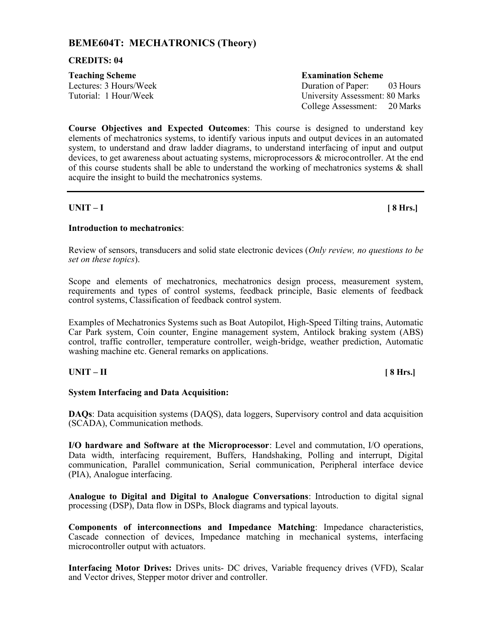# **BEME604T: MECHATRONICS (Theory)**

#### **CREDITS: 04**

| <b>Teaching Scheme</b> | <b>Examination Scheme</b>       |
|------------------------|---------------------------------|
| Lectures: 3 Hours/Week | Duration of Paper: 03 Hours     |
| Tutorial: 1 Hour/Week  | University Assessment: 80 Marks |
|                        | College Assessment: 20 Marks    |

**Course Objectives and Expected Outcomes**: This course is designed to understand key elements of mechatronics systems, to identify various inputs and output devices in an automated system, to understand and draw ladder diagrams, to understand interfacing of input and output devices, to get awareness about actuating systems, microprocessors & microcontroller. At the end of this course students shall be able to understand the working of mechatronics systems  $\&$  shall acquire the insight to build the mechatronics systems.

#### **UNIT – I [ 8 Hrs.]**

### **Introduction to mechatronics**:

Review of sensors, transducers and solid state electronic devices (*Only review, no questions to be set on these topics*).

Scope and elements of mechatronics, mechatronics design process, measurement system, requirements and types of control systems, feedback principle, Basic elements of feedback control systems, Classification of feedback control system.

Examples of Mechatronics Systems such as Boat Autopilot, High-Speed Tilting trains, Automatic Car Park system, Coin counter, Engine management system, Antilock braking system (ABS) control, traffic controller, temperature controller, weigh-bridge, weather prediction, Automatic washing machine etc. General remarks on applications.

### **UNIT – II [ 8 Hrs.]**

#### **System Interfacing and Data Acquisition:**

**DAQs**: Data acquisition systems (DAQS), data loggers, Supervisory control and data acquisition (SCADA), Communication methods.

**I/O hardware and Software at the Microprocessor**: Level and commutation, I/O operations, Data width, interfacing requirement, Buffers, Handshaking, Polling and interrupt, Digital communication, Parallel communication, Serial communication, Peripheral interface device (PIA), Analogue interfacing.

**Analogue to Digital and Digital to Analogue Conversations**: Introduction to digital signal processing (DSP), Data flow in DSPs, Block diagrams and typical layouts.

**Components of interconnections and Impedance Matching**: Impedance characteristics, Cascade connection of devices, Impedance matching in mechanical systems, interfacing microcontroller output with actuators.

**Interfacing Motor Drives:** Drives units- DC drives, Variable frequency drives (VFD), Scalar and Vector drives, Stepper motor driver and controller.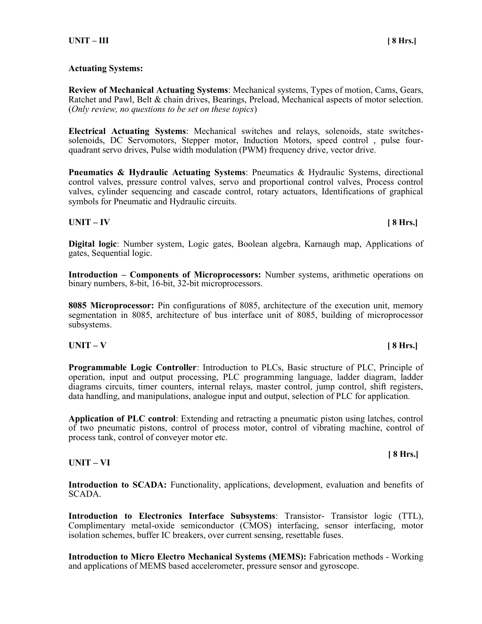#### **Actuating Systems:**

**Review of Mechanical Actuating Systems**: Mechanical systems, Types of motion, Cams, Gears, Ratchet and Pawl, Belt & chain drives, Bearings, Preload, Mechanical aspects of motor selection. (*Only review, no questions to be set on these topics*)

**Electrical Actuating Systems**: Mechanical switches and relays, solenoids, state switchessolenoids, DC Servomotors, Stepper motor, Induction Motors, speed control , pulse fourquadrant servo drives, Pulse width modulation (PWM) frequency drive, vector drive.

**Pneumatics & Hydraulic Actuating Systems**: Pneumatics & Hydraulic Systems, directional control valves, pressure control valves, servo and proportional control valves, Process control valves, cylinder sequencing and cascade control, rotary actuators, Identifications of graphical symbols for Pneumatic and Hydraulic circuits.

#### **UNIT – IV [ 8 Hrs.]**

**Digital logic**: Number system, Logic gates, Boolean algebra, Karnaugh map, Applications of gates, Sequential logic.

**Introduction – Components of Microprocessors:** Number systems, arithmetic operations on binary numbers, 8-bit, 16-bit, 32-bit microprocessors.

**8085 Microprocessor:** Pin configurations of 8085, architecture of the execution unit, memory segmentation in 8085, architecture of bus interface unit of 8085, building of microprocessor subsystems.

### **UNIT – V [ 8 Hrs.]**

**Programmable Logic Controller**: Introduction to PLCs, Basic structure of PLC, Principle of operation, input and output processing, PLC programming language, ladder diagram, ladder diagrams circuits, timer counters, internal relays, master control, jump control, shift registers, data handling, and manipulations, analogue input and output, selection of PLC for application.

**Application of PLC control**: Extending and retracting a pneumatic piston using latches, control of two pneumatic pistons, control of process motor, control of vibrating machine, control of process tank, control of conveyer motor etc.

#### **UNIT – VI**

Introduction to SCADA: Functionality, applications, development, evaluation and benefits of SCADA.

**Introduction to Electronics Interface Subsystems**: Transistor- Transistor logic (TTL), Complimentary metal-oxide semiconductor (CMOS) interfacing, sensor interfacing, motor isolation schemes, buffer IC breakers, over current sensing, resettable fuses.

**Introduction to Micro Electro Mechanical Systems (MEMS):** Fabrication methods - Working and applications of MEMS based accelerometer, pressure sensor and gyroscope.

#### **[ 8 Hrs.]**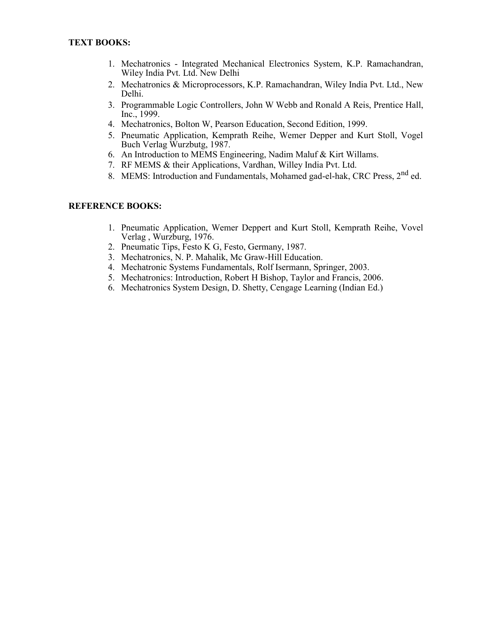- 1. Mechatronics Integrated Mechanical Electronics System, K.P. Ramachandran, Wiley India Pvt. Ltd. New Delhi
- 2. Mechatronics & Microprocessors, K.P. Ramachandran, Wiley India Pvt. Ltd., New Delhi.
- 3. Programmable Logic Controllers, John W Webb and Ronald A Reis, Prentice Hall, Inc., 1999.
- 4. Mechatronics, Bolton W, Pearson Education, Second Edition, 1999.
- 5. Pneumatic Application, Kemprath Reihe, Wemer Depper and Kurt Stoll, Vogel Buch Verlag Wurzbutg, 1987.
- 6. An Introduction to MEMS Engineering, Nadim Maluf & Kirt Willams.
- 7. RF MEMS & their Applications, Vardhan, Willey India Pvt. Ltd.
- 8. MEMS: Introduction and Fundamentals, Mohamed gad-el-hak, CRC Press, 2<sup>nd</sup> ed.

#### **REFERENCE BOOKS:**

- 1. Pneumatic Application, Wemer Deppert and Kurt Stoll, Kemprath Reihe, Vovel Verlag , Wurzburg, 1976.
- 2. Pneumatic Tips, Festo K G, Festo, Germany, 1987.
- 3. Mechatronics, N. P. Mahalik, Mc Graw-Hill Education.
- 4. Mechatronic Systems Fundamentals, Rolf Isermann, Springer, 2003.
- 5. Mechatronics: Introduction, Robert H Bishop, Taylor and Francis, 2006.
- 6. Mechatronics System Design, D. Shetty, Cengage Learning (Indian Ed.)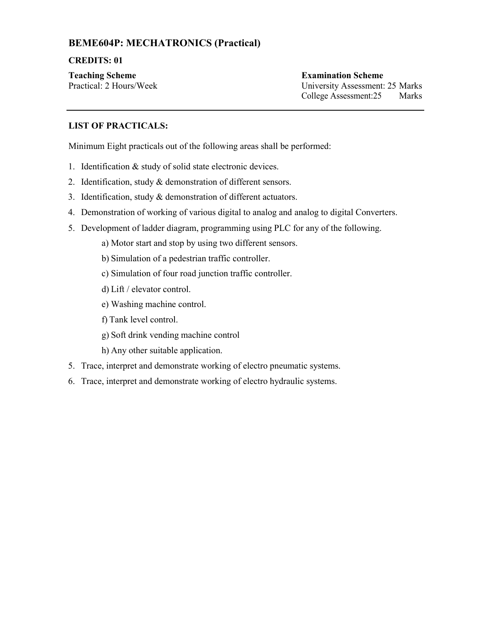# **BEME604P: MECHATRONICS (Practical)**

### **CREDITS: 01**

**Teaching Scheme Examination Scheme**

Practical: 2 Hours/Week University Assessment: 25 Marks College Assessment:25 Marks

# **LIST OF PRACTICALS:**

Minimum Eight practicals out of the following areas shall be performed:

- 1. Identification & study of solid state electronic devices.
- 2. Identification, study & demonstration of different sensors.
- 3. Identification, study & demonstration of different actuators.
- 4. Demonstration of working of various digital to analog and analog to digital Converters.
- 5. Development of ladder diagram, programming using PLC for any of the following.
	- a) Motor start and stop by using two different sensors.
	- b) Simulation of a pedestrian traffic controller.
	- c) Simulation of four road junction traffic controller.
	- d) Lift / elevator control.
	- e) Washing machine control.
	- f) Tank level control.
	- g) Soft drink vending machine control
	- h) Any other suitable application.
- 5. Trace, interpret and demonstrate working of electro pneumatic systems.
- 6. Trace, interpret and demonstrate working of electro hydraulic systems.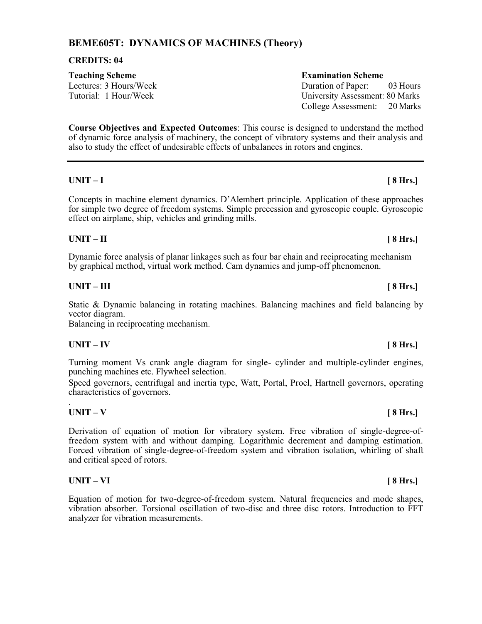# **BEME605T: DYNAMICS OF MACHINES (Theory)**

# **CREDITS: 04**

# **Teaching Scheme Examination Scheme**

Lectures: 3 Hours/Week Duration of Paper: 03 Hours

**Course Objectives and Expected Outcomes**: This course is designed to understand the method of dynamic force analysis of machinery, the concept of vibratory systems and their analysis and also to study the effect of undesirable effects of unbalances in rotors and engines.

# **UNIT – I [ 8 Hrs.]**

Concepts in machine element dynamics. D'Alembert principle. Application of these approaches for simple two degree of freedom systems. Simple precession and gyroscopic couple. Gyroscopic effect on airplane, ship, vehicles and grinding mills.

# **UNIT – II [ 8 Hrs.]**

Dynamic force analysis of planar linkages such as four bar chain and reciprocating mechanism by graphical method, virtual work method. Cam dynamics and jump-off phenomenon.

# **UNIT – III [ 8 Hrs.]**

Static & Dynamic balancing in rotating machines. Balancing machines and field balancing by vector diagram.

Balancing in reciprocating mechanism.

# **UNIT – IV [ 8 Hrs.]**

Turning moment Vs crank angle diagram for single- cylinder and multiple-cylinder engines, punching machines etc. Flywheel selection.

Speed governors, centrifugal and inertia type, Watt, Portal, Proel, Hartnell governors, operating characteristics of governors.

#### . **UNIT – V [ 8 Hrs.]**

Derivation of equation of motion for vibratory system. Free vibration of single-degree-offreedom system with and without damping. Logarithmic decrement and damping estimation. Forced vibration of single-degree-of-freedom system and vibration isolation, whirling of shaft and critical speed of rotors.

# **UNIT – VI [ 8 Hrs.]**

Equation of motion for two-degree-of-freedom system. Natural frequencies and mode shapes, vibration absorber. Torsional oscillation of two-disc and three disc rotors. Introduction to FFT analyzer for vibration measurements.

# Tutorial: 1 Hour/Week University Assessment: 80 Marks College Assessment: 20 Marks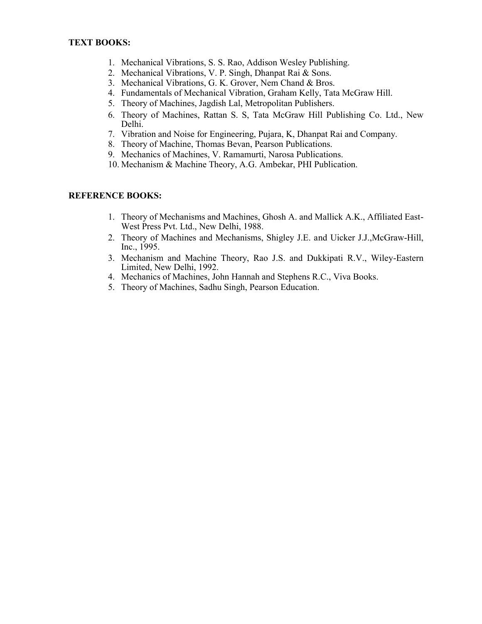- 1. Mechanical Vibrations, S. S. Rao, Addison Wesley Publishing.
- 2. Mechanical Vibrations, V. P. Singh, Dhanpat Rai & Sons.
- 3. Mechanical Vibrations, G. K. Grover, Nem Chand & Bros.
- 4. Fundamentals of Mechanical Vibration, Graham Kelly, Tata McGraw Hill.
- 5. Theory of Machines, Jagdish Lal, Metropolitan Publishers.
- 6. Theory of Machines, Rattan S. S, Tata McGraw Hill Publishing Co. Ltd., New Delhi.
- 7. Vibration and Noise for Engineering, Pujara, K, Dhanpat Rai and Company.
- 8. Theory of Machine, Thomas Bevan, Pearson Publications.
- 9. Mechanics of Machines, V. Ramamurti, Narosa Publications.
- 10. Mechanism & Machine Theory, A.G. Ambekar, PHI Publication.

### **REFERENCE BOOKS:**

- 1. Theory of Mechanisms and Machines, Ghosh A. and Mallick A.K., Affiliated East-West Press Pvt. Ltd., New Delhi, 1988.
- 2. Theory of Machines and Mechanisms, Shigley J.E. and Uicker J.J.,McGraw-Hill, Inc., 1995.
- 3. Mechanism and Machine Theory, Rao J.S. and Dukkipati R.V., Wiley-Eastern Limited, New Delhi, 1992.
- 4. Mechanics of Machines, John Hannah and Stephens R.C., Viva Books.
- 5. Theory of Machines, Sadhu Singh, Pearson Education.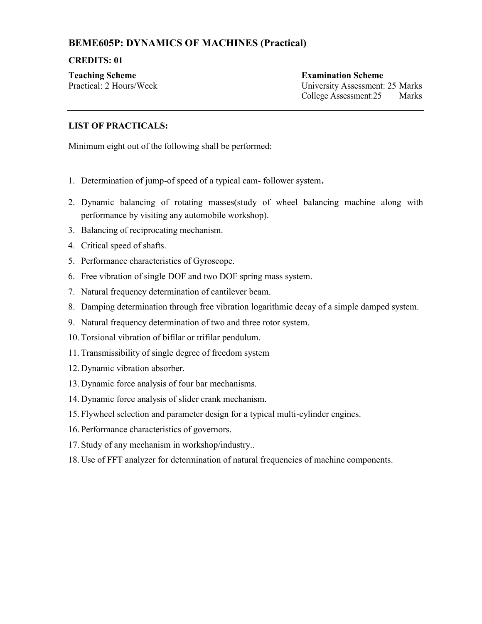# **BEME605P: DYNAMICS OF MACHINES (Practical)**

### **CREDITS: 01**

**Teaching Scheme Examination Scheme**

Practical: 2 Hours/Week University Assessment: 25 Marks College Assessment:25 Marks

## **LIST OF PRACTICALS:**

Minimum eight out of the following shall be performed:

- 1. Determination of jump-of speed of a typical cam- follower system.
- 2. Dynamic balancing of rotating masses(study of wheel balancing machine along with performance by visiting any automobile workshop).
- 3. Balancing of reciprocating mechanism.
- 4. Critical speed of shafts.
- 5. Performance characteristics of Gyroscope.
- 6. Free vibration of single DOF and two DOF spring mass system.
- 7. Natural frequency determination of cantilever beam.
- 8. Damping determination through free vibration logarithmic decay of a simple damped system.
- 9. Natural frequency determination of two and three rotor system.
- 10. Torsional vibration of bifilar or trifilar pendulum.
- 11. Transmissibility of single degree of freedom system
- 12. Dynamic vibration absorber.
- 13. Dynamic force analysis of four bar mechanisms.
- 14. Dynamic force analysis of slider crank mechanism.
- 15. Flywheel selection and parameter design for a typical multi-cylinder engines.
- 16. Performance characteristics of governors.
- 17. Study of any mechanism in workshop/industry..
- 18. Use of FFT analyzer for determination of natural frequencies of machine components.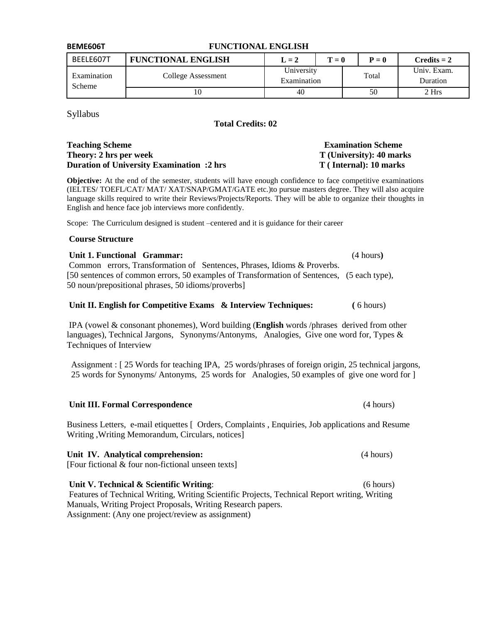| <b>BEME606T</b>       | <b>FUNCTIONAL ENGLISH</b> |                           |       |       |                         |
|-----------------------|---------------------------|---------------------------|-------|-------|-------------------------|
| BEELE607T             | <b>FUNCTIONAL ENGLISH</b> | $L = 2$                   | $T=0$ |       | $Credits = 2$           |
| Examination<br>Scheme | College Assessment        | University<br>Examination |       | Total | Univ. Exam.<br>Duration |
|                       | 10                        | 40                        |       | 50    | 2 Hrs                   |

Syllabus

### **Total Credits: 02**

#### **Teaching Scheme Examination Scheme Theory: 2 hrs per week T** (University): 40 marks **Duration of University Examination :2 hrs T (Internal): 10 marks**

**Objective:** At the end of the semester, students will have enough confidence to face competitive examinations (IELTES/ TOEFL/CAT/ MAT/ XAT/SNAP/GMAT/GATE etc.)to pursue masters degree. They will also acquire language skills required to write their Reviews/Projects/Reports. They will be able to organize their thoughts in English and hence face job interviews more confidently.

Scope: The Curriculum designed is student –centered and it is guidance for their career

#### **Course Structure**

Unit 1. Functional Grammar: *(4 hours) (4 hours)* Common errors, Transformation of Sentences, Phrases, Idioms & Proverbs. [50 sentences of common errors, 50 examples of Transformation of Sentences, (5 each type), 50 noun/prepositional phrases, 50 idioms/proverbs]

#### **Unit II. English for Competitive Exams & Interview Techniques:** (6 hours)

IPA (vowel & consonant phonemes), Word building (**English** words /phrases derived from other languages), Technical Jargons, Synonyms/Antonyms, Analogies, Give one word for, Types & Techniques of Interview

 Assignment : [ 25 Words for teaching IPA, 25 words/phrases of foreign origin, 25 technical jargons, 25 words for Synonyms/ Antonyms, 25 words for Analogies, 50 examples of give one word for ]

#### **Unit III. Formal Correspondence** (4 hours)

Business Letters, e-mail etiquettes [ Orders, Complaints , Enquiries, Job applications and Resume Writing ,Writing Memorandum, Circulars, notices]

#### Unit IV. Analytical comprehension: (4 hours)

[Four fictional & four non-fictional unseen texts]

**Unit V. Technical & Scientific Writing**: (6 hours) Features of Technical Writing, Writing Scientific Projects, Technical Report writing, Writing Manuals, Writing Project Proposals, Writing Research papers. Assignment: (Any one project/review as assignment)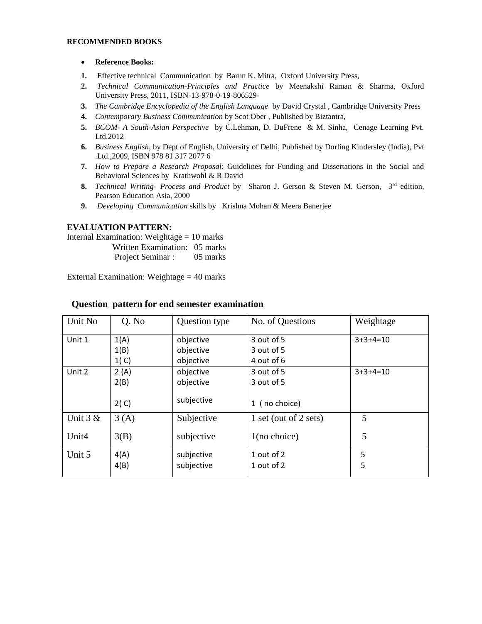#### **RECOMMENDED BOOKS**

#### **Reference Books:**

- **1.** Effective technical Communication by Barun K. Mitra, Oxford University Press,
- **2.** *Technical Communication-Principles and Practice* by Meenakshi Raman & Sharma, Oxford University Press, 2011, ISBN-13-978-0-19-806529-
- **3.** *The Cambridge Encyclopedia of the English Language* by David Crystal , Cambridge University Press
- **4.** *Contemporary Business Communication* by Scot Ober , Published by Biztantra,
- **5.** *BCOM- A South-Asian Perspective* by C.Lehman, D. DuFrene & M. Sinha, Cenage Learning Pvt. Ltd.2012
- **6.** *Business English*, by Dept of English, University of Delhi, Published by Dorling Kindersley (India), Pvt .Ltd.,2009, ISBN 978 81 317 2077 6
- **7.** *How to Prepare a Research Proposal*: Guidelines for Funding and Dissertations in the Social and Behavioral Sciences by Krathwohl & R David
- **8.** *Technical Writing- Process and Product* by Sharon J. Gerson & Steven M. Gerson, 3rd edition, Pearson Education Asia, 2000
- **9.** *Developing Communication* skills by Krishna Mohan & Meera Banerjee

#### **EVALUATION PATTERN:**

Internal Examination: Weightage = 10 marks

- Written Examination: 05 marks
- Project Seminar : 05 marks

External Examination: Weightage = 40 marks

| Unit No    | Q. No  | Question type | No. of Questions      | Weightage  |
|------------|--------|---------------|-----------------------|------------|
| Unit 1     | 1(A)   | objective     | 3 out of 5            | $3+3+4=10$ |
|            | 1(B)   | objective     | 3 out of 5            |            |
|            | 1( C ) | objective     | 4 out of 6            |            |
| Unit 2     | 2(A)   | objective     | 3 out of 5            | $3+3+4=10$ |
|            | 2(B)   | objective     | 3 out of 5            |            |
|            | 2(C)   | subjective    | 1 (no choice)         |            |
| Unit $3 &$ | 3(A)   | Subjective    | 1 set (out of 2 sets) | 5          |
| Unit4      | 3(B)   | subjective    | $1$ (no choice)       | 5          |
| Unit 5     | 4(A)   | subjective    | 1 out of 2            | 5          |
|            | 4(B)   | subjective    | 1 out of 2            | 5          |

#### **Question pattern for end semester examination**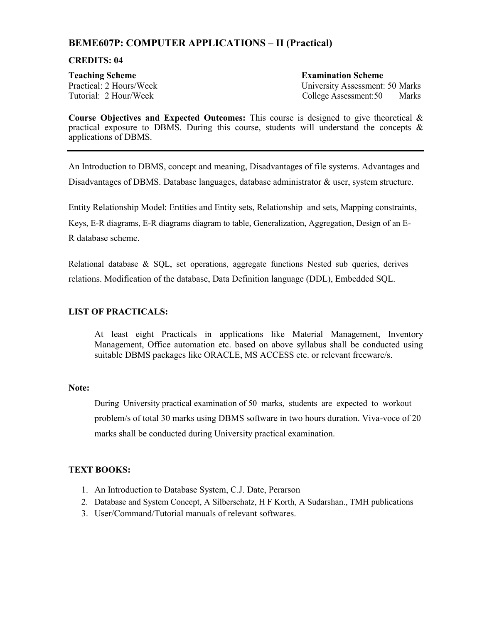# **BEME607P: COMPUTER APPLICATIONS – II (Practical)**

#### **CREDITS: 04**

**Teaching Scheme Examination Scheme**

Practical: 2 Hours/Week University Assessment: 50 Marks Tutorial: 2 Hour/Week College Assessment:50 Marks

**Course Objectives and Expected Outcomes:** This course is designed to give theoretical & practical exposure to DBMS. During this course, students will understand the concepts  $\&$ applications of DBMS.

An Introduction to DBMS, concept and meaning, Disadvantages of file systems. Advantages and Disadvantages of DBMS. Database languages, database administrator & user, system structure.

Entity Relationship Model: Entities and Entity sets, Relationship and sets, Mapping constraints, Keys, E-R diagrams, E-R diagrams diagram to table, Generalization, Aggregation, Design of an E-R database scheme.

Relational database & SQL, set operations, aggregate functions Nested sub queries, derives relations. Modification of the database, Data Definition language (DDL), Embedded SQL.

### **LIST OF PRACTICALS:**

At least eight Practicals in applications like Material Management, Inventory Management, Office automation etc. based on above syllabus shall be conducted using suitable DBMS packages like ORACLE, MS ACCESS etc. or relevant freeware/s.

#### **Note:**

During University practical examination of 50 marks, students are expected to workout problem/s of total 30 marks using DBMS software in two hours duration. Viva-voce of 20 marks shall be conducted during University practical examination.

# **TEXT BOOKS:**

- 1. An Introduction to Database System, C.J. Date, Perarson
- 2. Database and System Concept, A Silberschatz, H F Korth, A Sudarshan., TMH publications
- 3. User/Command/Tutorial manuals of relevant softwares.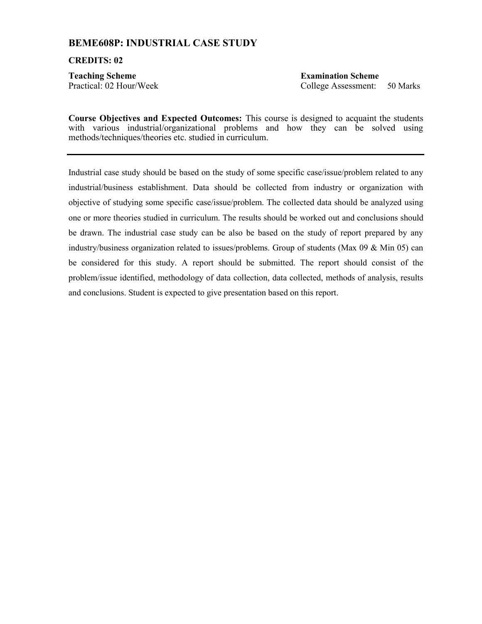# **BEME608P: INDUSTRIAL CASE STUDY**

#### **CREDITS: 02**

**Teaching Scheme Examination Scheme**

Practical: 02 Hour/Week College Assessment: 50 Marks

**Course Objectives and Expected Outcomes:** This course is designed to acquaint the students with various industrial/organizational problems and how they can be solved using methods/techniques/theories etc. studied in curriculum.

Industrial case study should be based on the study of some specific case/issue/problem related to any industrial/business establishment. Data should be collected from industry or organization with objective of studying some specific case/issue/problem. The collected data should be analyzed using one or more theories studied in curriculum. The results should be worked out and conclusions should be drawn. The industrial case study can be also be based on the study of report prepared by any industry/business organization related to issues/problems. Group of students (Max  $09 \&$  Min  $05$ ) can be considered for this study. A report should be submitted. The report should consist of the problem/issue identified, methodology of data collection, data collected, methods of analysis, results and conclusions. Student is expected to give presentation based on this report.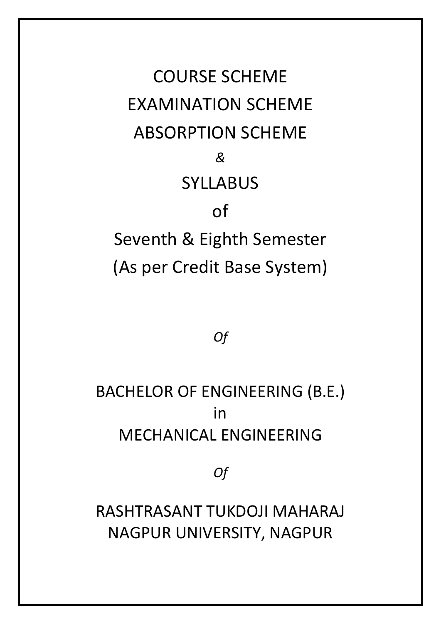COURSE SCHEME EXAMINATION SCHEME ABSORPTION SCHEME *&*  SYLLABUS of Seventh & Eighth Semester (As per Credit Base System)

*Of* 

BACHELOR OF ENGINEERING (B.E.) in MECHANICAL ENGINEERING

*Of* 

RASHTRASANT TUKDOJI MAHARAJ NAGPUR UNIVERSITY, NAGPUR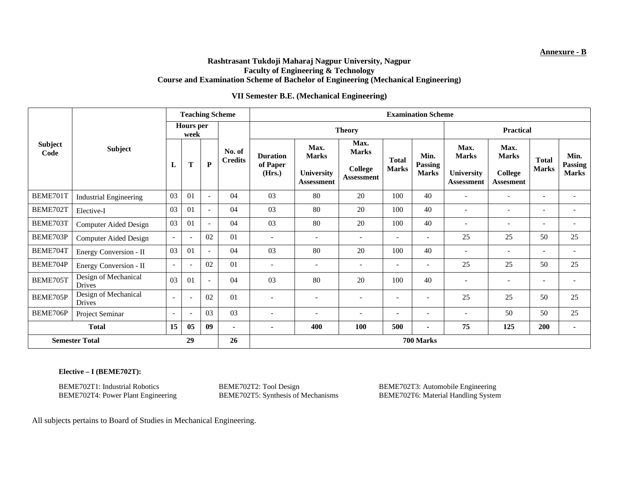#### **Annexure - B**

#### **Rashtrasant Tukdoji Maharaj Nagpur University, Nagpur Faculty of Engineering & Technology Course and Examination Scheme of Bachelor of Engineering (Mechanical Engineering)**

#### **VII Semester B.E. (Mechanical Engineering)**

|                        | <b>Subject</b>                        | <b>Teaching Scheme</b>   |                          |                          |                          | <b>Examination Scheme</b>             |                                                                |                                                             |                              |                                        |                                                         |                                                            |                              |                                        |
|------------------------|---------------------------------------|--------------------------|--------------------------|--------------------------|--------------------------|---------------------------------------|----------------------------------------------------------------|-------------------------------------------------------------|------------------------------|----------------------------------------|---------------------------------------------------------|------------------------------------------------------------|------------------------------|----------------------------------------|
| <b>Subject</b><br>Code |                                       | <b>Hours</b> per<br>week |                          |                          |                          |                                       | <b>Theory</b>                                                  |                                                             | <b>Practical</b>             |                                        |                                                         |                                                            |                              |                                        |
|                        |                                       | L                        | T                        | P                        | No. of<br><b>Credits</b> | <b>Duration</b><br>of Paper<br>(Hrs.) | Max.<br><b>Marks</b><br><b>University</b><br><b>Assessment</b> | Max.<br><b>Marks</b><br><b>College</b><br><b>Assessment</b> | <b>Total</b><br><b>Marks</b> | Min.<br><b>Passing</b><br><b>Marks</b> | Max.<br><b>Marks</b><br>University<br><b>Assessment</b> | Max.<br><b>Marks</b><br><b>College</b><br><b>Assesment</b> | <b>Total</b><br><b>Marks</b> | Min.<br><b>Passing</b><br><b>Marks</b> |
| BEME701T               | <b>Industrial Engineering</b>         | 03                       | 01                       | $\overline{\phantom{a}}$ | 04                       | 03                                    | 80                                                             | 20                                                          | 100                          | 40                                     | $\overline{\phantom{a}}$                                | $\overline{\phantom{a}}$                                   | $\overline{\phantom{a}}$     | $\overline{\phantom{a}}$               |
| BEME702T               | Elective-I                            | 03                       | 01                       | $\sim$                   | 04                       | 03                                    | 80                                                             | 20                                                          | 100                          | 40                                     | $\overline{\phantom{a}}$                                | $\overline{\phantom{a}}$                                   | $\overline{\phantom{a}}$     | ٠                                      |
| BEME703T               | Computer Aided Design                 | 03                       | 01                       | $\sim$                   | 04                       | 03                                    | 80                                                             | 20                                                          | 100                          | 40                                     | ۰                                                       | $\overline{\phantom{0}}$                                   | $\overline{\phantom{a}}$     |                                        |
| BEME703P               | <b>Computer Aided Design</b>          | $\sim$                   | $\overline{\phantom{a}}$ | 02                       | 01                       | $\overline{\phantom{a}}$              | $\overline{\phantom{a}}$                                       | $\overline{\phantom{a}}$                                    | $\overline{\phantom{a}}$     | $\overline{\phantom{a}}$               | 25                                                      | 25                                                         | 50                           | 25                                     |
| BEME704T               | Energy Conversion - II                | 03                       | 01                       | $\overline{\phantom{a}}$ | 04                       | 03                                    | 80                                                             | 20                                                          | 100                          | 40                                     | $\overline{\phantom{a}}$                                | $\overline{\phantom{0}}$                                   | $\overline{\phantom{a}}$     | $\overline{\phantom{a}}$               |
| BEME704P               | Energy Conversion - II                | $\overline{\phantom{a}}$ |                          | 02                       | 01                       | $\overline{\phantom{a}}$              | $\overline{\phantom{a}}$                                       | $\overline{\phantom{a}}$                                    | $\blacksquare$               | $\overline{\phantom{a}}$               | 25                                                      | 25                                                         | 50                           | 25                                     |
| BEME705T               | Design of Mechanical<br><b>Drives</b> | 03                       | 01                       | $\overline{\phantom{a}}$ | 04                       | 03                                    | 80                                                             | 20                                                          | 100                          | 40                                     | $\overline{\phantom{a}}$                                | $\overline{a}$                                             | $\overline{\phantom{a}}$     |                                        |
| BEME705P               | Design of Mechanical<br>Drives        | $\overline{\phantom{a}}$ |                          | 02                       | 01                       | $\overline{\phantom{a}}$              | $\overline{\phantom{a}}$                                       | $\overline{\phantom{a}}$                                    | $\overline{\phantom{a}}$     | $\overline{\phantom{a}}$               | 25                                                      | 25                                                         | 50                           | 25                                     |
| BEME706P               | Project Seminar                       | $\overline{\phantom{a}}$ | $\overline{\phantom{a}}$ | 03                       | 03                       | $\overline{\phantom{a}}$              | $\overline{\phantom{a}}$                                       | $\overline{\phantom{a}}$                                    | $\overline{\phantom{a}}$     | $\overline{\phantom{a}}$               | $\overline{\phantom{a}}$                                | 50                                                         | 50                           | 25                                     |
| <b>Total</b>           |                                       | 15                       | 05                       | 09                       | $\blacksquare$           | $\blacksquare$                        | 400                                                            | 100                                                         | 500                          | $\blacksquare$                         | 75                                                      | 125                                                        | 200                          | $\overline{\phantom{0}}$               |
| <b>Semester Total</b>  |                                       |                          | 29                       |                          | 26                       |                                       |                                                                |                                                             |                              | 700 Marks                              |                                                         |                                                            |                              |                                        |

#### **Elective – I (BEME702T):**

BEME702T4: Power Plant Engineering

BEME702T1: Industrial Robotics BEME702T2: Tool Design BEME702T3: Automobile Engineering BEME702T3: Automobile Engineering BEME702T4: Power Plant Engineering BEME702T5: Synthesis of Mechanisms BEME702T6: Material Handling S

All subjects pertains to Board of Studies in Mechanical Engineering.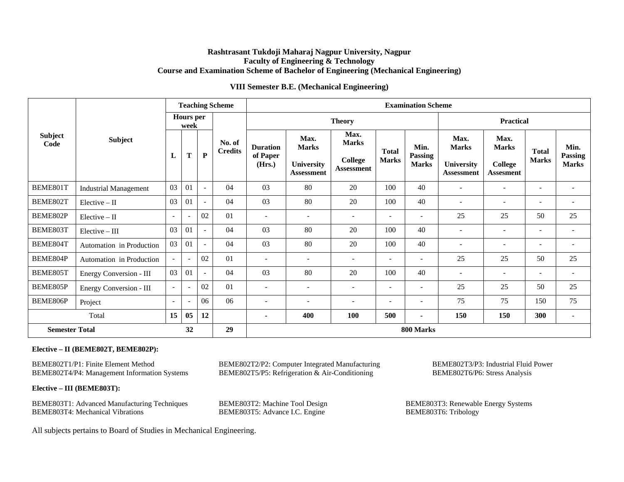#### **Rashtrasant Tukdoji Maharaj Nagpur University, Nagpur Faculty of Engineering & Technology Course and Examination Scheme of Bachelor of Engineering (Mechanical Engineering)**

#### **VIII Semester B.E. (Mechanical Engineering)**

|                        | <b>Subject</b>               | <b>Teaching Scheme</b>   |                |                          |                          | <b>Examination Scheme</b>             |                                                         |                                                             |                                       |                                 |                                                                |                                                     |                              |                                 |
|------------------------|------------------------------|--------------------------|----------------|--------------------------|--------------------------|---------------------------------------|---------------------------------------------------------|-------------------------------------------------------------|---------------------------------------|---------------------------------|----------------------------------------------------------------|-----------------------------------------------------|------------------------------|---------------------------------|
| <b>Subject</b><br>Code |                              | <b>Hours</b> per<br>week |                |                          |                          |                                       | <b>Theory</b>                                           |                                                             |                                       |                                 |                                                                | <b>Practical</b>                                    |                              |                                 |
|                        |                              | L                        | T              | ${\bf P}$                | No. of<br><b>Credits</b> | <b>Duration</b><br>of Paper<br>(Hrs.) | Max.<br><b>Marks</b><br>University<br><b>Assessment</b> | Max.<br><b>Marks</b><br><b>College</b><br><b>Assessment</b> | <b>Total</b><br><b>Marks</b>          | Min.<br>Passing<br><b>Marks</b> | Max.<br><b>Marks</b><br><b>University</b><br><b>Assessment</b> | Max.<br><b>Marks</b><br>College<br><b>Assesment</b> | <b>Total</b><br><b>Marks</b> | Min.<br>Passing<br><b>Marks</b> |
| BEME801T               | <b>Industrial Management</b> | 03                       | 01             | $\overline{\phantom{a}}$ | 04                       | 03                                    | 80                                                      | 20                                                          | 100                                   | 40                              | $\overline{\phantom{a}}$                                       | $\overline{\phantom{a}}$                            | $\overline{\phantom{a}}$     | $\overline{\phantom{a}}$        |
| BEME802T               | $Electric - II$              | 03                       | 01             | $\overline{\phantom{a}}$ | 04                       | 03                                    | 80                                                      | 20                                                          | 100<br>40<br>$\overline{\phantom{a}}$ |                                 |                                                                |                                                     | $\overline{\phantom{a}}$     |                                 |
| BEME802P               | $Electric - II$              | $\overline{\phantom{a}}$ |                | 02                       | 01                       | $\overline{\phantom{a}}$              | $\overline{\phantom{a}}$                                | $\overline{\phantom{a}}$                                    | $\overline{\phantom{a}}$              |                                 | 25                                                             | 25                                                  | 50                           | 25                              |
| BEME803T               | $Electric - III$             | 03                       | 01             | $\overline{\phantom{a}}$ | 04                       | 03                                    | 80                                                      | 20                                                          | 100                                   | 40                              | $\overline{\phantom{a}}$                                       | $\overline{\phantom{a}}$                            | $\sim$                       | $\overline{\phantom{a}}$        |
| BEME804T               | Automation in Production     | 03                       | 01             | $\overline{\phantom{a}}$ | 04                       | 03                                    | 80                                                      | 20                                                          | 100                                   | 40                              | $\overline{\phantom{a}}$                                       | $\overline{\phantom{a}}$                            | $\overline{\phantom{a}}$     | $\overline{\phantom{a}}$        |
| BEME804P               | Automation in Production     | $\overline{\phantom{a}}$ |                | 02                       | 01                       | $\overline{\phantom{a}}$              | $\overline{\phantom{a}}$                                | $\overline{\phantom{a}}$                                    | $\overline{\phantom{a}}$              | $\overline{\phantom{a}}$        | 25                                                             | 25                                                  | 50                           | 25                              |
| BEME805T               | Energy Conversion - III      | 03                       | 01             | $\overline{\phantom{a}}$ | 04                       | 03                                    | 80                                                      | 20                                                          | 100                                   | 40                              | $\overline{\phantom{a}}$                                       | $\overline{\phantom{a}}$                            | $\overline{\phantom{a}}$     | $\overline{\phantom{a}}$        |
| BEME805P               | Energy Conversion - III      | $\overline{\phantom{a}}$ |                | 02                       | 01                       | $\overline{\phantom{a}}$              | $\overline{\phantom{a}}$                                | $\overline{\phantom{a}}$                                    | $\blacksquare$                        | $\overline{\phantom{a}}$        | 25                                                             | 25                                                  | 50                           | 25                              |
| BEME806P               | Project                      | $\overline{\phantom{a}}$ |                | 06                       | 06                       | $\overline{a}$                        |                                                         |                                                             | $\overline{\phantom{0}}$              |                                 | 75                                                             | 75                                                  | 150                          | 75                              |
| Total                  |                              | 15                       | 0 <sub>5</sub> | 12                       |                          | $\blacksquare$                        | 400                                                     | <b>100</b>                                                  | 500                                   | $\blacksquare$                  | 150                                                            | 150                                                 | 300                          | $\overline{\phantom{a}}$        |
| <b>Semester Total</b>  |                              |                          | 32             |                          | 29                       |                                       |                                                         |                                                             |                                       | 800 Marks                       |                                                                |                                                     |                              |                                 |

#### **Elective – II (BEME802T, BEME802P):**

BEME802T1/P1: Finite Element Method BEME802T2/P2: Computer Integrated Manufacturing BEME802T3/P3: Industrial Fluid Power<br>BEME802T4/P4: Management Information Systems BEME802T5/P5: Refrigeration & Air-Conditioning BEME802T6 BEME802T5/P5: Refrigeration & Air-Conditioning

**Elective – III (BEME803T):** 

BEME803T1: Advanced Manufacturing Techniques BEME803T2: Machine Tool Design BEME803T3: BEME803T3: Renewable Energy Systems BEME803T4: Mechanical Vibrations BEME803T5: Advance I.C. Engine BEME803T6: Tribology BEME803T4: Mechanical Vibrations

All subjects pertains to Board of Studies in Mechanical Engineering.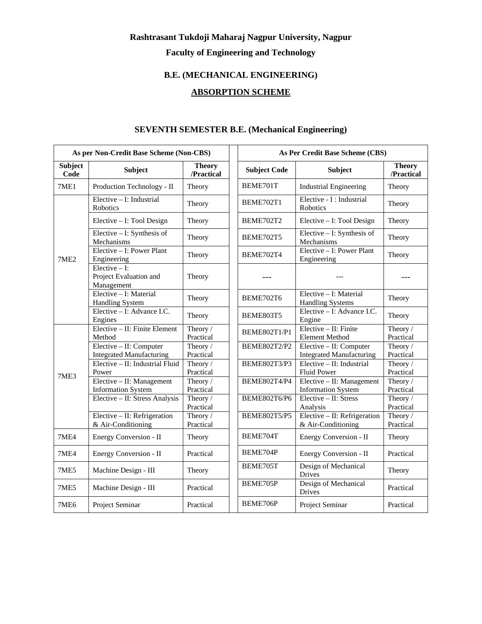# **Rashtrasant Tukdoji Maharaj Nagpur University, Nagpur Faculty of Engineering and Technology**

# **B.E. (MECHANICAL ENGINEERING)**

# **ABSORPTION SCHEME**

|                        | As per Non-Credit Base Scheme (Non-CBS)                    |                             | As Per Credit Base Scheme (CBS) |                                                            |  |
|------------------------|------------------------------------------------------------|-----------------------------|---------------------------------|------------------------------------------------------------|--|
| <b>Subject</b><br>Code | <b>Subject</b>                                             | <b>Theory</b><br>/Practical | <b>Subject Code</b>             | <b>Subject</b>                                             |  |
| 7ME1                   | Production Technology - II                                 | Theory                      | BEME701T                        | <b>Industrial Engineering</b>                              |  |
|                        | $Elective - I$ : Industrial<br>Robotics                    | Theory                      | BEME702T1                       | Elective - I : Industrial<br>Robotics                      |  |
| 7ME <sub>2</sub>       | Elective - I: Tool Design                                  | Theory                      | BEME702T2                       | Elective - I: Tool Design                                  |  |
|                        | Elective - I: Synthesis of<br>Mechanisms                   | Theory                      | BEME702T5                       | Elective - I: Synthesis of<br>Mechanisms                   |  |
|                        | Elective - I: Power Plant<br>Engineering                   | Theory                      | BEME702T4                       | Elective - I: Power Plant<br>Engineering                   |  |
|                        | Elective $-$ I:<br>Project Evaluation and<br>Management    | Theory                      |                                 |                                                            |  |
|                        | Elective - I: Material<br><b>Handling System</b>           | Theory                      | BEME702T6                       | Elective - I: Material<br><b>Handling Systems</b>          |  |
|                        | Elective - I: Advance I.C.<br>Engines                      | Theory                      | <b>BEME803T5</b>                | Elective - I: Advance I.C.<br>Engine                       |  |
| 7ME3                   | Elective - II: Finite Element<br>Method                    | Theory /<br>Practical       | BEME802T1/P1                    | Elective - II: Finite<br><b>Element Method</b>             |  |
|                        | Elective - II: Computer<br><b>Integrated Manufacturing</b> | Theory /<br>Practical       | <b>BEME802T2/P2</b>             | Elective - II: Computer<br><b>Integrated Manufacturing</b> |  |
|                        | Elective - II: Industrial Fluid<br>Power                   | Theory /<br>Practical       | <b>BEME802T3/P3</b>             | $Elective - II$ : Industrial<br><b>Fluid Power</b>         |  |
|                        | Elective - II: Management<br><b>Information System</b>     | Theory /<br>Practical       | <b>BEME802T4/P4</b>             | Elective - II: Management<br><b>Information System</b>     |  |
|                        | Elective - II: Stress Analysis                             | Theory /<br>Practical       | BEME802T6/P6                    | Elective - II: Stress<br>Analysis                          |  |
|                        | Elective - II: Refrigeration<br>& Air-Conditioning         | Theory /<br>Practical       | <b>BEME802T5/P5</b>             | Elective - II: Refrigeration<br>& Air-Conditioning         |  |
| 7ME4                   | Energy Conversion - II                                     | Theory                      | BEME704T                        | Energy Conversion - II                                     |  |
| 7ME4                   | Energy Conversion - II                                     | Practical                   | BEME704P                        | Energy Conversion - II                                     |  |
| 7ME5                   | Machine Design - III                                       | Theory                      | BEME705T                        | Design of Mechanical<br>Drives                             |  |
| 7ME5                   | Machine Design - III                                       | Practical                   | BEME705P                        | Design of Mechanical<br><b>Drives</b>                      |  |
| 7ME <sub>6</sub>       | Project Seminar                                            | Practical                   | BEME706P                        | Project Seminar                                            |  |

# **SEVENTH SEMESTER B.E. (Mechanical Engineering)**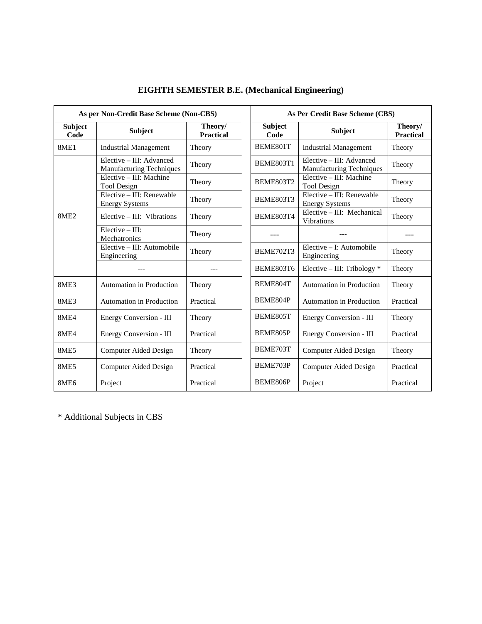|                        | As per Non-Credit Base Scheme (Non-CBS)                     |                             | As Per Credit Base Scheme (CBS) |                                                      |                             |  |
|------------------------|-------------------------------------------------------------|-----------------------------|---------------------------------|------------------------------------------------------|-----------------------------|--|
| <b>Subject</b><br>Code | <b>Subject</b>                                              | Theory/<br><b>Practical</b> | <b>Subject</b><br>Code          | <b>Subject</b>                                       | Theory/<br><b>Practical</b> |  |
| 8ME1                   | <b>Industrial Management</b>                                | Theory                      | BEME801T                        | <b>Industrial Management</b>                         | Theory                      |  |
|                        | Elective – III: Advanced<br><b>Manufacturing Techniques</b> | Theory                      | <b>BEME803T1</b>                | Elective – III: Advanced<br>Manufacturing Techniques | Theory                      |  |
|                        | Elective - III: Machine<br><b>Tool Design</b>               | Theory                      | <b>BEME803T2</b>                | Elective - III: Machine<br><b>Tool Design</b>        | Theory                      |  |
|                        | Elective – III: Renewable<br><b>Energy Systems</b>          | Theory                      | <b>BEME803T3</b>                | Elective – III: Renewable<br><b>Energy Systems</b>   | Theory                      |  |
| <b>8ME2</b>            | Elective $-$ III: Vibrations                                | Theory                      | <b>BEME803T4</b>                | Elective - III: Mechanical<br><b>Vibrations</b>      | Theory                      |  |
|                        | $Elective - III$ :<br>Mechatronics                          | Theory                      |                                 |                                                      |                             |  |
|                        | Elective – III: Automobile<br>Engineering                   | Theory                      | BEME702T3                       | Elective – I: Automobile<br>Engineering              | Theory                      |  |
|                        |                                                             |                             | <b>BEME803T6</b>                | Elective - III: Tribology *                          | Theory                      |  |
| <b>8ME3</b>            | <b>Automation in Production</b>                             | Theory                      | BEME804T                        | <b>Automation in Production</b>                      | Theory                      |  |
| <b>8ME3</b>            | <b>Automation in Production</b>                             | Practical                   | BEME804P                        | Automation in Production                             | Practical                   |  |
| 8ME4                   | Energy Conversion - III                                     | Theory                      | BEME805T                        | Energy Conversion - III                              | Theory                      |  |
| 8ME4                   | Energy Conversion - III                                     | Practical                   | BEME805P                        | <b>Energy Conversion - III</b>                       | Practical                   |  |
| <b>8ME5</b>            | <b>Computer Aided Design</b>                                | Theory                      | BEME703T                        | <b>Computer Aided Design</b>                         | Theory                      |  |
| <b>8ME5</b>            | Computer Aided Design                                       | Practical                   | BEME703P                        | Computer Aided Design                                | Practical                   |  |
| <b>8ME6</b>            | Project                                                     | Practical                   | BEME806P                        | Project                                              | Practical                   |  |

# **EIGHTH SEMESTER B.E. (Mechanical Engineering)**

\* Additional Subjects in CBS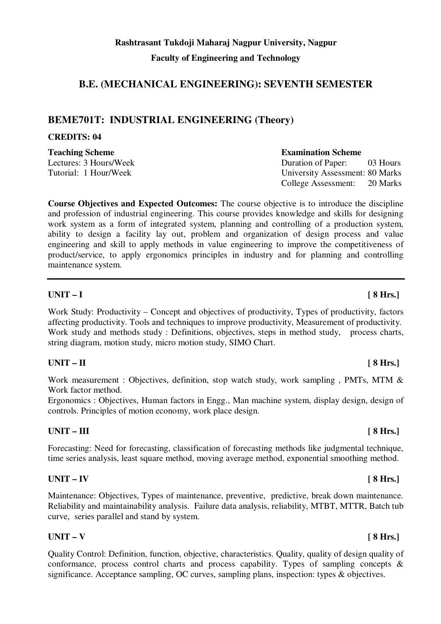# **B.E. (MECHANICAL ENGINEERING): SEVENTH SEMESTER**

# **BEME701T: INDUSTRIAL ENGINEERING (Theory)**

# **CREDITS: 04**

**Teaching Scheme Examination Scheme** 

Lectures: 3 Hours/Week Duration of Paper: 03 Hours

Tutorial: 1 Hour/Week University Assessment: 80 Marks College Assessment: 20 Marks

**Course Objectives and Expected Outcomes:** The course objective is to introduce the discipline and profession of industrial engineering. This course provides knowledge and skills for designing work system as a form of integrated system, planning and controlling of a production system, ability to design a facility lay out, problem and organization of design process and value engineering and skill to apply methods in value engineering to improve the competitiveness of product/service, to apply ergonomics principles in industry and for planning and controlling maintenance system.

# **UNIT – I [ 8 Hrs.]**

Work Study: Productivity – Concept and objectives of productivity, Types of productivity, factors affecting productivity. Tools and techniques to improve productivity, Measurement of productivity. Work study and methods study : Definitions, objectives, steps in method study, process charts, string diagram, motion study, micro motion study, SIMO Chart.

# UNIT – II [ 8 Hrs.]

Work measurement : Objectives, definition, stop watch study, work sampling, PMTs, MTM & Work factor method.

Ergonomics : Objectives, Human factors in Engg., Man machine system, display design, design of controls. Principles of motion economy, work place design.

# UNIT – III [ 8 Hrs.]

Forecasting: Need for forecasting, classification of forecasting methods like judgmental technique, time series analysis, least square method, moving average method, exponential smoothing method.

# **UNIT – IV [ 8 Hrs.]**

Maintenance: Objectives, Types of maintenance, preventive, predictive, break down maintenance. Reliability and maintainability analysis. Failure data analysis, reliability, MTBT, MTTR, Batch tub curve, series parallel and stand by system.

# $UNIT - V$  [ 8 Hrs.]

Quality Control: Definition, function, objective, characteristics. Quality, quality of design quality of conformance, process control charts and process capability. Types of sampling concepts & significance. Acceptance sampling, OC curves, sampling plans, inspection: types & objectives.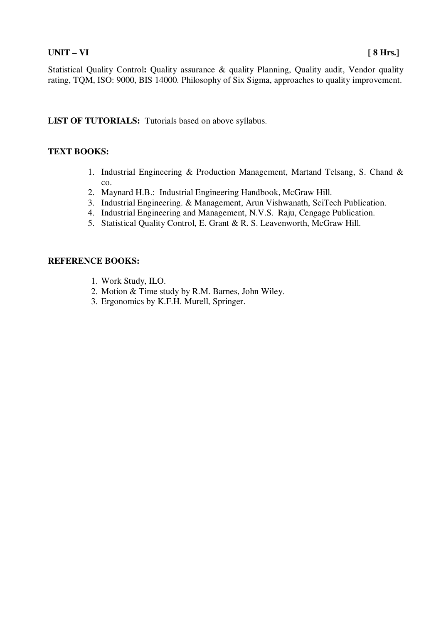Statistical Quality Control: Quality assurance & quality Planning, Quality audit, Vendor quality rating, TQM, ISO: 9000, BIS 14000. Philosophy of Six Sigma, approaches to quality improvement.

**LIST OF TUTORIALS:** Tutorials based on above syllabus.

### **TEXT BOOKS:**

- 1. Industrial Engineering & Production Management, Martand Telsang, S. Chand & co.
- 2. Maynard H.B.: Industrial Engineering Handbook, McGraw Hill.
- 3. Industrial Engineering. & Management, Arun Vishwanath, SciTech Publication.
- 4. Industrial Engineering and Management, N.V.S. Raju, Cengage Publication.
- 5. Statistical Quality Control, E. Grant & R. S. Leavenworth, McGraw Hill.

- 1. Work Study, ILO.
- 2. Motion & Time study by R.M. Barnes, John Wiley.
- 3. Ergonomics by K.F.H. Murell, Springer.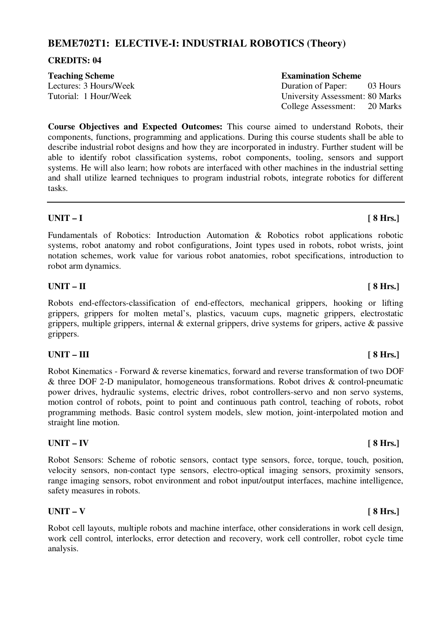# **BEME702T1: ELECTIVE-I: INDUSTRIAL ROBOTICS (Theory)**

### **CREDITS: 04**

**Course Objectives and Expected Outcomes:** This course aimed to understand Robots, their components, functions, programming and applications. During this course students shall be able to describe industrial robot designs and how they are incorporated in industry. Further student will be able to identify robot classification systems, robot components, tooling, sensors and support systems. He will also learn; how robots are interfaced with other machines in the industrial setting and shall utilize learned techniques to program industrial robots, integrate robotics for different tasks.

### **UNIT – I [ 8 Hrs.]**

Fundamentals of Robotics: Introduction Automation & Robotics robot applications robotic systems, robot anatomy and robot configurations, Joint types used in robots, robot wrists, joint notation schemes, work value for various robot anatomies, robot specifications, introduction to robot arm dynamics.

### UNIT – II [ 8 Hrs.]

Robots end-effectors-classification of end-effectors, mechanical grippers, hooking or lifting grippers, grippers for molten metal's, plastics, vacuum cups, magnetic grippers, electrostatic grippers, multiple grippers, internal & external grippers, drive systems for gripers, active & passive grippers.

# UNIT – III [ 8 Hrs.]

Robot Kinematics - Forward & reverse kinematics, forward and reverse transformation of two DOF & three DOF 2-D manipulator, homogeneous transformations. Robot drives & control-pneumatic power drives, hydraulic systems, electric drives, robot controllers-servo and non servo systems, motion control of robots, point to point and continuous path control, teaching of robots, robot programming methods. Basic control system models, slew motion, joint-interpolated motion and straight line motion.

### **UNIT – IV [ 8 Hrs.]**

Robot Sensors: Scheme of robotic sensors, contact type sensors, force, torque, touch, position, velocity sensors, non-contact type sensors, electro-optical imaging sensors, proximity sensors, range imaging sensors, robot environment and robot input/output interfaces, machine intelligence, safety measures in robots.

### $UNIT - V$  [ 8 Hrs.]

Robot cell layouts, multiple robots and machine interface, other considerations in work cell design, work cell control, interlocks, error detection and recovery, work cell controller, robot cycle time analysis.

#### **Teaching Scheme Examination Scheme**

Lectures: 3 Hours/Week Duration of Paper: 03 Hours Tutorial: 1 Hour/Week University Assessment: 80 Marks College Assessment: 20 Marks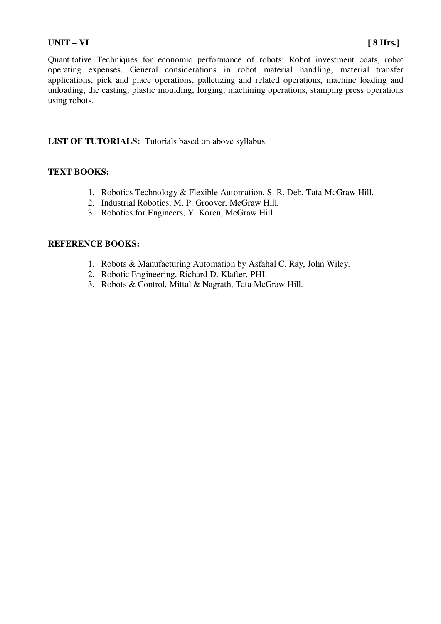#### **UNIT – VI [ 8 Hrs.]**

Quantitative Techniques for economic performance of robots: Robot investment coats, robot operating expenses. General considerations in robot material handling, material transfer applications, pick and place operations, palletizing and related operations, machine loading and unloading, die casting, plastic moulding, forging, machining operations, stamping press operations using robots.

**LIST OF TUTORIALS:** Tutorials based on above syllabus.

### **TEXT BOOKS:**

- 1. Robotics Technology & Flexible Automation, S. R. Deb, Tata McGraw Hill.
- 2. Industrial Robotics, M. P. Groover, McGraw Hill.
- 3. Robotics for Engineers, Y. Koren, McGraw Hill.

- 1. Robots & Manufacturing Automation by Asfahal C. Ray, John Wiley.
- 2. Robotic Engineering, Richard D. Klafter, PHI.
- 3. Robots & Control, Mittal & Nagrath, Tata McGraw Hill.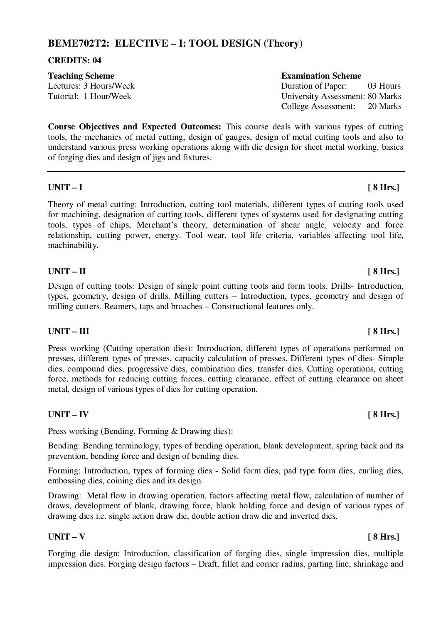# **BEME702T2: ELECTIVE – I: TOOL DESIGN (Theory)**

### **CREDITS: 04**

**Teaching Scheme Examination Scheme** 

Lectures: 3 Hours/Week Duration of Paper: 03 Hours Tutorial: 1 Hour/Week University Assessment: 80 Marks College Assessment: 20 Marks

**Course Objectives and Expected Outcomes:** This course deals with various types of cutting tools, the mechanics of metal cutting, design of gauges, design of metal cutting tools and also to understand various press working operations along with die design for sheet metal working, basics of forging dies and design of jigs and fixtures.

### **UNIT – I [ 8 Hrs.]**

Theory of metal cutting: Introduction, cutting tool materials, different types of cutting tools used for machining, designation of cutting tools, different types of systems used for designating cutting tools, types of chips, Merchant's theory, determination of shear angle, velocity and force relationship, cutting power, energy. Tool wear, tool life criteria, variables affecting tool life, machinability.

# **UNIT – II** [ 8 Hrs.]

Design of cutting tools: Design of single point cutting tools and form tools. Drills- Introduction, types, geometry, design of drills. Milling cutters – Introduction, types, geometry and design of milling cutters. Reamers, taps and broaches – Constructional features only.

# UNIT – III [ 8 Hrs.]

Press working (Cutting operation dies): Introduction, different types of operations performed on presses, different types of presses, capacity calculation of presses. Different types of dies- Simple dies, compound dies, progressive dies, combination dies, transfer dies. Cutting operations, cutting force, methods for reducing cutting forces, cutting clearance, effect of cutting clearance on sheet metal, design of various types of dies for cutting operation.

# **UNIT – IV [ 8 Hrs.]**

Press working (Bending. Forming & Drawing dies):

Bending: Bending terminology, types of bending operation, blank development, spring back and its prevention, bending force and design of bending dies.

Forming: Introduction, types of forming dies - Solid form dies, pad type form dies, curling dies, embossing dies, coining dies and its design.

Drawing: Metal flow in drawing operation, factors affecting metal flow, calculation of number of draws, development of blank, drawing force, blank holding force and design of various types of drawing dies i.e. single action draw die, double action draw die and inverted dies.

### $UNIT - V$  [ 8 Hrs.]

Forging die design: Introduction, classification of forging dies, single impression dies, multiple impression dies. Forging design factors – Draft, fillet and corner radius, parting line, shrinkage and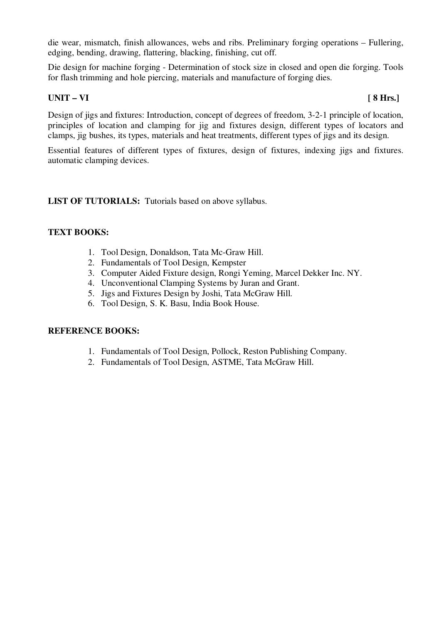die wear, mismatch, finish allowances, webs and ribs. Preliminary forging operations – Fullering, edging, bending, drawing, flattering, blacking, finishing, cut off.

Die design for machine forging - Determination of stock size in closed and open die forging. Tools for flash trimming and hole piercing, materials and manufacture of forging dies.

### UNIT – VI [ 8 Hrs.]

Design of jigs and fixtures: Introduction, concept of degrees of freedom, 3-2-1 principle of location, principles of location and clamping for jig and fixtures design, different types of locators and clamps, jig bushes, its types, materials and heat treatments, different types of jigs and its design.

Essential features of different types of fixtures, design of fixtures, indexing jigs and fixtures. automatic clamping devices.

**LIST OF TUTORIALS:** Tutorials based on above syllabus.

### **TEXT BOOKS:**

- 1. Tool Design, Donaldson, Tata Mc-Graw Hill.
- 2. Fundamentals of Tool Design, Kempster
- 3. Computer Aided Fixture design, Rongi Yeming, Marcel Dekker Inc. NY.
- 4. Unconventional Clamping Systems by Juran and Grant.
- 5. Jigs and Fixtures Design by Joshi, Tata McGraw Hill.
- 6. Tool Design, S. K. Basu, India Book House.

- 1. Fundamentals of Tool Design, Pollock, Reston Publishing Company.
- 2. Fundamentals of Tool Design, ASTME, Tata McGraw Hill.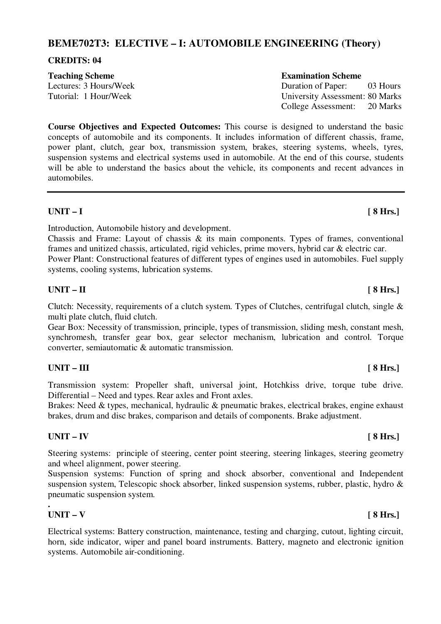# **BEME702T3: ELECTIVE – I: AUTOMOBILE ENGINEERING (Theory)**

### **CREDITS: 04**

**Course Objectives and Expected Outcomes:** This course is designed to understand the basic concepts of automobile and its components. It includes information of different chassis, frame, power plant, clutch, gear box, transmission system, brakes, steering systems, wheels, tyres, suspension systems and electrical systems used in automobile. At the end of this course, students will be able to understand the basics about the vehicle, its components and recent advances in automobiles.

# **UNIT – I [ 8 Hrs.]**

Introduction, Automobile history and development.

Chassis and Frame: Layout of chassis & its main components. Types of frames, conventional frames and unitized chassis, articulated, rigid vehicles, prime movers, hybrid car & electric car. Power Plant: Constructional features of different types of engines used in automobiles. Fuel supply systems, cooling systems, lubrication systems.

### **UNIT – II** [ 8 Hrs.]

Clutch: Necessity, requirements of a clutch system. Types of Clutches, centrifugal clutch, single & multi plate clutch, fluid clutch.

Gear Box: Necessity of transmission, principle, types of transmission, sliding mesh, constant mesh, synchromesh, transfer gear box, gear selector mechanism, lubrication and control. Torque converter, semiautomatic & automatic transmission.

# UNIT – III [ 8 Hrs.]

Transmission system: Propeller shaft, universal joint, Hotchkiss drive, torque tube drive. Differential – Need and types. Rear axles and Front axles.

Brakes: Need & types, mechanical, hydraulic & pneumatic brakes, electrical brakes, engine exhaust brakes, drum and disc brakes, comparison and details of components. Brake adjustment.

# **UNIT – IV [ 8 Hrs.]**

Steering systems: principle of steering, center point steering, steering linkages, steering geometry and wheel alignment, power steering.

Suspension systems: Function of spring and shock absorber, conventional and Independent suspension system, Telescopic shock absorber, linked suspension systems, rubber, plastic, hydro & pneumatic suspension system.

#### **. UNIT – V [ 8 Hrs.]**

Electrical systems: Battery construction, maintenance, testing and charging, cutout, lighting circuit, horn, side indicator, wiper and panel board instruments. Battery, magneto and electronic ignition systems. Automobile air-conditioning.

### **Teaching Scheme Examination Scheme**

Lectures: 3 Hours/Week Duration of Paper: 03 Hours Tutorial: 1 Hour/Week University Assessment: 80 Marks College Assessment: 20 Marks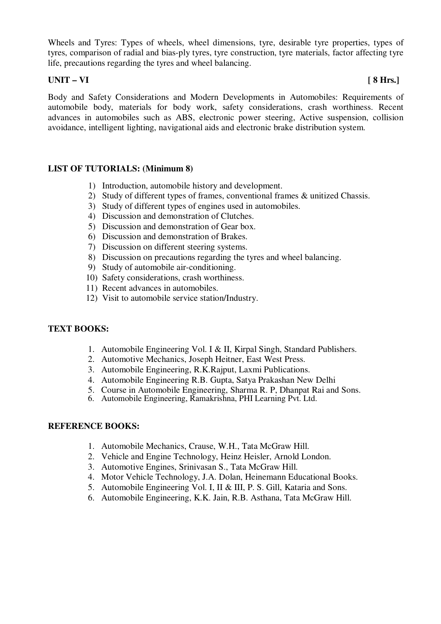Wheels and Tyres: Types of wheels, wheel dimensions, tyre, desirable tyre properties, types of tyres, comparison of radial and bias-ply tyres, tyre construction, tyre materials, factor affecting tyre life, precautions regarding the tyres and wheel balancing.

# **UNIT – VI [ 8 Hrs.]**

Body and Safety Considerations and Modern Developments in Automobiles: Requirements of automobile body, materials for body work, safety considerations, crash worthiness. Recent advances in automobiles such as ABS, electronic power steering, Active suspension, collision avoidance, intelligent lighting, navigational aids and electronic brake distribution system.

### **LIST OF TUTORIALS: (Minimum 8)**

- 1) Introduction, automobile history and development.
- 2) Study of different types of frames, conventional frames & unitized Chassis.
- 3) Study of different types of engines used in automobiles.
- 4) Discussion and demonstration of Clutches.
- 5) Discussion and demonstration of Gear box.
- 6) Discussion and demonstration of Brakes.
- 7) Discussion on different steering systems.
- 8) Discussion on precautions regarding the tyres and wheel balancing.
- 9) Study of automobile air-conditioning.
- 10) Safety considerations, crash worthiness.
- 11) Recent advances in automobiles.
- 12) Visit to automobile service station/Industry.

### **TEXT BOOKS:**

- 1. Automobile Engineering Vol. I & II, Kirpal Singh, Standard Publishers.
- 2. Automotive Mechanics, Joseph Heitner, East West Press.
- 3. Automobile Engineering, R.K.Rajput, Laxmi Publications.
- 4. Automobile Engineering R.B. Gupta, Satya Prakashan New Delhi
- 5. Course in Automobile Engineering, Sharma R. P, Dhanpat Rai and Sons.
- 6. Automobile Engineering, Ramakrishna, PHI Learning Pvt. Ltd.

- 1. Automobile Mechanics, Crause, W.H., Tata McGraw Hill.
- 2. Vehicle and Engine Technology, Heinz Heisler, Arnold London.
- 3. Automotive Engines, Srinivasan S., Tata McGraw Hill.
- 4. Motor Vehicle Technology, J.A. Dolan, Heinemann Educational Books.
- 5. Automobile Engineering Vol. I, II & III, P. S. Gill, Kataria and Sons.
- 6. Automobile Engineering, K.K. Jain, R.B. Asthana, Tata McGraw Hill.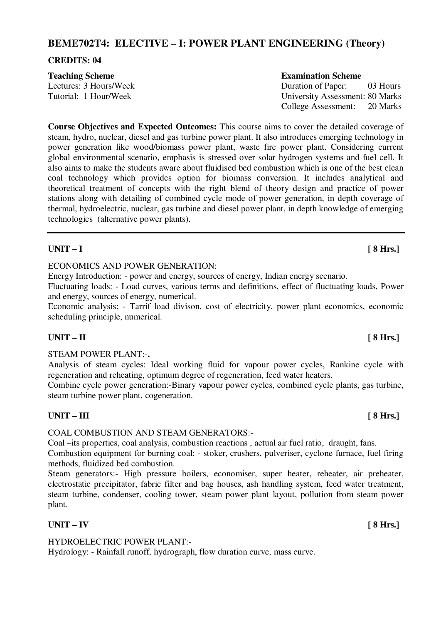# **BEME702T4: ELECTIVE – I: POWER PLANT ENGINEERING (Theory)**

### **CREDITS: 04**

| <b>Teaching Scheme</b> | <b>Examination Scheme</b>       |          |
|------------------------|---------------------------------|----------|
| Lectures: 3 Hours/Week | Duration of Paper:              | 03 Hours |
| Tutorial: 1 Hour/Week  | University Assessment: 80 Marks |          |
|                        | College Assessment: 20 Marks    |          |

**Course Objectives and Expected Outcomes:** This course aims to cover the detailed coverage of steam, hydro, nuclear, diesel and gas turbine power plant. It also introduces emerging technology in power generation like wood/biomass power plant, waste fire power plant. Considering current global environmental scenario, emphasis is stressed over solar hydrogen systems and fuel cell. It also aims to make the students aware about fluidised bed combustion which is one of the best clean coal technology which provides option for biomass conversion. It includes analytical and theoretical treatment of concepts with the right blend of theory design and practice of power stations along with detailing of combined cycle mode of power generation, in depth coverage of thermal, hydroelectric, nuclear, gas turbine and diesel power plant, in depth knowledge of emerging technologies (alternative power plants).

# **UNIT – I [ 8 Hrs.]**

### ECONOMICS AND POWER GENERATION:

Energy Introduction: - power and energy, sources of energy, Indian energy scenario.

Fluctuating loads: - Load curves, various terms and definitions, effect of fluctuating loads, Power and energy, sources of energy, numerical.

Economic analysis; - Tarrif load divison, cost of electricity, power plant economics, economic scheduling principle, numerical.

### **UNIT – II** [ 8 Hrs.]

STEAM POWER PLANT:-**.** 

Analysis of steam cycles: Ideal working fluid for vapour power cycles, Rankine cycle with regeneration and reheating, optimum degree of regeneration, feed water heaters.

Combine cycle power generation:-Binary vapour power cycles, combined cycle plants, gas turbine, steam turbine power plant, cogeneration.

### UNIT – III [ 8 Hrs.]

### COAL COMBUSTION AND STEAM GENERATORS:-

Coal –its properties, coal analysis, combustion reactions , actual air fuel ratio, draught, fans.

Combustion equipment for burning coal: - stoker, crushers, pulveriser, cyclone furnace, fuel firing methods, fluidized bed combustion.

Steam generators:- High pressure boilers, economiser, super heater, reheater, air preheater, electrostatic precipitator, fabric filter and bag houses, ash handling system, feed water treatment, steam turbine, condenser, cooling tower, steam power plant layout, pollution from steam power plant.

# **UNIT – IV [ 8 Hrs.]**

### HYDROELECTRIC POWER PLANT:-

Hydrology: - Rainfall runoff, hydrograph, flow duration curve, mass curve.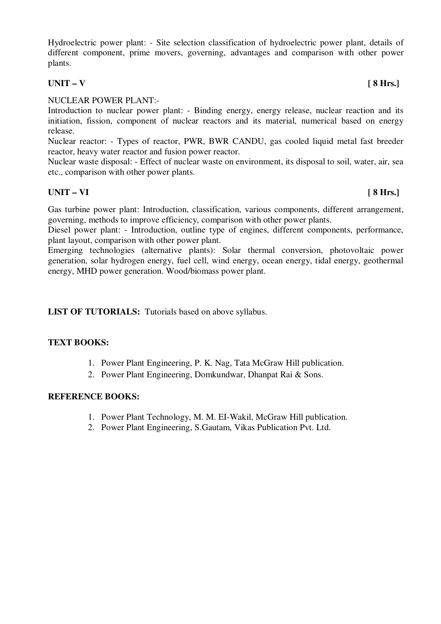Hydroelectric power plant: - Site selection classification of hydroelectric power plant, details of different component, prime movers, governing, advantages and comparison with other power plants.

### $UNIT - V$  [ 8 Hrs.]

### NUCLEAR POWER PLANT:-

Introduction to nuclear power plant: - Binding energy, energy release, nuclear reaction and its initiation, fission, component of nuclear reactors and its material, numerical based on energy release.

Nuclear reactor: - Types of reactor, PWR, BWR CANDU, gas cooled liquid metal fast breeder reactor, heavy water reactor and fusion power reactor.

Nuclear waste disposal: - Effect of nuclear waste on environment, its disposal to soil, water, air, sea etc., comparison with other power plants.

# **UNIT – VI [ 8 Hrs.]**

Gas turbine power plant: Introduction, classification, various components, different arrangement, governing, methods to improve efficiency, comparison with other power plants.

Diesel power plant: - Introduction, outline type of engines, different components, performance, plant layout, comparison with other power plant.

Emerging technologies (alternative plants): Solar thermal conversion, photovoltaic power generation, solar hydrogen energy, fuel cell, wind energy, ocean energy, tidal energy, geothermal energy, MHD power generation. Wood/biomass power plant.

**LIST OF TUTORIALS:** Tutorials based on above syllabus.

### **TEXT BOOKS:**

- 1. Power Plant Engineering, P. K. Nag, Tata McGraw Hill publication.
- 2. Power Plant Engineering, Domkundwar, Dhanpat Rai & Sons.

- 1. Power Plant Technology, M. M. EI-Wakil, McGraw Hill publication.
- 2. Power Plant Engineering, S.Gautam, Vikas Publication Pvt. Ltd.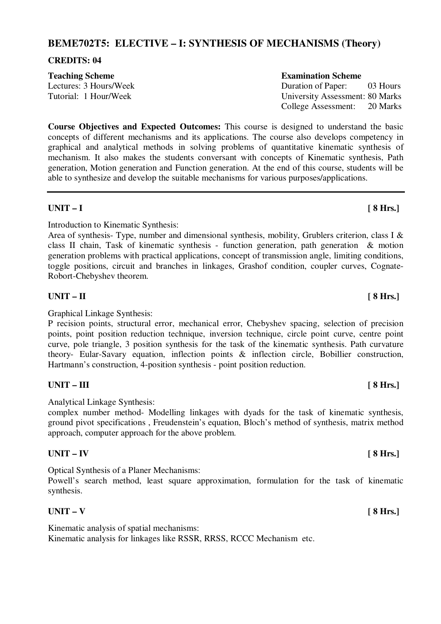# **BEME702T5: ELECTIVE – I: SYNTHESIS OF MECHANISMS (Theory)**

### **CREDITS: 04**

### **Teaching Scheme Examination Scheme**

Lectures: 3 Hours/Week Duration of Paper: 03 Hours

**Course Objectives and Expected Outcomes:** This course is designed to understand the basic concepts of different mechanisms and its applications. The course also develops competency in graphical and analytical methods in solving problems of quantitative kinematic synthesis of mechanism. It also makes the students conversant with concepts of Kinematic synthesis, Path generation, Motion generation and Function generation. At the end of this course, students will be able to synthesize and develop the suitable mechanisms for various purposes/applications.

### **UNIT – I [ 8 Hrs.]**

Introduction to Kinematic Synthesis:

Area of synthesis- Type, number and dimensional synthesis, mobility, Grublers criterion, class I & class II chain, Task of kinematic synthesis - function generation, path generation & motion generation problems with practical applications, concept of transmission angle, limiting conditions, toggle positions, circuit and branches in linkages, Grashof condition, coupler curves, Cognate-Robort-Chebyshev theorem.

# **UNIT – II** [ 8 Hrs.]

Graphical Linkage Synthesis:

P recision points, structural error, mechanical error, Chebyshev spacing, selection of precision points, point position reduction technique, inversion technique, circle point curve, centre point curve, pole triangle, 3 position synthesis for the task of the kinematic synthesis. Path curvature theory- Eular-Savary equation, inflection points & inflection circle, Bobillier construction, Hartmann's construction, 4-position synthesis - point position reduction.

# UNIT – III [ 8 Hrs.]

Analytical Linkage Synthesis:

complex number method- Modelling linkages with dyads for the task of kinematic synthesis, ground pivot specifications , Freudenstein's equation, Bloch's method of synthesis, matrix method approach, computer approach for the above problem.

# **UNIT – IV [ 8 Hrs.]**

Optical Synthesis of a Planer Mechanisms:

Powell's search method, least square approximation, formulation for the task of kinematic synthesis.

# $UNIT - V$  [ 8 Hrs.]

Kinematic analysis of spatial mechanisms: Kinematic analysis for linkages like RSSR, RRSS, RCCC Mechanism etc.

Tutorial: 1 Hour/Week University Assessment: 80 Marks College Assessment: 20 Marks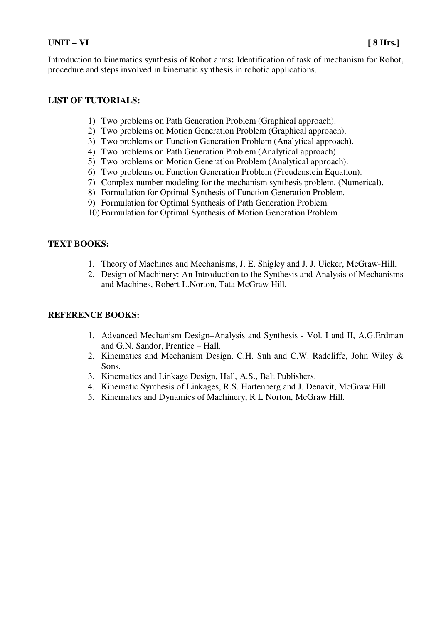### **UNIT – VI [ 8 Hrs.]**

Introduction to kinematics synthesis of Robot arms**:** Identification of task of mechanism for Robot, procedure and steps involved in kinematic synthesis in robotic applications.

### **LIST OF TUTORIALS:**

- 1) Two problems on Path Generation Problem (Graphical approach).
- 2) Two problems on Motion Generation Problem (Graphical approach).
- 3) Two problems on Function Generation Problem (Analytical approach).
- 4) Two problems on Path Generation Problem (Analytical approach).
- 5) Two problems on Motion Generation Problem (Analytical approach).
- 6) Two problems on Function Generation Problem (Freudenstein Equation).
- 7) Complex number modeling for the mechanism synthesis problem. (Numerical).
- 8) Formulation for Optimal Synthesis of Function Generation Problem.
- 9) Formulation for Optimal Synthesis of Path Generation Problem.
- 10) Formulation for Optimal Synthesis of Motion Generation Problem.

### **TEXT BOOKS:**

- 1. Theory of Machines and Mechanisms, J. E. Shigley and J. J. Uicker, McGraw-Hill.
- 2. Design of Machinery: An Introduction to the Synthesis and Analysis of Mechanisms and Machines, Robert L.Norton, Tata McGraw Hill.

- 1. Advanced Mechanism Design–Analysis and Synthesis Vol. I and II, A.G.Erdman and G.N. Sandor, Prentice – Hall.
- 2. Kinematics and Mechanism Design, C.H. Suh and C.W. Radcliffe, John Wiley & Sons.
- 3. Kinematics and Linkage Design, Hall, A.S., Balt Publishers.
- 4. Kinematic Synthesis of Linkages, R.S. Hartenberg and J. Denavit, McGraw Hill.
- 5. Kinematics and Dynamics of Machinery, R L Norton, McGraw Hill.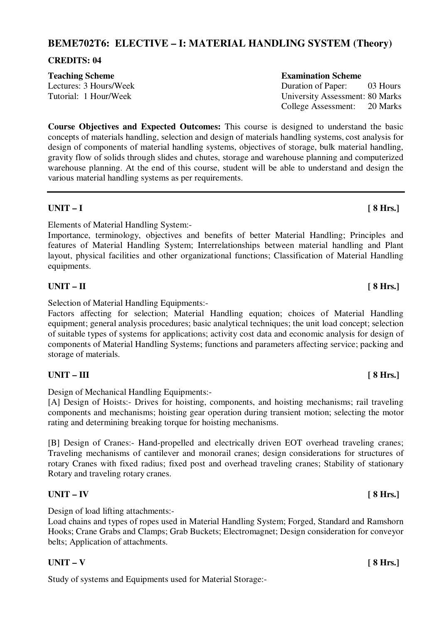# **BEME702T6: ELECTIVE – I: MATERIAL HANDLING SYSTEM (Theory)**

### **CREDITS: 04**

**Course Objectives and Expected Outcomes:** This course is designed to understand the basic concepts of materials handling, selection and design of materials handling systems, cost analysis for design of components of material handling systems, objectives of storage, bulk material handling, gravity flow of solids through slides and chutes, storage and warehouse planning and computerized warehouse planning. At the end of this course, student will be able to understand and design the various material handling systems as per requirements.

### **UNIT – I [ 8 Hrs.]**

Elements of Material Handling System:-

Importance, terminology, objectives and benefits of better Material Handling; Principles and features of Material Handling System; Interrelationships between material handling and Plant layout, physical facilities and other organizational functions; Classification of Material Handling equipments.

### UNIT – II [ 8 Hrs.]

Selection of Material Handling Equipments:-

Factors affecting for selection; Material Handling equation; choices of Material Handling equipment; general analysis procedures; basic analytical techniques; the unit load concept; selection of suitable types of systems for applications; activity cost data and economic analysis for design of components of Material Handling Systems; functions and parameters affecting service; packing and storage of materials.

# UNIT – III [ 8 Hrs.]

Design of Mechanical Handling Equipments:-

[A] Design of Hoists:- Drives for hoisting, components, and hoisting mechanisms; rail traveling components and mechanisms; hoisting gear operation during transient motion; selecting the motor rating and determining breaking torque for hoisting mechanisms.

[B] Design of Cranes:- Hand-propelled and electrically driven EOT overhead traveling cranes; Traveling mechanisms of cantilever and monorail cranes; design considerations for structures of rotary Cranes with fixed radius; fixed post and overhead traveling cranes; Stability of stationary Rotary and traveling rotary cranes.

### **UNIT – IV [ 8 Hrs.]**

Design of load lifting attachments:-

Load chains and types of ropes used in Material Handling System; Forged, Standard and Ramshorn Hooks; Crane Grabs and Clamps; Grab Buckets; Electromagnet; Design consideration for conveyor belts; Application of attachments.

### $UNIT - V$  [ 8 Hrs.]

Study of systems and Equipments used for Material Storage:-

### **Teaching Scheme Examination Scheme**

Lectures: 3 Hours/Week Duration of Paper: 03 Hours Tutorial: 1 Hour/Week University Assessment: 80 Marks College Assessment: 20 Marks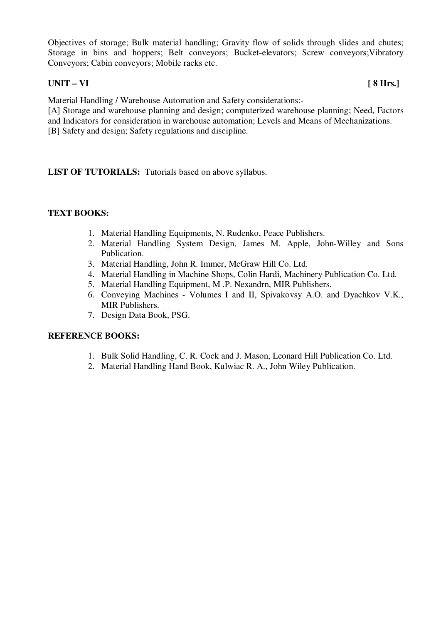Objectives of storage; Bulk material handling; Gravity flow of solids through slides and chutes; Storage in bins and hoppers; Belt conveyors; Bucket-elevators; Screw conveyors;Vibratory Conveyors; Cabin conveyors; Mobile racks etc.

### **UNIT – VI [ 8 Hrs.]**

Material Handling / Warehouse Automation and Safety considerations:-

[A] Storage and warehouse planning and design; computerized warehouse planning; Need, Factors and Indicators for consideration in warehouse automation; Levels and Means of Mechanizations. [B] Safety and design; Safety regulations and discipline.

**LIST OF TUTORIALS:** Tutorials based on above syllabus.

### **TEXT BOOKS:**

- 1. Material Handling Equipments, N. Rudenko, Peace Publishers.
- 2. Material Handling System Design, James M. Apple, John-Willey and Sons Publication.
- 3. Material Handling, John R. Immer, McGraw Hill Co. Ltd.
- 4. Material Handling in Machine Shops, Colin Hardi, Machinery Publication Co. Ltd.
- 5. Material Handling Equipment, M .P. Nexandrn, MIR Publishers.
- 6. Conveying Machines Volumes I and II, Spivakovsy A.O. and Dyachkov V.K., MIR Publishers.
- 7. Design Data Book, PSG.

- 1. Bulk Solid Handling, C. R. Cock and J. Mason, Leonard Hill Publication Co. Ltd.
- 2. Material Handling Hand Book, Kulwiac R. A., John Wiley Publication.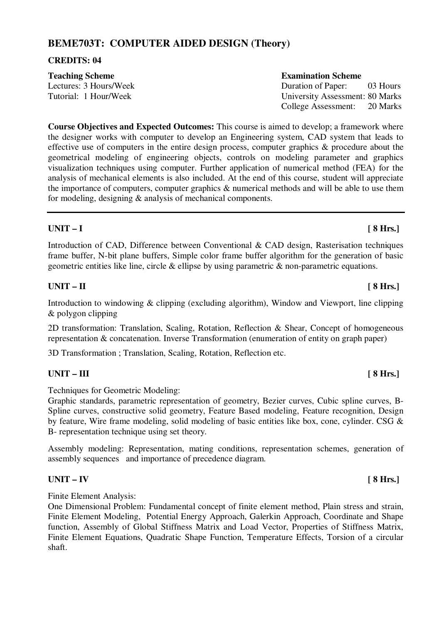# **BEME703T: COMPUTER AIDED DESIGN (Theory)**

### **CREDITS: 04**

| <b>Teaching Scheme</b> | <b>Examination Scheme</b>       |
|------------------------|---------------------------------|
| Lectures: 3 Hours/Week | Duration of Paper:<br>03 Hours  |
| Tutorial: 1 Hour/Week  | University Assessment: 80 Marks |
|                        | College Assessment: 20 Marks    |

**Course Objectives and Expected Outcomes:** This course is aimed to develop; a framework where the designer works with computer to develop an Engineering system, CAD system that leads to effective use of computers in the entire design process, computer graphics & procedure about the geometrical modeling of engineering objects, controls on modeling parameter and graphics visualization techniques using computer. Further application of numerical method (FEA) for the analysis of mechanical elements is also included. At the end of this course, student will appreciate the importance of computers, computer graphics & numerical methods and will be able to use them for modeling, designing & analysis of mechanical components.

# **UNIT – I [ 8 Hrs.]**

Introduction of CAD, Difference between Conventional & CAD design, Rasterisation techniques frame buffer, N-bit plane buffers, Simple color frame buffer algorithm for the generation of basic geometric entities like line, circle & ellipse by using parametric & non-parametric equations.

### UNIT – II [ 8 Hrs.]

Introduction to windowing & clipping (excluding algorithm), Window and Viewport, line clipping & polygon clipping

2D transformation: Translation, Scaling, Rotation, Reflection & Shear, Concept of homogeneous representation & concatenation. Inverse Transformation (enumeration of entity on graph paper)

3D Transformation ; Translation, Scaling, Rotation, Reflection etc.

# UNIT – III [ 8 Hrs.]

Techniques for Geometric Modeling:

Graphic standards, parametric representation of geometry, Bezier curves, Cubic spline curves, B-Spline curves, constructive solid geometry, Feature Based modeling, Feature recognition, Design by feature, Wire frame modeling, solid modeling of basic entities like box, cone, cylinder. CSG & B- representation technique using set theory.

Assembly modeling: Representation, mating conditions, representation schemes, generation of assembly sequences and importance of precedence diagram.

# **UNIT – IV [ 8 Hrs.]**

Finite Element Analysis:

One Dimensional Problem: Fundamental concept of finite element method, Plain stress and strain, Finite Element Modeling, Potential Energy Approach, Galerkin Approach, Coordinate and Shape function, Assembly of Global Stiffness Matrix and Load Vector, Properties of Stiffness Matrix, Finite Element Equations, Quadratic Shape Function, Temperature Effects, Torsion of a circular shaft.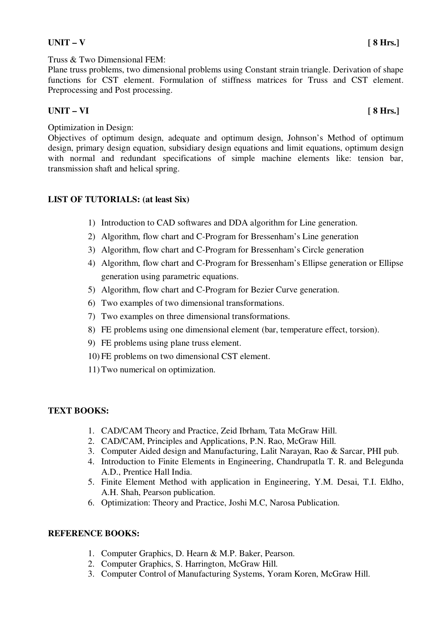# $UNIT - V$  [ 8 Hrs.]

Plane truss problems, two dimensional problems using Constant strain triangle. Derivation of shape functions for CST element. Formulation of stiffness matrices for Truss and CST element. Preprocessing and Post processing.

# **UNIT – VI [ 8 Hrs.]**

# Optimization in Design:

Objectives of optimum design, adequate and optimum design, Johnson's Method of optimum design, primary design equation, subsidiary design equations and limit equations, optimum design with normal and redundant specifications of simple machine elements like: tension bar, transmission shaft and helical spring.

# **LIST OF TUTORIALS: (at least Six)**

- 1) Introduction to CAD softwares and DDA algorithm for Line generation.
- 2) Algorithm, flow chart and C-Program for Bressenham's Line generation
- 3) Algorithm, flow chart and C-Program for Bressenham's Circle generation
- 4) Algorithm, flow chart and C-Program for Bressenham's Ellipse generation or Ellipse generation using parametric equations.
- 5) Algorithm, flow chart and C-Program for Bezier Curve generation.
- 6) Two examples of two dimensional transformations.
- 7) Two examples on three dimensional transformations.
- 8) FE problems using one dimensional element (bar, temperature effect, torsion).
- 9) FE problems using plane truss element.
- 10) FE problems on two dimensional CST element.
- 11) Two numerical on optimization.

### **TEXT BOOKS:**

- 1. CAD/CAM Theory and Practice, Zeid Ibrham, Tata McGraw Hill.
- 2. CAD/CAM, Principles and Applications, P.N. Rao, McGraw Hill.
- 3. Computer Aided design and Manufacturing, Lalit Narayan, Rao & Sarcar, PHI pub.
- 4. Introduction to Finite Elements in Engineering, Chandrupatla T. R. and Belegunda A.D., Prentice Hall India.
- 5. Finite Element Method with application in Engineering, Y.M. Desai, T.I. Eldho, A.H. Shah, Pearson publication.
- 6. Optimization: Theory and Practice, Joshi M.C, Narosa Publication.

- 1. Computer Graphics, D. Hearn & M.P. Baker, Pearson.
- 2. Computer Graphics, S. Harrington, McGraw Hill.
- 3. Computer Control of Manufacturing Systems, Yoram Koren, McGraw Hill.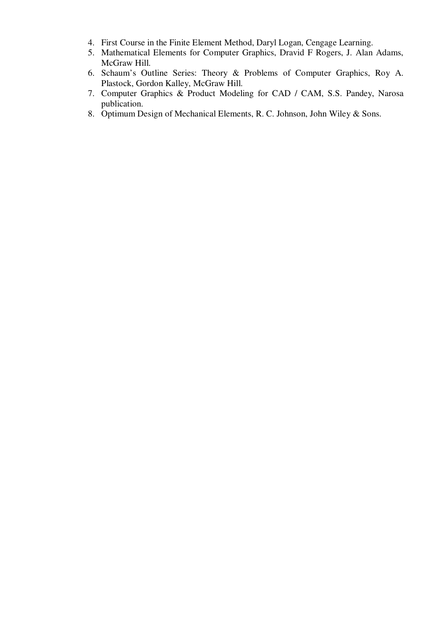- 4. First Course in the Finite Element Method, Daryl Logan, Cengage Learning.
- 5. Mathematical Elements for Computer Graphics, Dravid F Rogers, J. Alan Adams, McGraw Hill.
- 6. Schaum's Outline Series: Theory & Problems of Computer Graphics, Roy A. Plastock, Gordon Kalley, McGraw Hill.
- 7. Computer Graphics & Product Modeling for CAD / CAM, S.S. Pandey, Narosa publication.
- 8. Optimum Design of Mechanical Elements, R. C. Johnson, John Wiley & Sons.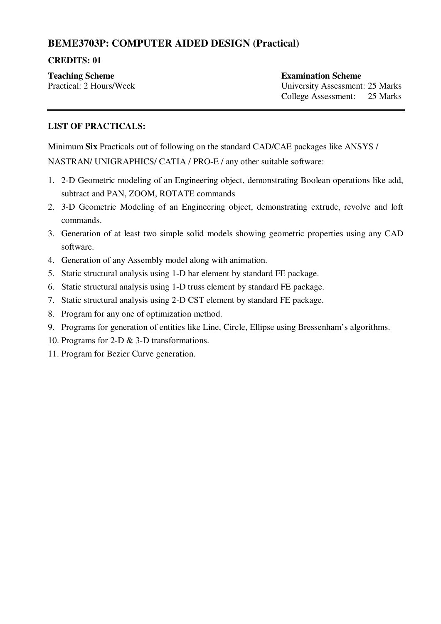# **BEME3703P: COMPUTER AIDED DESIGN (Practical)**

# **CREDITS: 01**

**Teaching Scheme Examination Scheme** 

Practical: 2 Hours/Week University Assessment: 25 Marks College Assessment: 25 Marks

# **LIST OF PRACTICALS:**

Minimum **Six** Practicals out of following on the standard CAD/CAE packages like ANSYS / NASTRAN/ UNIGRAPHICS/ CATIA / PRO-E / any other suitable software:

- 1. 2-D Geometric modeling of an Engineering object, demonstrating Boolean operations like add, subtract and PAN, ZOOM, ROTATE commands
- 2. 3-D Geometric Modeling of an Engineering object, demonstrating extrude, revolve and loft commands.
- 3. Generation of at least two simple solid models showing geometric properties using any CAD software.
- 4. Generation of any Assembly model along with animation.
- 5. Static structural analysis using 1-D bar element by standard FE package.
- 6. Static structural analysis using 1-D truss element by standard FE package.
- 7. Static structural analysis using 2-D CST element by standard FE package.
- 8. Program for any one of optimization method.
- 9. Programs for generation of entities like Line, Circle, Ellipse using Bressenham's algorithms.
- 10. Programs for 2-D & 3-D transformations.
- 11. Program for Bezier Curve generation.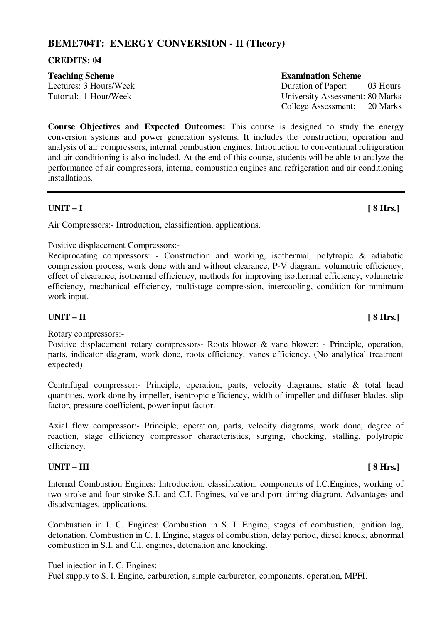# **BEME704T: ENERGY CONVERSION - II (Theory)**

#### **CREDITS: 04**

| <b>Teaching Scheme</b> | <b>Examination Scheme</b>           |
|------------------------|-------------------------------------|
| Lectures: 3 Hours/Week | Duration of Paper:<br>03 Hours      |
| Tutorial: 1 Hour/Week  | University Assessment: 80 Marks     |
|                        | $C_2$ llaga Assossment: $20$ Morles |

**Course Objectives and Expected Outcomes:** This course is designed to study the energy conversion systems and power generation systems. It includes the construction, operation and analysis of air compressors, internal combustion engines. Introduction to conventional refrigeration and air conditioning is also included. At the end of this course, students will be able to analyze the performance of air compressors, internal combustion engines and refrigeration and air conditioning installations.

### **UNIT – I [ 8 Hrs.]**

Air Compressors:- Introduction, classification, applications.

### Positive displacement Compressors:-

Reciprocating compressors: - Construction and working, isothermal, polytropic & adiabatic compression process, work done with and without clearance, P-V diagram, volumetric efficiency, effect of clearance, isothermal efficiency, methods for improving isothermal efficiency, volumetric efficiency, mechanical efficiency, multistage compression, intercooling, condition for minimum work input.

# **UNIT – II** [ 8 Hrs.]

Rotary compressors:-

Positive displacement rotary compressors- Roots blower & vane blower: - Principle, operation, parts, indicator diagram, work done, roots efficiency, vanes efficiency. (No analytical treatment expected)

Centrifugal compressor:- Principle, operation, parts, velocity diagrams, static & total head quantities, work done by impeller, isentropic efficiency, width of impeller and diffuser blades, slip factor, pressure coefficient, power input factor.

Axial flow compressor:- Principle, operation, parts, velocity diagrams, work done, degree of reaction, stage efficiency compressor characteristics, surging, chocking, stalling, polytropic efficiency.

### UNIT – III [ 8 Hrs.]

Internal Combustion Engines: Introduction, classification, components of I.C.Engines, working of two stroke and four stroke S.I. and C.I. Engines, valve and port timing diagram. Advantages and disadvantages, applications.

Combustion in I. C. Engines: Combustion in S. I. Engine, stages of combustion, ignition lag, detonation. Combustion in C. I. Engine, stages of combustion, delay period, diesel knock, abnormal combustion in S.I. and C.I. engines, detonation and knocking.

Fuel injection in I. C. Engines:

Fuel supply to S. I. Engine, carburetion, simple carburetor, components, operation, MPFI.

College Assessment: 20 Marks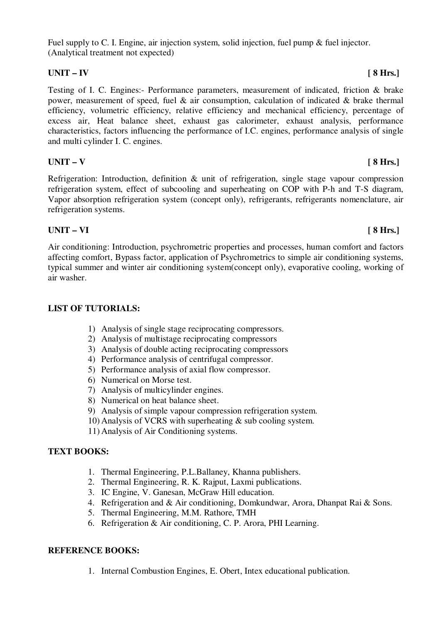Fuel supply to C. I. Engine, air injection system, solid injection, fuel pump & fuel injector. (Analytical treatment not expected)

# **UNIT – IV [ 8 Hrs.]**

Testing of I. C. Engines:- Performance parameters, measurement of indicated, friction & brake power, measurement of speed, fuel & air consumption, calculation of indicated & brake thermal efficiency, volumetric efficiency, relative efficiency and mechanical efficiency, percentage of excess air, Heat balance sheet, exhaust gas calorimeter, exhaust analysis, performance characteristics, factors influencing the performance of I.C. engines, performance analysis of single and multi cylinder I. C. engines.

# $UNIT - V$  [ 8 Hrs.]

Refrigeration: Introduction, definition & unit of refrigeration, single stage vapour compression refrigeration system, effect of subcooling and superheating on COP with P-h and T-S diagram, Vapor absorption refrigeration system (concept only), refrigerants, refrigerants nomenclature, air refrigeration systems.

# **UNIT – VI [ 8 Hrs.]**

Air conditioning: Introduction, psychrometric properties and processes, human comfort and factors affecting comfort, Bypass factor, application of Psychrometrics to simple air conditioning systems, typical summer and winter air conditioning system(concept only), evaporative cooling, working of air washer.

# **LIST OF TUTORIALS:**

- 1) Analysis of single stage reciprocating compressors.
- 2) Analysis of multistage reciprocating compressors
- 3) Analysis of double acting reciprocating compressors
- 4) Performance analysis of centrifugal compressor.
- 5) Performance analysis of axial flow compressor.
- 6) Numerical on Morse test.
- 7) Analysis of multicylinder engines.
- 8) Numerical on heat balance sheet.
- 9) Analysis of simple vapour compression refrigeration system.
- 10) Analysis of VCRS with superheating & sub cooling system.
- 11) Analysis of Air Conditioning systems.

### **TEXT BOOKS:**

- 1. Thermal Engineering, P.L.Ballaney, Khanna publishers.
- 2. Thermal Engineering, R. K. Rajput, Laxmi publications.
- 3. IC Engine, V. Ganesan, McGraw Hill education.
- 4. Refrigeration and & Air conditioning, Domkundwar, Arora, Dhanpat Rai & Sons.
- 5. Thermal Engineering, M.M. Rathore, TMH
- 6. Refrigeration & Air conditioning, C. P. Arora, PHI Learning.

### **REFERENCE BOOKS:**

1. Internal Combustion Engines, E. Obert, Intex educational publication.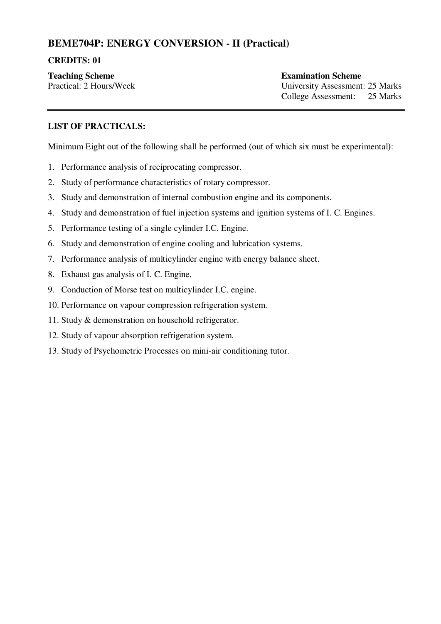# **BEME704P: ENERGY CONVERSION - II (Practical)**

### **CREDITS: 01**

**Teaching Scheme Examination Scheme** 

Practical: 2 Hours/Week University Assessment: 25 Marks College Assessment: 25 Marks

# **LIST OF PRACTICALS:**

Minimum Eight out of the following shall be performed (out of which six must be experimental**)**:

- 1. Performance analysis of reciprocating compressor.
- 2. Study of performance characteristics of rotary compressor.
- 3. Study and demonstration of internal combustion engine and its components.
- 4. Study and demonstration of fuel injection systems and ignition systems of I. C. Engines.
- 5. Performance testing of a single cylinder I.C. Engine.
- 6. Study and demonstration of engine cooling and lubrication systems.
- 7. Performance analysis of multicylinder engine with energy balance sheet.
- 8. Exhaust gas analysis of I. C. Engine.
- 9. Conduction of Morse test on multicylinder I.C. engine.
- 10. Performance on vapour compression refrigeration system.
- 11. Study & demonstration on household refrigerator.
- 12. Study of vapour absorption refrigeration system.
- 13. Study of Psychometric Processes on mini-air conditioning tutor.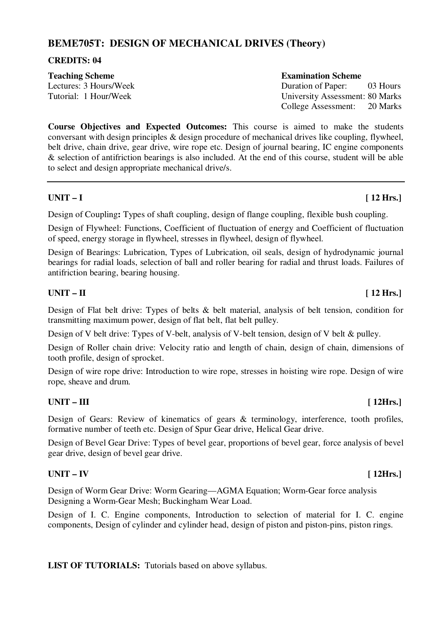# **BEME705T: DESIGN OF MECHANICAL DRIVES (Theory)**

#### **CREDITS: 04**

#### **Teaching Scheme Examination Scheme**

Lectures: 3 Hours/Week Duration of Paper: 03 Hours Tutorial: 1 Hour/Week University Assessment: 80 Marks College Assessment: 20 Marks

**Course Objectives and Expected Outcomes:** This course is aimed to make the students conversant with design principles & design procedure of mechanical drives like coupling, flywheel, belt drive, chain drive, gear drive, wire rope etc. Design of journal bearing, IC engine components & selection of antifriction bearings is also included. At the end of this course, student will be able to select and design appropriate mechanical drive/s.

### UNIT – I [ 12 Hrs.]

Design of Coupling**:** Types of shaft coupling, design of flange coupling, flexible bush coupling.

Design of Flywheel: Functions, Coefficient of fluctuation of energy and Coefficient of fluctuation of speed, energy storage in flywheel, stresses in flywheel, design of flywheel.

Design of Bearings: Lubrication, Types of Lubrication, oil seals, design of hydrodynamic journal bearings for radial loads, selection of ball and roller bearing for radial and thrust loads. Failures of antifriction bearing, bearing housing.

### $UNIT - II$  [ 12 Hrs.]

Design of Flat belt drive: Types of belts & belt material, analysis of belt tension, condition for transmitting maximum power, design of flat belt, flat belt pulley.

Design of V belt drive: Types of V-belt, analysis of V-belt tension, design of V belt & pulley.

Design of Roller chain drive: Velocity ratio and length of chain, design of chain, dimensions of tooth profile, design of sprocket.

Design of wire rope drive: Introduction to wire rope, stresses in hoisting wire rope. Design of wire rope, sheave and drum.

### **UNIT – III** [ 12Hrs.]

Design of Gears: Review of kinematics of gears & terminology, interference, tooth profiles, formative number of teeth etc. Design of Spur Gear drive, Helical Gear drive.

Design of Bevel Gear Drive: Types of bevel gear, proportions of bevel gear, force analysis of bevel gear drive, design of bevel gear drive.

# **UNIT – IV [ 12Hrs.]**

Design of Worm Gear Drive: Worm Gearing—AGMA Equation; Worm-Gear force analysis Designing a Worm-Gear Mesh; Buckingham Wear Load.

Design of I. C. Engine components, Introduction to selection of material for I. C. engine components, Design of cylinder and cylinder head, design of piston and piston-pins, piston rings.

**LIST OF TUTORIALS:** Tutorials based on above syllabus.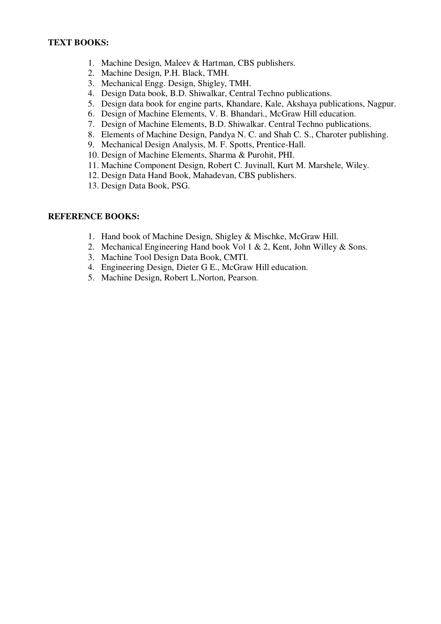- 1. Machine Design, Maleev & Hartman, CBS publishers.
- 2. Machine Design, P.H. Black, TMH.
- 3. Mechanical Engg. Design, Shigley, TMH.
- 4. Design Data book, B.D. Shiwalkar, Central Techno publications.
- 5. Design data book for engine parts, Khandare, Kale, Akshaya publications, Nagpur.
- 6. Design of Machine Elements, V. B. Bhandari., McGraw Hill education.
- 7. Design of Machine Elements, B.D. Shiwalkar. Central Techno publications.
- 8. Elements of Machine Design, Pandya N. C. and Shah C. S., Charoter publishing.
- 9. Mechanical Design Analysis, M. F. Spotts, Prentice-Hall.
- 10. Design of Machine Elements, Sharma & Purohit, PHI.
- 11. Machine Component Design, Robert C. Juvinall, Kurt M. Marshele, Wiley.
- 12. Design Data Hand Book, Mahadevan, CBS publishers.
- 13. Design Data Book, PSG.

- 1. Hand book of Machine Design, Shigley & Mischke, McGraw Hill.
- 2. Mechanical Engineering Hand book Vol 1 & 2, Kent, John Willey & Sons.
- 3. Machine Tool Design Data Book, CMTI.
- 4. Engineering Design, Dieter G E., McGraw Hill education.
- 5. Machine Design, Robert L.Norton, Pearson.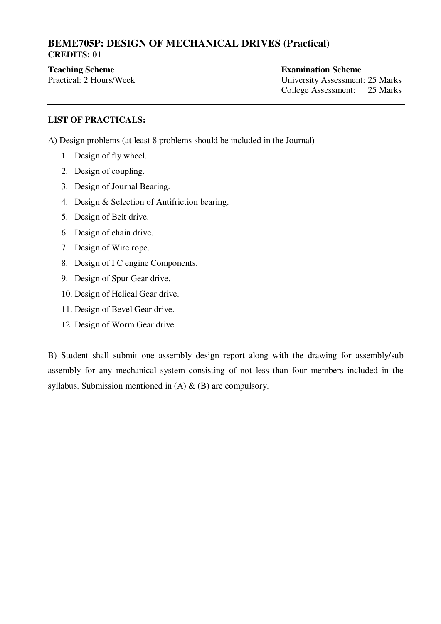# **BEME705P: DESIGN OF MECHANICAL DRIVES (Practical) CREDITS: 01**

# **Teaching Scheme Examination Scheme**

Practical: 2 Hours/Week University Assessment: 25 Marks College Assessment: 25 Marks

# **LIST OF PRACTICALS:**

A) Design problems (at least 8 problems should be included in the Journal)

- 1. Design of fly wheel.
- 2. Design of coupling.
- 3. Design of Journal Bearing.
- 4. Design & Selection of Antifriction bearing.
- 5. Design of Belt drive.
- 6. Design of chain drive.
- 7. Design of Wire rope.
- 8. Design of I C engine Components.
- 9. Design of Spur Gear drive.
- 10. Design of Helical Gear drive.
- 11. Design of Bevel Gear drive.
- 12. Design of Worm Gear drive.

B) Student shall submit one assembly design report along with the drawing for assembly/sub assembly for any mechanical system consisting of not less than four members included in the syllabus. Submission mentioned in  $(A)$  &  $(B)$  are compulsory.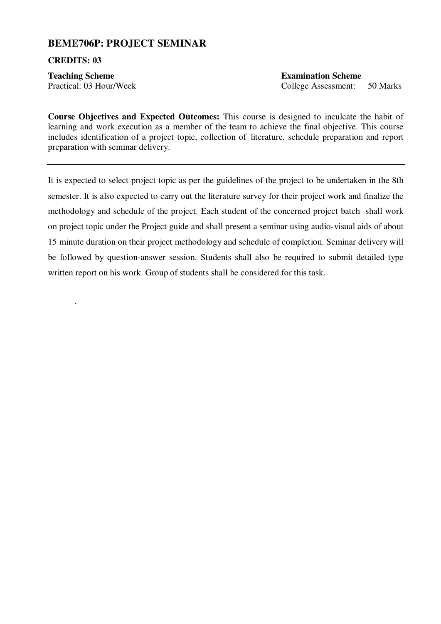# **BEME706P: PROJECT SEMINAR**

#### **CREDITS: 03**

.

**Teaching Scheme Examination Scheme** 

Practical: 03 Hour/Week College Assessment: 50 Marks

**Course Objectives and Expected Outcomes:** This course is designed to inculcate the habit of learning and work execution as a member of the team to achieve the final objective. This course includes identification of a project topic, collection of literature, schedule preparation and report preparation with seminar delivery.

It is expected to select project topic as per the guidelines of the project to be undertaken in the 8th semester. It is also expected to carry out the literature survey for their project work and finalize the methodology and schedule of the project. Each student of the concerned project batch shall work on project topic under the Project guide and shall present a seminar using audio-visual aids of about 15 minute duration on their project methodology and schedule of completion. Seminar delivery will be followed by question-answer session. Students shall also be required to submit detailed type written report on his work. Group of students shall be considered for this task.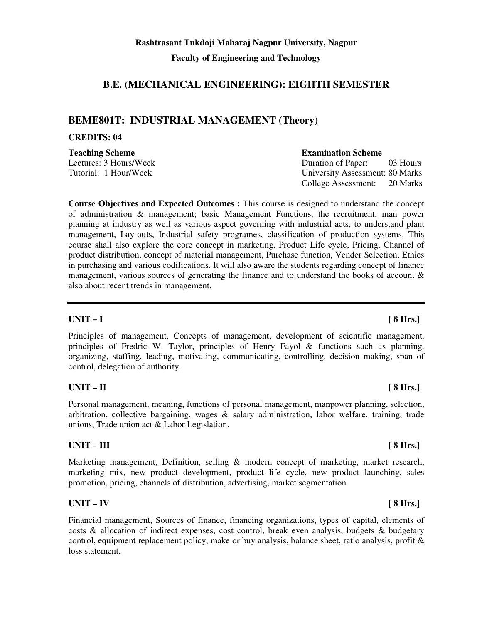# **B.E. (MECHANICAL ENGINEERING): EIGHTH SEMESTER**

# **BEME801T: INDUSTRIAL MANAGEMENT (Theory)**

#### **CREDITS: 04**

**Teaching Scheme Examination Scheme Examination Scheme** 

**Course Objectives and Expected Outcomes :** This course is designed to understand the concept of administration & management; basic Management Functions, the recruitment, man power planning at industry as well as various aspect governing with industrial acts, to understand plant management, Lay-outs, Industrial safety programes, classification of production systems. This course shall also explore the core concept in marketing, Product Life cycle, Pricing, Channel of product distribution, concept of material management, Purchase function, Vender Selection, Ethics in purchasing and various codifications. It will also aware the students regarding concept of finance management, various sources of generating the finance and to understand the books of account  $\&$ also about recent trends in management.

### **UNIT – I [ 8 Hrs.]**

Principles of management, Concepts of management, development of scientific management, principles of Fredric W. Taylor, principles of Henry Fayol & functions such as planning, organizing, staffing, leading, motivating, communicating, controlling, decision making, span of control, delegation of authority.

### **UNIT – II [ 8 Hrs.]**

Personal management, meaning, functions of personal management, manpower planning, selection, arbitration, collective bargaining, wages & salary administration, labor welfare, training, trade unions, Trade union act & Labor Legislation.

#### UNIT – III [ 8 Hrs.]

Marketing management, Definition, selling & modern concept of marketing, market research, marketing mix, new product development, product life cycle, new product launching, sales promotion, pricing, channels of distribution, advertising, market segmentation.

### **UNIT – IV [ 8 Hrs.]**

Financial management, Sources of finance, financing organizations, types of capital, elements of costs  $\&$  allocation of indirect expenses, cost control, break even analysis, budgets  $\&$  budgetary control, equipment replacement policy, make or buy analysis, balance sheet, ratio analysis, profit & loss statement.

Lectures: 3 Hours/Week Duration of Paper: 03 Hours Tutorial: 1 Hour/Week University Assessment: 80 Marks College Assessment: 20 Marks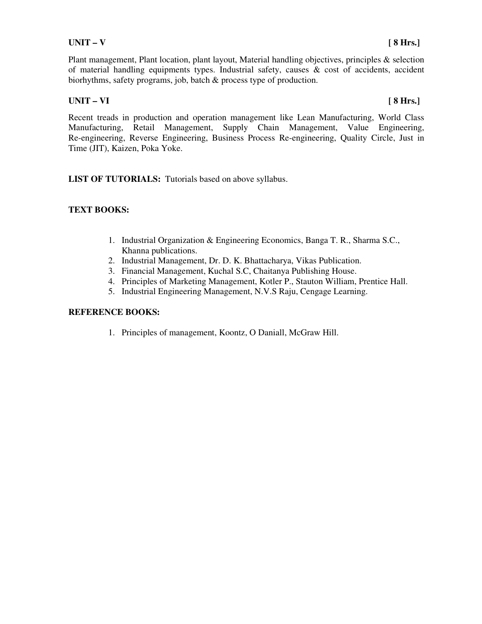Plant management, Plant location, plant layout, Material handling objectives, principles & selection of material handling equipments types. Industrial safety, causes & cost of accidents, accident biorhythms, safety programs, job, batch & process type of production.

### **UNIT – VI [ 8 Hrs.]**

Recent treads in production and operation management like Lean Manufacturing, World Class Manufacturing, Retail Management, Supply Chain Management, Value Engineering, Re-engineering, Reverse Engineering, Business Process Re-engineering, Quality Circle, Just in Time (JIT), Kaizen, Poka Yoke.

LIST OF TUTORIALS: Tutorials based on above syllabus.

### **TEXT BOOKS:**

- 1. Industrial Organization & Engineering Economics, Banga T. R., Sharma S.C., Khanna publications.
- 2. Industrial Management, Dr. D. K. Bhattacharya, Vikas Publication.
- 3. Financial Management, Kuchal S.C, Chaitanya Publishing House.
- 4. Principles of Marketing Management, Kotler P., Stauton William, Prentice Hall.
- 5. Industrial Engineering Management, N.V.S Raju, Cengage Learning.

### **REFERENCE BOOKS:**

1. Principles of management, Koontz, O Daniall, McGraw Hill.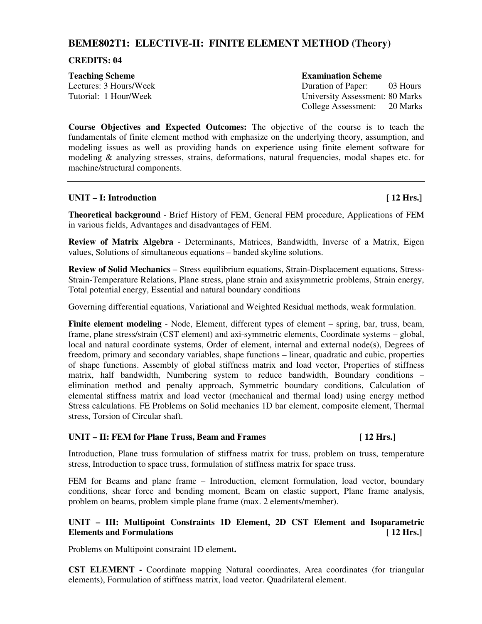# **BEME802T1: ELECTIVE-II: FINITE ELEMENT METHOD (Theory)**

#### **CREDITS: 04**

**Teaching Scheme Examination Scheme Examination Scheme** 

Lectures: 3 Hours/Week Duration of Paper: 03 Hours Tutorial: 1 Hour/Week University Assessment: 80 Marks College Assessment: 20 Marks

**Course Objectives and Expected Outcomes:** The objective of the course is to teach the fundamentals of finite element method with emphasize on the underlying theory, assumption, and modeling issues as well as providing hands on experience using finite element software for modeling & analyzing stresses, strains, deformations, natural frequencies, modal shapes etc. for machine/structural components.

#### UNIT – I: Introduction **and Contact Contact Contact Contact Contact Contact Contact Contact Contact Contact Contact Contact Contact Contact Contact Contact Contact Contact Contact Contact Contact Contact Contact Contact Co**

**Theoretical background** - Brief History of FEM, General FEM procedure, Applications of FEM in various fields, Advantages and disadvantages of FEM.

**Review of Matrix Algebra** - Determinants, Matrices, Bandwidth, Inverse of a Matrix, Eigen values, Solutions of simultaneous equations – banded skyline solutions.

**Review of Solid Mechanics** – Stress equilibrium equations, Strain-Displacement equations, Stress-Strain-Temperature Relations, Plane stress, plane strain and axisymmetric problems, Strain energy, Total potential energy, Essential and natural boundary conditions

Governing differential equations, Variational and Weighted Residual methods, weak formulation.

**Finite element modeling** - Node, Element, different types of element – spring, bar, truss, beam, frame, plane stress/strain (CST element) and axi-symmetric elements, Coordinate systems – global, local and natural coordinate systems, Order of element, internal and external node(s), Degrees of freedom, primary and secondary variables, shape functions – linear, quadratic and cubic, properties of shape functions. Assembly of global stiffness matrix and load vector, Properties of stiffness matrix, half bandwidth, Numbering system to reduce bandwidth, Boundary conditions – elimination method and penalty approach, Symmetric boundary conditions, Calculation of elemental stiffness matrix and load vector (mechanical and thermal load) using energy method Stress calculations. FE Problems on Solid mechanics 1D bar element, composite element, Thermal stress, Torsion of Circular shaft.

#### UNIT – II: FEM for Plane Truss, Beam and Frames [12 Hrs.]

Introduction, Plane truss formulation of stiffness matrix for truss, problem on truss, temperature stress, Introduction to space truss, formulation of stiffness matrix for space truss.

FEM for Beams and plane frame – Introduction, element formulation, load vector, boundary conditions, shear force and bending moment, Beam on elastic support, Plane frame analysis, problem on beams, problem simple plane frame (max. 2 elements/member).

### **UNIT – III: Multipoint Constraints 1D Element, 2D CST Element and Isoparametric Elements and Formulations [ 12 Hrs.]**

Problems on Multipoint constraint 1D element**.** 

**CST ELEMENT -** Coordinate mapping Natural coordinates, Area coordinates (for triangular elements), Formulation of stiffness matrix, load vector. Quadrilateral element.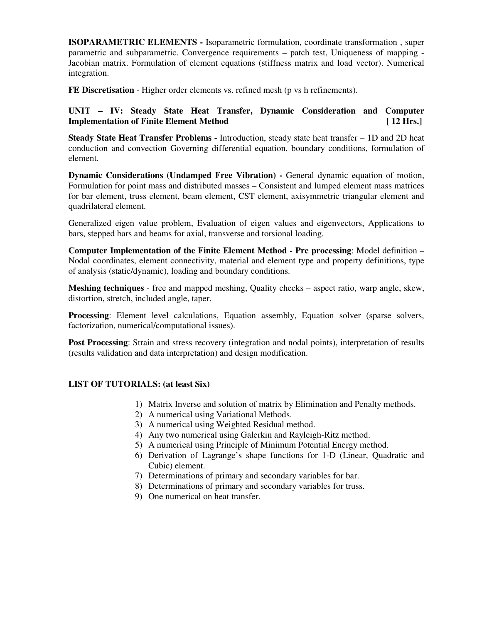**ISOPARAMETRIC ELEMENTS -** Isoparametric formulation, coordinate transformation , super parametric and subparametric. Convergence requirements – patch test, Uniqueness of mapping - Jacobian matrix. Formulation of element equations (stiffness matrix and load vector). Numerical integration.

**FE Discretisation** - Higher order elements vs. refined mesh (p vs h refinements).

#### **UNIT – IV: Steady State Heat Transfer, Dynamic Consideration and Computer Implementation of Finite Element Method** [ 12 Hrs.]

**Steady State Heat Transfer Problems -** Introduction, steady state heat transfer – 1D and 2D heat conduction and convection Governing differential equation, boundary conditions, formulation of element.

**Dynamic Considerations (Undamped Free Vibration) -** General dynamic equation of motion, Formulation for point mass and distributed masses – Consistent and lumped element mass matrices for bar element, truss element, beam element, CST element, axisymmetric triangular element and quadrilateral element.

Generalized eigen value problem, Evaluation of eigen values and eigenvectors, Applications to bars, stepped bars and beams for axial, transverse and torsional loading.

**Computer Implementation of the Finite Element Method - Pre processing**: Model definition – Nodal coordinates, element connectivity, material and element type and property definitions, type of analysis (static/dynamic), loading and boundary conditions.

**Meshing techniques** - free and mapped meshing, Quality checks – aspect ratio, warp angle, skew, distortion, stretch, included angle, taper.

**Processing**: Element level calculations, Equation assembly, Equation solver (sparse solvers, factorization, numerical/computational issues).

**Post Processing**: Strain and stress recovery (integration and nodal points), interpretation of results (results validation and data interpretation) and design modification.

#### **LIST OF TUTORIALS: (at least Six)**

- 1) Matrix Inverse and solution of matrix by Elimination and Penalty methods.
- 2) A numerical using Variational Methods.
- 3) A numerical using Weighted Residual method.
- 4) Any two numerical using Galerkin and Rayleigh-Ritz method.
- 5) A numerical using Principle of Minimum Potential Energy method.
- 6) Derivation of Lagrange's shape functions for 1-D (Linear, Quadratic and Cubic) element.
- 7) Determinations of primary and secondary variables for bar.
- 8) Determinations of primary and secondary variables for truss.
- 9) One numerical on heat transfer.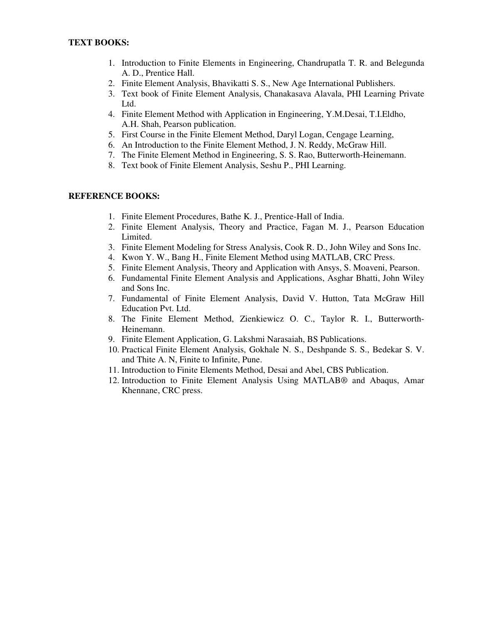- 1. Introduction to Finite Elements in Engineering, Chandrupatla T. R. and Belegunda A. D., Prentice Hall.
- 2. Finite Element Analysis, Bhavikatti S. S., New Age International Publishers.
- 3. Text book of Finite Element Analysis, Chanakasava Alavala, PHI Learning Private Ltd.
- 4. Finite Element Method with Application in Engineering, Y.M.Desai, T.I.Eldho, A.H. Shah, Pearson publication.
- 5. First Course in the Finite Element Method, Daryl Logan, Cengage Learning,
- 6. An Introduction to the Finite Element Method, J. N. Reddy, McGraw Hill.
- 7. The Finite Element Method in Engineering, S. S. Rao, Butterworth-Heinemann.
- 8. Text book of Finite Element Analysis, Seshu P., PHI Learning.

- 1. Finite Element Procedures, Bathe K. J., Prentice-Hall of India.
- 2. Finite Element Analysis, Theory and Practice, Fagan M. J., Pearson Education Limited.
- 3. Finite Element Modeling for Stress Analysis, Cook R. D., John Wiley and Sons Inc.
- 4. Kwon Y. W., Bang H., Finite Element Method using MATLAB, CRC Press.
- 5. Finite Element Analysis, Theory and Application with Ansys, S. Moaveni, Pearson.
- 6. Fundamental Finite Element Analysis and Applications, Asghar Bhatti, John Wiley and Sons Inc.
- 7. Fundamental of Finite Element Analysis, David V. Hutton, Tata McGraw Hill Education Pvt. Ltd.
- 8. The Finite Element Method, Zienkiewicz O. C., Taylor R. I., Butterworth-Heinemann.
- 9. Finite Element Application, G. Lakshmi Narasaiah, BS Publications.
- 10. Practical Finite Element Analysis, Gokhale N. S., Deshpande S. S., Bedekar S. V. and Thite A. N, Finite to Infinite, Pune.
- 11. Introduction to Finite Elements Method, Desai and Abel, CBS Publication.
- 12. Introduction to Finite Element Analysis Using MATLAB® and Abaqus, Amar Khennane, CRC press.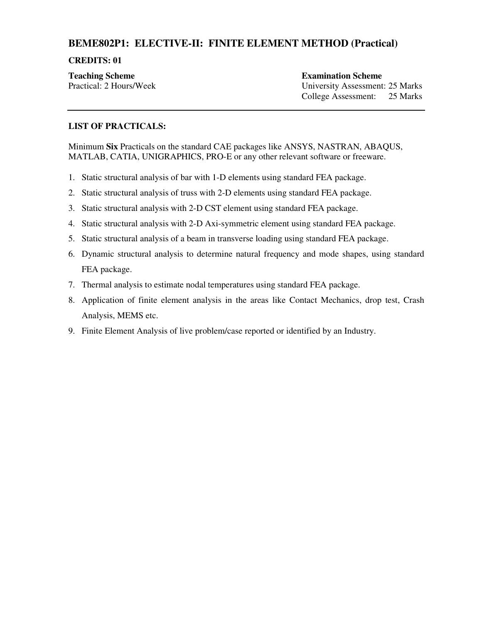### **BEME802P1: ELECTIVE-II: FINITE ELEMENT METHOD (Practical)**

#### **CREDITS: 01**

**Teaching Scheme Examination Scheme Examination Scheme** 

Practical: 2 Hours/Week University Assessment: 25 Marks College Assessment: 25 Marks

#### **LIST OF PRACTICALS:**

Minimum **Six** Practicals on the standard CAE packages like ANSYS, NASTRAN, ABAQUS, MATLAB, CATIA, UNIGRAPHICS, PRO-E or any other relevant software or freeware.

- 1. Static structural analysis of bar with 1-D elements using standard FEA package.
- 2. Static structural analysis of truss with 2-D elements using standard FEA package.
- 3. Static structural analysis with 2-D CST element using standard FEA package.
- 4. Static structural analysis with 2-D Axi-symmetric element using standard FEA package.
- 5. Static structural analysis of a beam in transverse loading using standard FEA package.
- 6. Dynamic structural analysis to determine natural frequency and mode shapes, using standard FEA package.
- 7. Thermal analysis to estimate nodal temperatures using standard FEA package.
- 8. Application of finite element analysis in the areas like Contact Mechanics, drop test, Crash Analysis, MEMS etc.
- 9. Finite Element Analysis of live problem/case reported or identified by an Industry.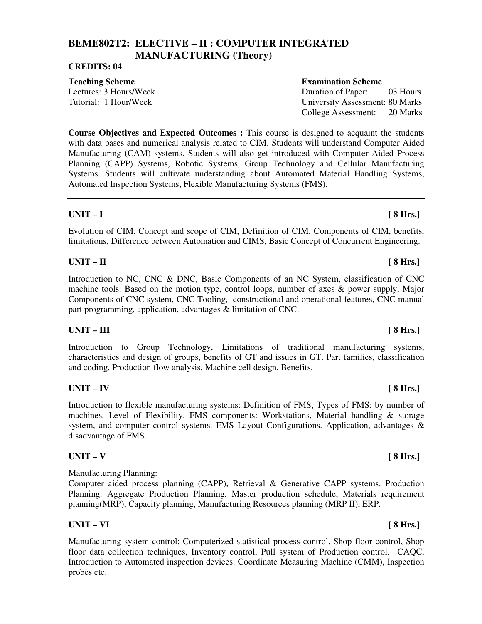# **BEME802T2: ELECTIVE – II : COMPUTER INTEGRATED MANUFACTURING (Theory)**

#### **CREDITS: 04**

**Course Objectives and Expected Outcomes :** This course is designed to acquaint the students with data bases and numerical analysis related to CIM. Students will understand Computer Aided Manufacturing (CAM) systems. Students will also get introduced with Computer Aided Process Planning (CAPP) Systems, Robotic Systems, Group Technology and Cellular Manufacturing Systems. Students will cultivate understanding about Automated Material Handling Systems, Automated Inspection Systems, Flexible Manufacturing Systems (FMS).

#### **UNIT – I [ 8 Hrs.]**

Evolution of CIM, Concept and scope of CIM, Definition of CIM, Components of CIM, benefits, limitations, Difference between Automation and CIMS, Basic Concept of Concurrent Engineering.

#### **UNIT – II [ 8 Hrs.]**

Introduction to NC, CNC & DNC, Basic Components of an NC System, classification of CNC machine tools: Based on the motion type, control loops, number of axes  $\&$  power supply, Major Components of CNC system, CNC Tooling, constructional and operational features, CNC manual part programming, application, advantages & limitation of CNC.

#### UNIT – III [ 8 Hrs.]

Introduction to Group Technology, Limitations of traditional manufacturing systems, characteristics and design of groups, benefits of GT and issues in GT. Part families, classification and coding, Production flow analysis, Machine cell design, Benefits.

#### **UNIT – IV [ 8 Hrs.]**

Introduction to flexible manufacturing systems: Definition of FMS, Types of FMS: by number of machines, Level of Flexibility. FMS components: Workstations, Material handling & storage system, and computer control systems. FMS Layout Configurations. Application, advantages & disadvantage of FMS.

### **UNIT – V [ 8 Hrs.]**

Manufacturing Planning:

Computer aided process planning (CAPP), Retrieval & Generative CAPP systems. Production Planning: Aggregate Production Planning, Master production schedule, Materials requirement planning(MRP), Capacity planning, Manufacturing Resources planning (MRP II), ERP.

#### **UNIT – VI [ 8 Hrs.]**

Manufacturing system control: Computerized statistical process control, Shop floor control, Shop floor data collection techniques, Inventory control, Pull system of Production control. CAQC, Introduction to Automated inspection devices: Coordinate Measuring Machine (CMM), Inspection probes etc.

#### **Teaching Scheme Examination Scheme Examination Scheme**

Lectures: 3 Hours/Week Duration of Paper: 03 Hours Tutorial: 1 Hour/Week University Assessment: 80 Marks College Assessment: 20 Marks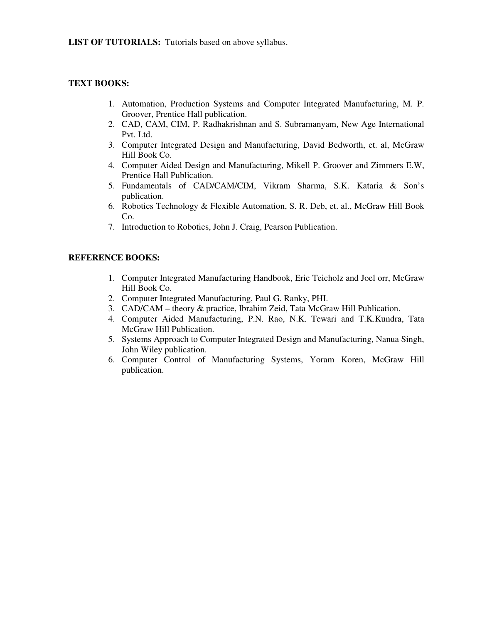**LIST OF TUTORIALS:** Tutorials based on above syllabus.

#### **TEXT BOOKS:**

- 1. Automation, Production Systems and Computer Integrated Manufacturing, M. P. Groover, Prentice Hall publication.
- 2. CAD, CAM, CIM, P. Radhakrishnan and S. Subramanyam, New Age International Pvt. Ltd.
- 3. Computer Integrated Design and Manufacturing, David Bedworth, et. al, McGraw Hill Book Co.
- 4. Computer Aided Design and Manufacturing, Mikell P. Groover and Zimmers E.W, Prentice Hall Publication.
- 5. Fundamentals of CAD/CAM/CIM, Vikram Sharma, S.K. Kataria & Son's publication.
- 6. Robotics Technology & Flexible Automation, S. R. Deb, et. al., McGraw Hill Book Co.
- 7. Introduction to Robotics, John J. Craig, Pearson Publication.

- 1. Computer Integrated Manufacturing Handbook, Eric Teicholz and Joel orr, McGraw Hill Book Co.
- 2. Computer Integrated Manufacturing, Paul G. Ranky, PHI.
- 3. CAD/CAM theory & practice, Ibrahim Zeid, Tata McGraw Hill Publication.
- 4. Computer Aided Manufacturing, P.N. Rao, N.K. Tewari and T.K.Kundra, Tata McGraw Hill Publication.
- 5. Systems Approach to Computer Integrated Design and Manufacturing, Nanua Singh, John Wiley publication.
- 6. Computer Control of Manufacturing Systems, Yoram Koren, McGraw Hill publication.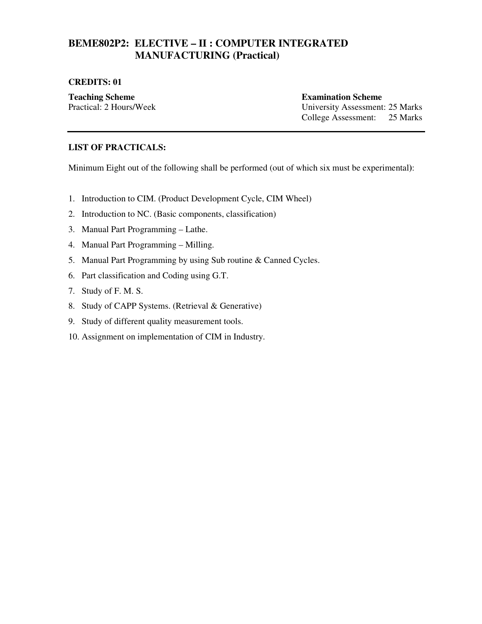## **BEME802P2: ELECTIVE – II : COMPUTER INTEGRATED MANUFACTURING (Practical)**

#### **CREDITS: 01**

**Teaching Scheme Examination Scheme Examination Scheme** Practical: 2 Hours/Week University Assessment: 25 Marks College Assessment: 25 Marks

#### **LIST OF PRACTICALS:**

Minimum Eight out of the following shall be performed (out of which six must be experimental**)**:

- 1. Introduction to CIM. (Product Development Cycle, CIM Wheel)
- 2. Introduction to NC. (Basic components, classification)
- 3. Manual Part Programming Lathe.
- 4. Manual Part Programming Milling.
- 5. Manual Part Programming by using Sub routine & Canned Cycles.
- 6. Part classification and Coding using G.T.
- 7. Study of F. M. S.
- 8. Study of CAPP Systems. (Retrieval & Generative)
- 9. Study of different quality measurement tools.
- 10. Assignment on implementation of CIM in Industry.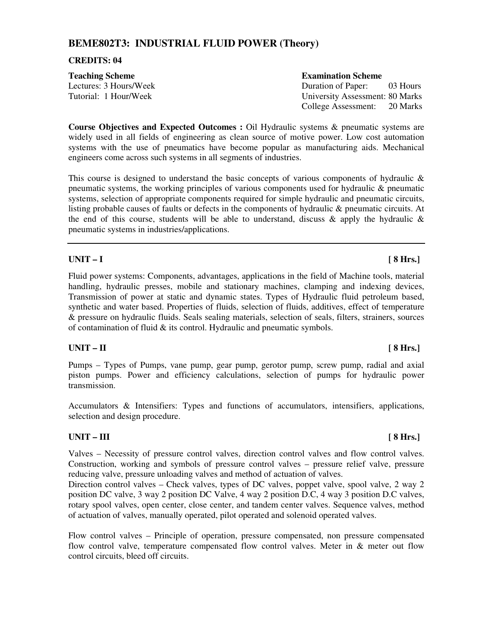## **BEME802T3: INDUSTRIAL FLUID POWER (Theory)**

#### **CREDITS: 04**

| <b>Teaching Scheme</b> | <b>Examination Scheme</b>              |
|------------------------|----------------------------------------|
| Lectures: 3 Hours/Week | Duration of Paper:<br>03 Hours         |
| Tutorial: 1 Hour/Week  | <b>University Assessment: 80 Marks</b> |
|                        | College Assessment: 20 Marks           |

**Course Objectives and Expected Outcomes :** Oil Hydraulic systems & pneumatic systems are widely used in all fields of engineering as clean source of motive power. Low cost automation systems with the use of pneumatics have become popular as manufacturing aids. Mechanical engineers come across such systems in all segments of industries.

This course is designed to understand the basic concepts of various components of hydraulic & pneumatic systems, the working principles of various components used for hydraulic & pneumatic systems, selection of appropriate components required for simple hydraulic and pneumatic circuits, listing probable causes of faults or defects in the components of hydraulic & pneumatic circuits. At the end of this course, students will be able to understand, discuss  $\&$  apply the hydraulic  $\&$ pneumatic systems in industries/applications.

### **UNIT – I [ 8 Hrs.]**

Fluid power systems: Components, advantages, applications in the field of Machine tools, material handling, hydraulic presses, mobile and stationary machines, clamping and indexing devices, Transmission of power at static and dynamic states. Types of Hydraulic fluid petroleum based, synthetic and water based. Properties of fluids, selection of fluids, additives, effect of temperature & pressure on hydraulic fluids. Seals sealing materials, selection of seals, filters, strainers, sources of contamination of fluid & its control. Hydraulic and pneumatic symbols.

### **UNIT – II [ 8 Hrs.]**

Pumps – Types of Pumps, vane pump, gear pump, gerotor pump, screw pump, radial and axial piston pumps. Power and efficiency calculations, selection of pumps for hydraulic power transmission.

Accumulators & Intensifiers: Types and functions of accumulators, intensifiers, applications, selection and design procedure.

### UNIT – III [ 8 Hrs.]

Valves – Necessity of pressure control valves, direction control valves and flow control valves. Construction, working and symbols of pressure control valves – pressure relief valve, pressure reducing valve, pressure unloading valves and method of actuation of valves.

Direction control valves – Check valves, types of DC valves, poppet valve, spool valve, 2 way 2 position DC valve, 3 way 2 position DC Valve, 4 way 2 position D.C, 4 way 3 position D.C valves, rotary spool valves, open center, close center, and tandem center valves. Sequence valves, method of actuation of valves, manually operated, pilot operated and solenoid operated valves.

Flow control valves – Principle of operation, pressure compensated, non pressure compensated flow control valve, temperature compensated flow control valves. Meter in  $&$  meter out flow control circuits, bleed off circuits.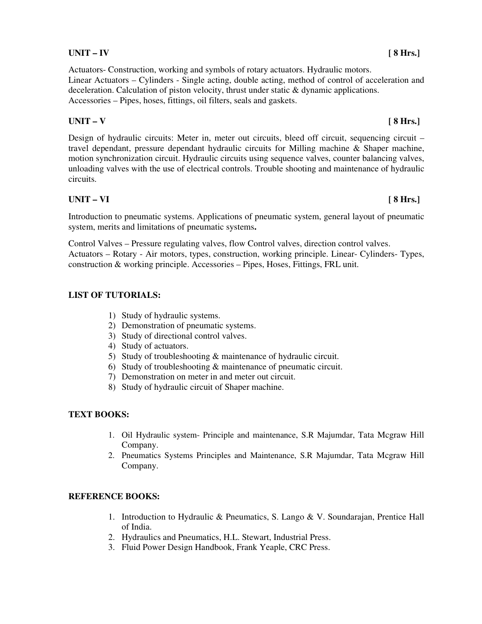# Linear Actuators – Cylinders - Single acting, double acting, method of control of acceleration and

deceleration. Calculation of piston velocity, thrust under static & dynamic applications. Accessories – Pipes, hoses, fittings, oil filters, seals and gaskets.

Actuators- Construction, working and symbols of rotary actuators. Hydraulic motors.

## **UNIT – V [ 8 Hrs.]**

Design of hydraulic circuits: Meter in, meter out circuits, bleed off circuit, sequencing circuit – travel dependant, pressure dependant hydraulic circuits for Milling machine & Shaper machine, motion synchronization circuit. Hydraulic circuits using sequence valves, counter balancing valves, unloading valves with the use of electrical controls. Trouble shooting and maintenance of hydraulic circuits.

## **UNIT – VI [ 8 Hrs.]**

Introduction to pneumatic systems. Applications of pneumatic system, general layout of pneumatic system, merits and limitations of pneumatic systems**.** 

Control Valves – Pressure regulating valves, flow Control valves, direction control valves. Actuators – Rotary - Air motors, types, construction, working principle. Linear- Cylinders- Types, construction & working principle. Accessories – Pipes, Hoses, Fittings, FRL unit.

## **LIST OF TUTORIALS:**

- 1) Study of hydraulic systems.
- 2) Demonstration of pneumatic systems.
- 3) Study of directional control valves.
- 4) Study of actuators.
- 5) Study of troubleshooting & maintenance of hydraulic circuit.
- 6) Study of troubleshooting & maintenance of pneumatic circuit.
- 7) Demonstration on meter in and meter out circuit.
- 8) Study of hydraulic circuit of Shaper machine.

## **TEXT BOOKS:**

- 1. Oil Hydraulic system- Principle and maintenance, S.R Majumdar, Tata Mcgraw Hill Company.
- 2. Pneumatics Systems Principles and Maintenance, S.R Majumdar, Tata Mcgraw Hill Company.

## **REFERENCE BOOKS:**

- 1. Introduction to Hydraulic & Pneumatics, S. Lango & V. Soundarajan, Prentice Hall of India.
- 2. Hydraulics and Pneumatics, H.L. Stewart, Industrial Press.
- 3. Fluid Power Design Handbook, Frank Yeaple, CRC Press.

## **UNIT – IV [ 8 Hrs.]**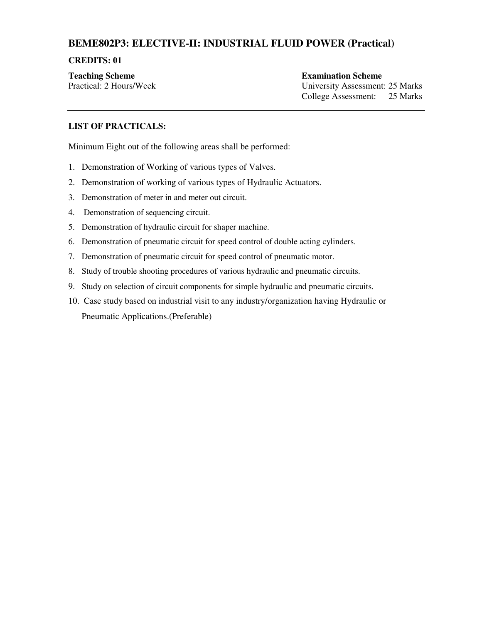## **BEME802P3: ELECTIVE-II: INDUSTRIAL FLUID POWER (Practical)**

#### **CREDITS: 01**

**Teaching Scheme Examination Scheme Examination Scheme** 

Practical: 2 Hours/Week University Assessment: 25 Marks College Assessment: 25 Marks

#### **LIST OF PRACTICALS:**

Minimum Eight out of the following areas shall be performed:

- 1. Demonstration of Working of various types of Valves.
- 2. Demonstration of working of various types of Hydraulic Actuators.
- 3. Demonstration of meter in and meter out circuit.
- 4. Demonstration of sequencing circuit.
- 5. Demonstration of hydraulic circuit for shaper machine.
- 6. Demonstration of pneumatic circuit for speed control of double acting cylinders.
- 7. Demonstration of pneumatic circuit for speed control of pneumatic motor.
- 8. Study of trouble shooting procedures of various hydraulic and pneumatic circuits.
- 9. Study on selection of circuit components for simple hydraulic and pneumatic circuits.
- 10. Case study based on industrial visit to any industry/organization having Hydraulic or Pneumatic Applications.(Preferable)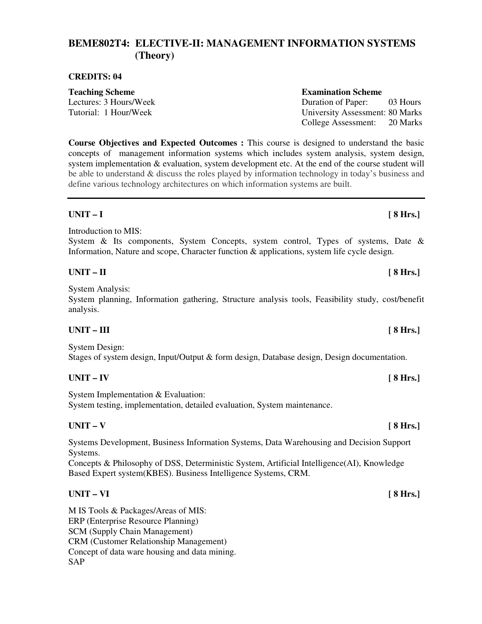## **BEME802T4: ELECTIVE-II: MANAGEMENT INFORMATION SYSTEMS (Theory)**

#### **CREDITS: 04**

**Teaching Scheme Examination Scheme Examination Scheme** Lectures: 3 Hours/Week Duration of Paper: 03 Hours

**Course Objectives and Expected Outcomes :** This course is designed to understand the basic concepts of management information systems which includes system analysis, system design, system implementation & evaluation, system development etc. At the end of the course student will be able to understand & discuss the roles played by information technology in today's business and define various technology architectures on which information systems are built.

### **UNIT – I [ 8 Hrs.]**

Introduction to MIS:

System & Its components, System Concepts, system control, Types of systems, Date & Information, Nature and scope, Character function & applications, system life cycle design.

### **UNIT – II [ 8 Hrs.]**

System Analysis:

System planning, Information gathering, Structure analysis tools, Feasibility study, cost/benefit analysis.

### UNIT – III [ 8 Hrs.]

System Design: Stages of system design, Input/Output & form design, Database design, Design documentation.

### **UNIT – IV [ 8 Hrs.]**

System Implementation & Evaluation: System testing, implementation, detailed evaluation, System maintenance.

### **UNIT – V [ 8 Hrs.]**

Systems Development, Business Information Systems, Data Warehousing and Decision Support Systems.

Concepts & Philosophy of DSS, Deterministic System, Artificial Intelligence(AI), Knowledge Based Expert system(KBES). Business Intelligence Systems, CRM.

### **UNIT – VI [ 8 Hrs.]**

M IS Tools & Packages/Areas of MIS: ERP (Enterprise Resource Planning) SCM (Supply Chain Management) CRM (Customer Relationship Management) Concept of data ware housing and data mining. SAP

Tutorial: 1 Hour/Week University Assessment: 80 Marks College Assessment: 20 Marks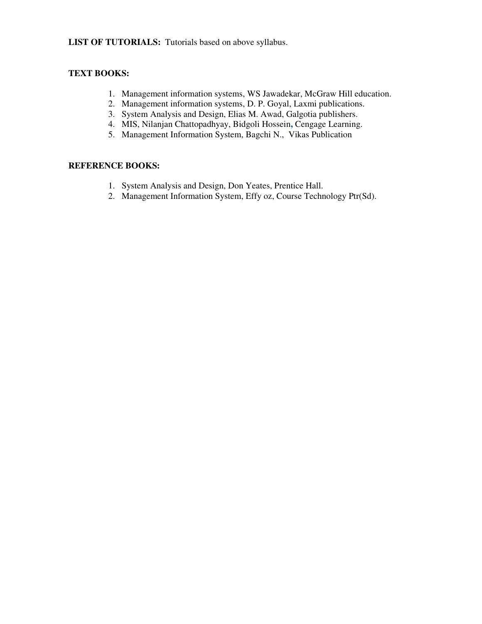**LIST OF TUTORIALS:** Tutorials based on above syllabus.

### **TEXT BOOKS:**

- 1. Management information systems, WS Jawadekar, McGraw Hill education.
- 2. Management information systems, D. P. Goyal, Laxmi publications.
- 3. System Analysis and Design, Elias M. Awad, Galgotia publishers.
- 4. MIS, Nilanjan Chattopadhyay, Bidgoli Hossein**,** Cengage Learning.
- 5. Management Information System, Bagchi N., Vikas Publication

- 1. System Analysis and Design, Don Yeates, Prentice Hall.
- 2. Management Information System, Effy oz, Course Technology Ptr(Sd).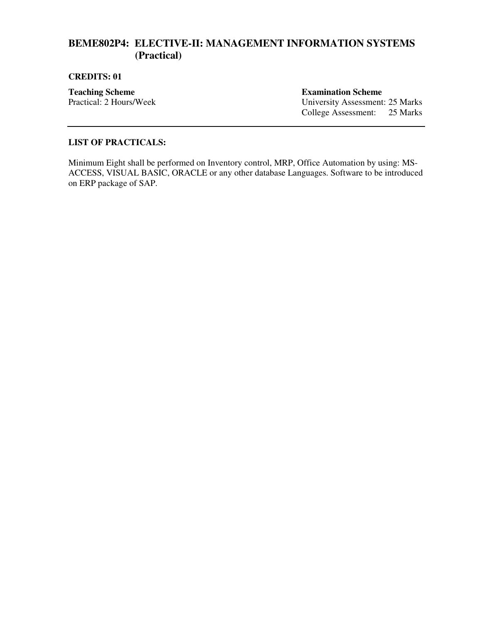## **BEME802P4: ELECTIVE-II: MANAGEMENT INFORMATION SYSTEMS (Practical)**

#### **CREDITS: 01**

**Teaching Scheme**<br> **Fractical: 2 Hours/Week**<br> **Examination Scheme**<br> **Examination Scheme**<br> **Examination Scheme**<br> **Examination Scheme** 

University Assessment: 25 Marks College Assessment: 25 Marks

#### **LIST OF PRACTICALS:**

Minimum Eight shall be performed on Inventory control, MRP, Office Automation by using: MS-ACCESS, VISUAL BASIC, ORACLE or any other database Languages. Software to be introduced on ERP package of SAP.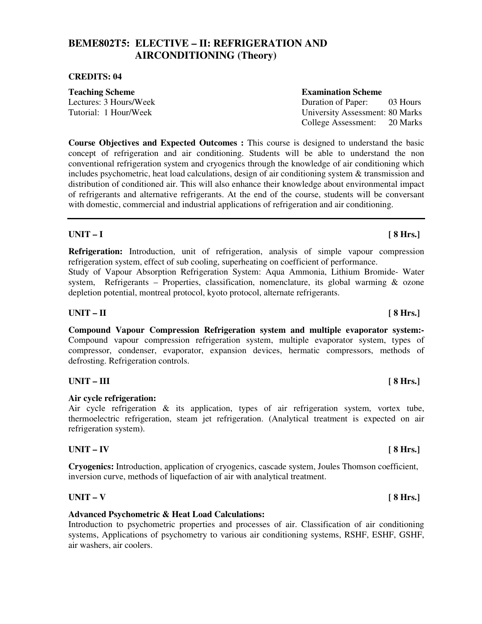## **BEME802T5: ELECTIVE – II: REFRIGERATION AND AIRCONDITIONING (Theory)**

#### **CREDITS: 04**

**Teaching Scheme Examination Scheme Examination Scheme** 

Lectures: 3 Hours/Week Duration of Paper: 03 Hours Tutorial: 1 Hour/Week University Assessment: 80 Marks College Assessment: 20 Marks

**Course Objectives and Expected Outcomes :** This course is designed to understand the basic concept of refrigeration and air conditioning. Students will be able to understand the non conventional refrigeration system and cryogenics through the knowledge of air conditioning which includes psychometric, heat load calculations, design of air conditioning system & transmission and distribution of conditioned air. This will also enhance their knowledge about environmental impact of refrigerants and alternative refrigerants. At the end of the course, students will be conversant with domestic, commercial and industrial applications of refrigeration and air conditioning.

### **UNIT – I [ 8 Hrs.]**

**Refrigeration:** Introduction, unit of refrigeration, analysis of simple vapour compression refrigeration system, effect of sub cooling, superheating on coefficient of performance.

Study of Vapour Absorption Refrigeration System: Aqua Ammonia, Lithium Bromide- Water system, Refrigerants – Properties, classification, nomenclature, its global warming & ozone depletion potential, montreal protocol, kyoto protocol, alternate refrigerants.

### **UNIT – II [ 8 Hrs.]**

**Compound Vapour Compression Refrigeration system and multiple evaporator system:-**  Compound vapour compression refrigeration system, multiple evaporator system, types of compressor, condenser, evaporator, expansion devices, hermatic compressors, methods of defrosting. Refrigeration controls.

### UNIT – III [ 8 Hrs.]

#### **Air cycle refrigeration:**

Air cycle refrigeration & its application, types of air refrigeration system, vortex tube, thermoelectric refrigeration, steam jet refrigeration. (Analytical treatment is expected on air refrigeration system).

#### **UNIT – IV [ 8 Hrs.]**

**Cryogenics:** Introduction, application of cryogenics, cascade system, Joules Thomson coefficient, inversion curve, methods of liquefaction of air with analytical treatment.

#### **UNIT – V [ 8 Hrs.]**

#### **Advanced Psychometric & Heat Load Calculations:**

Introduction to psychometric properties and processes of air. Classification of air conditioning systems, Applications of psychometry to various air conditioning systems, RSHF, ESHF, GSHF, air washers, air coolers.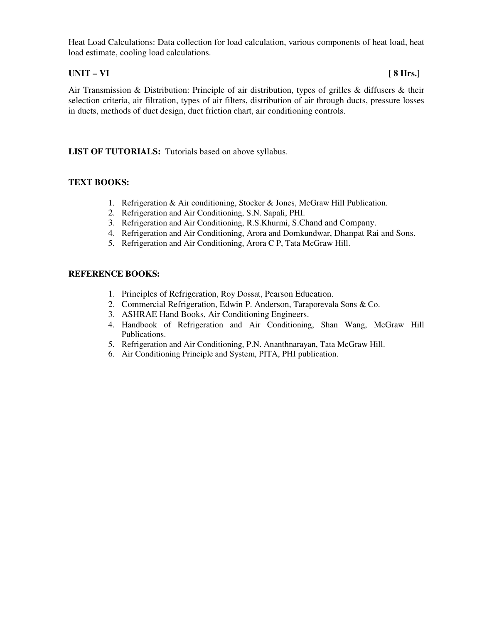Heat Load Calculations: Data collection for load calculation, various components of heat load, heat load estimate, cooling load calculations.

### **UNIT – VI [ 8 Hrs.]**

Air Transmission & Distribution: Principle of air distribution, types of grilles & diffusers & their selection criteria, air filtration, types of air filters, distribution of air through ducts, pressure losses in ducts, methods of duct design, duct friction chart, air conditioning controls.

### **LIST OF TUTORIALS:** Tutorials based on above syllabus.

#### **TEXT BOOKS:**

- 1. Refrigeration & Air conditioning, Stocker & Jones, McGraw Hill Publication.
- 2. Refrigeration and Air Conditioning, S.N. Sapali, PHI.
- 3. Refrigeration and Air Conditioning, R.S.Khurmi, S.Chand and Company.
- 4. Refrigeration and Air Conditioning, Arora and Domkundwar, Dhanpat Rai and Sons.
- 5. Refrigeration and Air Conditioning, Arora C P, Tata McGraw Hill.

- 1. Principles of Refrigeration, Roy Dossat, Pearson Education.
- 2. Commercial Refrigeration, Edwin P. Anderson, Taraporevala Sons & Co.
- 3. ASHRAE Hand Books, Air Conditioning Engineers.
- 4. Handbook of Refrigeration and Air Conditioning, Shan Wang, McGraw Hill Publications.
- 5. Refrigeration and Air Conditioning, P.N. Ananthnarayan, Tata McGraw Hill.
- 6. Air Conditioning Principle and System, PITA, PHI publication.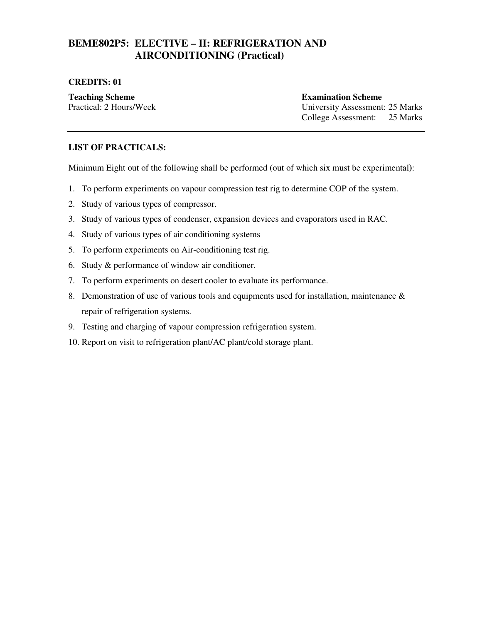## **BEME802P5: ELECTIVE – II: REFRIGERATION AND AIRCONDITIONING (Practical)**

#### **CREDITS: 01**

**Teaching Scheme Examination Scheme Examination Scheme** Practical: 2 Hours/Week University Assessment: 25 Marks College Assessment: 25 Marks

#### **LIST OF PRACTICALS:**

Minimum Eight out of the following shall be performed (out of which six must be experimental**)**:

- 1. To perform experiments on vapour compression test rig to determine COP of the system.
- 2. Study of various types of compressor.
- 3. Study of various types of condenser, expansion devices and evaporators used in RAC.
- 4. Study of various types of air conditioning systems
- 5. To perform experiments on Air-conditioning test rig.
- 6. Study & performance of window air conditioner.
- 7. To perform experiments on desert cooler to evaluate its performance.
- 8. Demonstration of use of various tools and equipments used for installation, maintenance & repair of refrigeration systems.
- 9. Testing and charging of vapour compression refrigeration system.
- 10. Report on visit to refrigeration plant/AC plant/cold storage plant.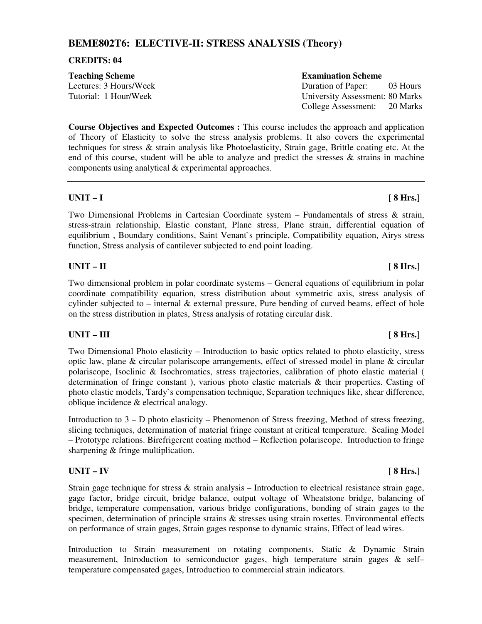## **BEME802T6: ELECTIVE-II: STRESS ANALYSIS (Theory)**

#### **CREDITS: 04**

**Teaching Scheme Examination Scheme Examination Scheme** 

Lectures: 3 Hours/Week Duration of Paper: 03 Hours Tutorial: 1 Hour/Week University Assessment: 80 Marks College Assessment: 20 Marks

**Course Objectives and Expected Outcomes :** This course includes the approach and application of Theory of Elasticity to solve the stress analysis problems. It also covers the experimental techniques for stress & strain analysis like Photoelasticity, Strain gage, Brittle coating etc. At the end of this course, student will be able to analyze and predict the stresses & strains in machine components using analytical & experimental approaches.

### **UNIT – I [ 8 Hrs.]**

Two Dimensional Problems in Cartesian Coordinate system – Fundamentals of stress & strain, stress-strain relationship, Elastic constant, Plane stress, Plane strain, differential equation of equilibrium , Boundary conditions, Saint Venant`s principle, Compatibility equation, Airys stress function, Stress analysis of cantilever subjected to end point loading.

### **UNIT – II [ 8 Hrs.]**

Two dimensional problem in polar coordinate systems – General equations of equilibrium in polar coordinate compatibility equation, stress distribution about symmetric axis, stress analysis of cylinder subjected to – internal & external pressure, Pure bending of curved beams, effect of hole on the stress distribution in plates, Stress analysis of rotating circular disk.

## UNIT – III [ 8 Hrs.]

Two Dimensional Photo elasticity – Introduction to basic optics related to photo elasticity, stress optic law, plane & circular polariscope arrangements, effect of stressed model in plane & circular polariscope, Isoclinic & Isochromatics, stress trajectories, calibration of photo elastic material ( determination of fringe constant ), various photo elastic materials & their properties. Casting of photo elastic models, Tardy`s compensation technique, Separation techniques like, shear difference, oblique incidence & electrical analogy.

Introduction to 3 – D photo elasticity – Phenomenon of Stress freezing, Method of stress freezing, slicing techniques, determination of material fringe constant at critical temperature. Scaling Model – Prototype relations. Birefrigerent coating method – Reflection polariscope. Introduction to fringe sharpening & fringe multiplication.

### **UNIT – IV [ 8 Hrs.]**

Strain gage technique for stress & strain analysis – Introduction to electrical resistance strain gage, gage factor, bridge circuit, bridge balance, output voltage of Wheatstone bridge, balancing of bridge, temperature compensation, various bridge configurations, bonding of strain gages to the specimen, determination of principle strains & stresses using strain rosettes. Environmental effects on performance of strain gages, Strain gages response to dynamic strains, Effect of lead wires.

Introduction to Strain measurement on rotating components, Static & Dynamic Strain measurement, Introduction to semiconductor gages, high temperature strain gages & self– temperature compensated gages, Introduction to commercial strain indicators.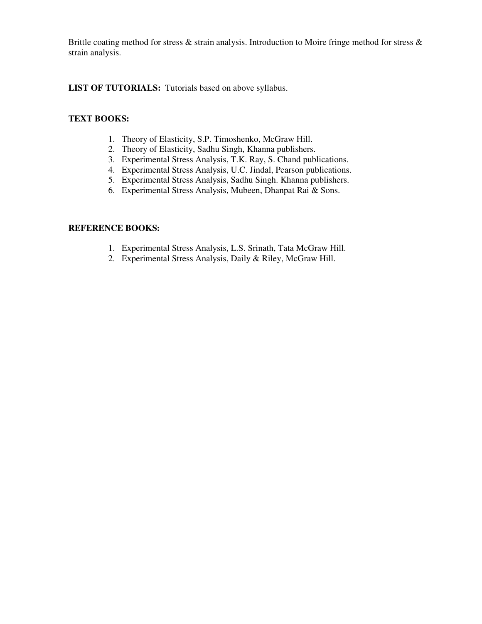Brittle coating method for stress & strain analysis. Introduction to Moire fringe method for stress & strain analysis.

**LIST OF TUTORIALS:** Tutorials based on above syllabus.

### **TEXT BOOKS:**

- 1. Theory of Elasticity, S.P. Timoshenko, McGraw Hill.
- 2. Theory of Elasticity, Sadhu Singh, Khanna publishers.
- 3. Experimental Stress Analysis, T.K. Ray, S. Chand publications.
- 4. Experimental Stress Analysis, U.C. Jindal, Pearson publications.
- 5. Experimental Stress Analysis, Sadhu Singh. Khanna publishers.
- 6. Experimental Stress Analysis, Mubeen, Dhanpat Rai & Sons.

- 1. Experimental Stress Analysis, L.S. Srinath, Tata McGraw Hill.
- 2. Experimental Stress Analysis, Daily & Riley, McGraw Hill.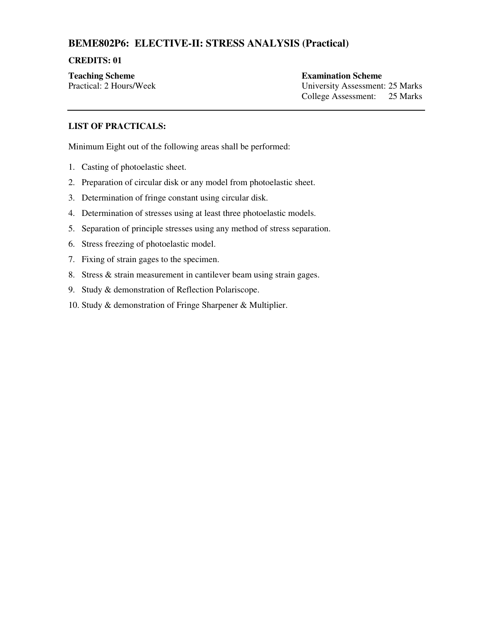## **BEME802P6: ELECTIVE-II: STRESS ANALYSIS (Practical)**

#### **CREDITS: 01**

**Teaching Scheme Examination Scheme Examination Scheme** 

Practical: 2 Hours/Week University Assessment: 25 Marks College Assessment: 25 Marks

### **LIST OF PRACTICALS:**

Minimum Eight out of the following areas shall be performed:

- 1. Casting of photoelastic sheet.
- 2. Preparation of circular disk or any model from photoelastic sheet.
- 3. Determination of fringe constant using circular disk.
- 4. Determination of stresses using at least three photoelastic models.
- 5. Separation of principle stresses using any method of stress separation.
- 6. Stress freezing of photoelastic model.
- 7. Fixing of strain gages to the specimen.
- 8. Stress & strain measurement in cantilever beam using strain gages.
- 9. Study & demonstration of Reflection Polariscope.
- 10. Study & demonstration of Fringe Sharpener & Multiplier.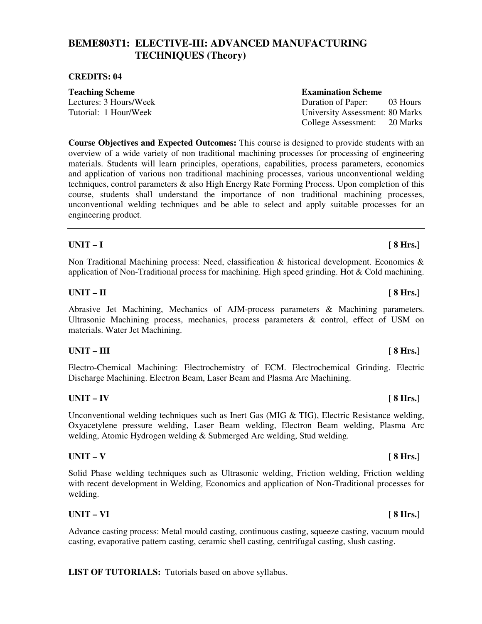## **BEME803T1: ELECTIVE-III: ADVANCED MANUFACTURING TECHNIQUES (Theory)**

#### **CREDITS: 04**

**Teaching Scheme Examination Scheme Examination Scheme** 

Lectures: 3 Hours/Week Duration of Paper: 03 Hours Tutorial: 1 Hour/Week University Assessment: 80 Marks College Assessment: 20 Marks

**Course Objectives and Expected Outcomes:** This course is designed to provide students with an overview of a wide variety of non traditional machining processes for processing of engineering materials. Students will learn principles, operations, capabilities, process parameters, economics and application of various non traditional machining processes, various unconventional welding techniques, control parameters & also High Energy Rate Forming Process. Upon completion of this course, students shall understand the importance of non traditional machining processes, unconventional welding techniques and be able to select and apply suitable processes for an engineering product.

### **UNIT – I [ 8 Hrs.]**

Non Traditional Machining process: Need, classification & historical development. Economics & application of Non-Traditional process for machining. High speed grinding. Hot & Cold machining.

### **UNIT – II [ 8 Hrs.]**

Abrasive Jet Machining, Mechanics of AJM-process parameters & Machining parameters. Ultrasonic Machining process, mechanics, process parameters & control, effect of USM on materials. Water Jet Machining.

### UNIT – III [ 8 Hrs.]

Electro-Chemical Machining: Electrochemistry of ECM. Electrochemical Grinding. Electric Discharge Machining. Electron Beam, Laser Beam and Plasma Arc Machining.

### **UNIT – IV [ 8 Hrs.]**

Unconventional welding techniques such as Inert Gas (MIG  $\&$  TIG), Electric Resistance welding, Oxyacetylene pressure welding, Laser Beam welding, Electron Beam welding, Plasma Arc welding, Atomic Hydrogen welding & Submerged Arc welding, Stud welding.

#### **UNIT – V [ 8 Hrs.]**

Solid Phase welding techniques such as Ultrasonic welding, Friction welding, Friction welding with recent development in Welding, Economics and application of Non-Traditional processes for welding.

#### **UNIT – VI [ 8 Hrs.]**

Advance casting process: Metal mould casting, continuous casting, squeeze casting, vacuum mould casting, evaporative pattern casting, ceramic shell casting, centrifugal casting, slush casting.

**LIST OF TUTORIALS:** Tutorials based on above syllabus.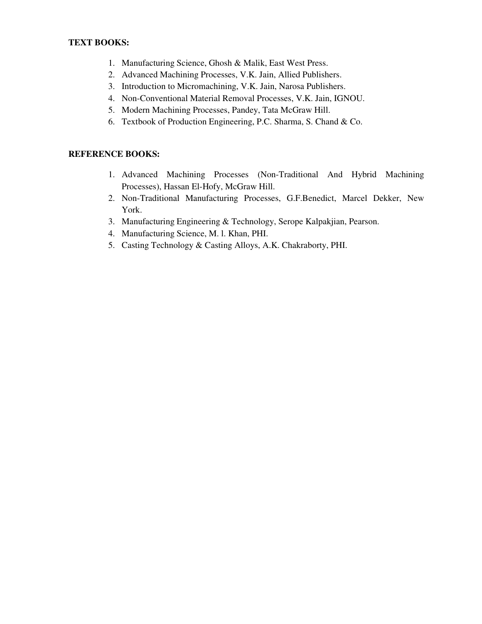#### **TEXT BOOKS:**

- 1. Manufacturing Science, Ghosh & Malik, East West Press.
- 2. Advanced Machining Processes, V.K. Jain, Allied Publishers.
- 3. Introduction to Micromachining, V.K. Jain, Narosa Publishers.
- 4. Non-Conventional Material Removal Processes, V.K. Jain, IGNOU.
- 5. Modern Machining Processes, Pandey, Tata McGraw Hill.
- 6. Textbook of Production Engineering, P.C. Sharma, S. Chand & Co.

- 1. Advanced Machining Processes (Non-Traditional And Hybrid Machining Processes), Hassan El-Hofy, McGraw Hill.
- 2. Non-Traditional Manufacturing Processes, G.F.Benedict, Marcel Dekker, New York.
- 3. Manufacturing Engineering & Technology, Serope Kalpakjian, Pearson.
- 4. Manufacturing Science, M. l. Khan, PHI.
- 5. Casting Technology & Casting Alloys, A.K. Chakraborty, PHI.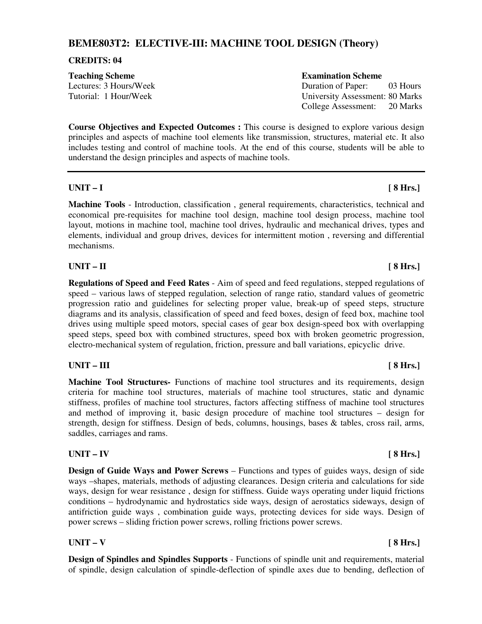## **BEME803T2: ELECTIVE-III: MACHINE TOOL DESIGN (Theory)**

#### **CREDITS: 04**

**Teaching Scheme Examination Scheme Examination Scheme** 

Lectures: 3 Hours/Week Duration of Paper: 03 Hours Tutorial: 1 Hour/Week University Assessment: 80 Marks College Assessment: 20 Marks

**Course Objectives and Expected Outcomes :** This course is designed to explore various design principles and aspects of machine tool elements like transmission, structures, material etc. It also includes testing and control of machine tools. At the end of this course, students will be able to understand the design principles and aspects of machine tools.

#### **UNIT – I [ 8 Hrs.]**

**Machine Tools** - Introduction, classification , general requirements, characteristics, technical and economical pre-requisites for machine tool design, machine tool design process, machine tool layout, motions in machine tool, machine tool drives, hydraulic and mechanical drives, types and elements, individual and group drives, devices for intermittent motion , reversing and differential mechanisms.

### **UNIT – II [ 8 Hrs.]**

**Regulations of Speed and Feed Rates** - Aim of speed and feed regulations, stepped regulations of speed – various laws of stepped regulation, selection of range ratio, standard values of geometric progression ratio and guidelines for selecting proper value, break-up of speed steps, structure diagrams and its analysis, classification of speed and feed boxes, design of feed box, machine tool drives using multiple speed motors, special cases of gear box design-speed box with overlapping speed steps, speed box with combined structures, speed box with broken geometric progression, electro-mechanical system of regulation, friction, pressure and ball variations, epicyclic drive.

### UNIT – III [ 8 Hrs.]

**Machine Tool Structures-** Functions of machine tool structures and its requirements, design criteria for machine tool structures, materials of machine tool structures, static and dynamic stiffness, profiles of machine tool structures, factors affecting stiffness of machine tool structures and method of improving it, basic design procedure of machine tool structures – design for strength, design for stiffness. Design of beds, columns, housings, bases & tables, cross rail, arms, saddles, carriages and rams.

### **UNIT – IV [ 8 Hrs.]**

**Design of Guide Ways and Power Screws** – Functions and types of guides ways, design of side ways –shapes, materials, methods of adjusting clearances. Design criteria and calculations for side ways, design for wear resistance , design for stiffness. Guide ways operating under liquid frictions conditions – hydrodynamic and hydrostatics side ways, design of aerostatics sideways, design of antifriction guide ways , combination guide ways, protecting devices for side ways. Design of power screws – sliding friction power screws, rolling frictions power screws.

### **UNIT – V [ 8 Hrs.]**

**Design of Spindles and Spindles Supports** - Functions of spindle unit and requirements, material of spindle, design calculation of spindle-deflection of spindle axes due to bending, deflection of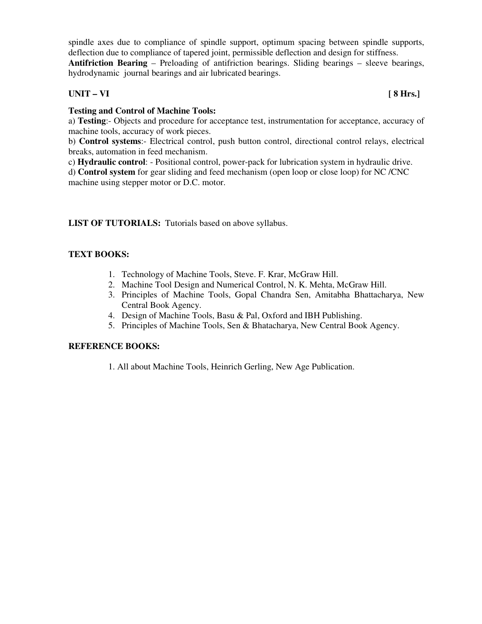spindle axes due to compliance of spindle support, optimum spacing between spindle supports, deflection due to compliance of tapered joint, permissible deflection and design for stiffness.

**Antifriction Bearing** – Preloading of antifriction bearings. Sliding bearings – sleeve bearings, hydrodynamic journal bearings and air lubricated bearings.

### **UNIT – VI [ 8 Hrs.]**

### **Testing and Control of Machine Tools:**

a) **Testing**:- Objects and procedure for acceptance test, instrumentation for acceptance, accuracy of machine tools, accuracy of work pieces.

b) **Control systems**:- Electrical control, push button control, directional control relays, electrical breaks, automation in feed mechanism.

c) **Hydraulic control**: - Positional control, power-pack for lubrication system in hydraulic drive.

d) **Control system** for gear sliding and feed mechanism (open loop or close loop) for NC /CNC machine using stepper motor or D.C. motor.

### LIST OF TUTORIALS: Tutorials based on above syllabus.

### **TEXT BOOKS:**

- 1. Technology of Machine Tools, Steve. F. Krar, McGraw Hill.
- 2. Machine Tool Design and Numerical Control, N. K. Mehta, McGraw Hill.
- 3. Principles of Machine Tools, Gopal Chandra Sen, Amitabha Bhattacharya, New Central Book Agency.
- 4. Design of Machine Tools, Basu & Pal, Oxford and IBH Publishing.
- 5. Principles of Machine Tools, Sen & Bhatacharya, New Central Book Agency.

#### **REFERENCE BOOKS:**

1. All about Machine Tools, Heinrich Gerling, New Age Publication.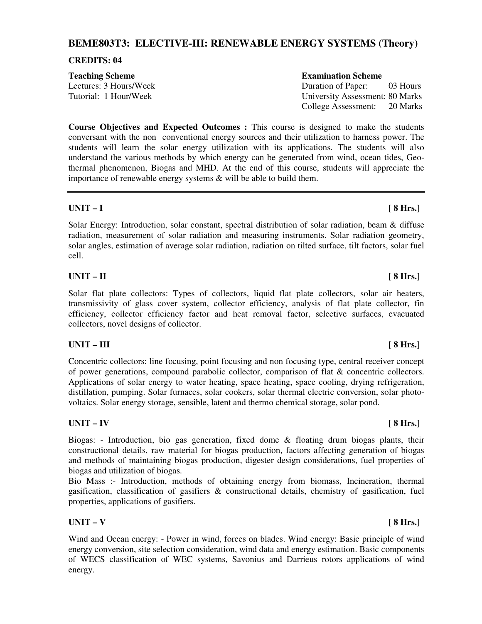## **BEME803T3: ELECTIVE-III: RENEWABLE ENERGY SYSTEMS (Theory)**

#### **CREDITS: 04**

## **Teaching Scheme Examination Scheme Examination Scheme**

Lectures: 3 Hours/Week Duration of Paper: 03 Hours Tutorial: 1 Hour/Week University Assessment: 80 Marks

**Course Objectives and Expected Outcomes :** This course is designed to make the students conversant with the non conventional energy sources and their utilization to harness power. The students will learn the solar energy utilization with its applications. The students will also understand the various methods by which energy can be generated from wind, ocean tides, Geothermal phenomenon, Biogas and MHD. At the end of this course, students will appreciate the importance of renewable energy systems & will be able to build them.

### **UNIT – I [ 8 Hrs.]**

Solar Energy: Introduction, solar constant, spectral distribution of solar radiation, beam & diffuse radiation, measurement of solar radiation and measuring instruments. Solar radiation geometry, solar angles, estimation of average solar radiation, radiation on tilted surface, tilt factors, solar fuel cell.

### **UNIT – II [ 8 Hrs.]**

Solar flat plate collectors: Types of collectors, liquid flat plate collectors, solar air heaters, transmissivity of glass cover system, collector efficiency, analysis of flat plate collector, fin efficiency, collector efficiency factor and heat removal factor, selective surfaces, evacuated collectors, novel designs of collector.

### UNIT – III [ 8 Hrs.]

Concentric collectors: line focusing, point focusing and non focusing type, central receiver concept of power generations, compound parabolic collector, comparison of flat & concentric collectors. Applications of solar energy to water heating, space heating, space cooling, drying refrigeration, distillation, pumping. Solar furnaces, solar cookers, solar thermal electric conversion, solar photovoltaics. Solar energy storage, sensible, latent and thermo chemical storage, solar pond.

### **UNIT – IV [ 8 Hrs.]**

Biogas: - Introduction, bio gas generation, fixed dome & floating drum biogas plants, their constructional details, raw material for biogas production, factors affecting generation of biogas and methods of maintaining biogas production, digester design considerations, fuel properties of biogas and utilization of biogas.

Bio Mass :- Introduction, methods of obtaining energy from biomass, Incineration, thermal gasification, classification of gasifiers & constructional details, chemistry of gasification, fuel properties, applications of gasifiers.

### **UNIT – V [ 8 Hrs.]**

Wind and Ocean energy: - Power in wind, forces on blades. Wind energy: Basic principle of wind energy conversion, site selection consideration, wind data and energy estimation. Basic components of WECS classification of WEC systems, Savonius and Darrieus rotors applications of wind energy.

College Assessment: 20 Marks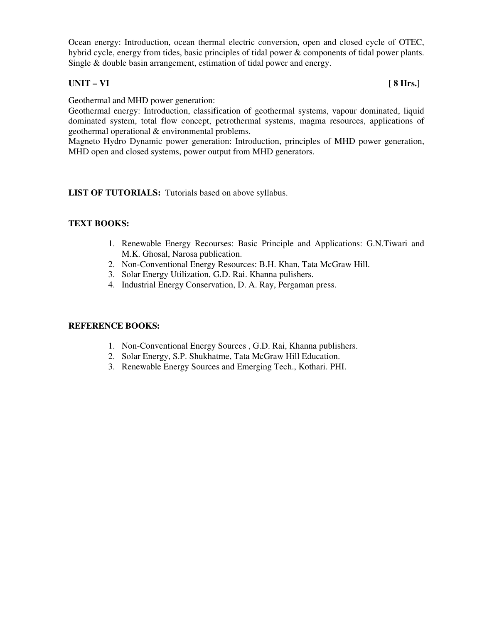Ocean energy: Introduction, ocean thermal electric conversion, open and closed cycle of OTEC, hybrid cycle, energy from tides, basic principles of tidal power & components of tidal power plants. Single & double basin arrangement, estimation of tidal power and energy.

## **UNIT – VI [ 8 Hrs.]**

Geothermal and MHD power generation:

Geothermal energy: Introduction, classification of geothermal systems, vapour dominated, liquid dominated system, total flow concept, petrothermal systems, magma resources, applications of geothermal operational & environmental problems.

Magneto Hydro Dynamic power generation: Introduction, principles of MHD power generation, MHD open and closed systems, power output from MHD generators.

LIST OF TUTORIALS: Tutorials based on above syllabus.

#### **TEXT BOOKS:**

- 1. Renewable Energy Recourses: Basic Principle and Applications: G.N.Tiwari and M.K. Ghosal, Narosa publication.
- 2. Non-Conventional Energy Resources: B.H. Khan, Tata McGraw Hill.
- 3. Solar Energy Utilization, G.D. Rai. Khanna pulishers.
- 4. Industrial Energy Conservation, D. A. Ray, Pergaman press.

- 1. Non-Conventional Energy Sources , G.D. Rai, Khanna publishers.
- 2. Solar Energy, S.P. Shukhatme, Tata McGraw Hill Education.
- 3. Renewable Energy Sources and Emerging Tech., Kothari. PHI.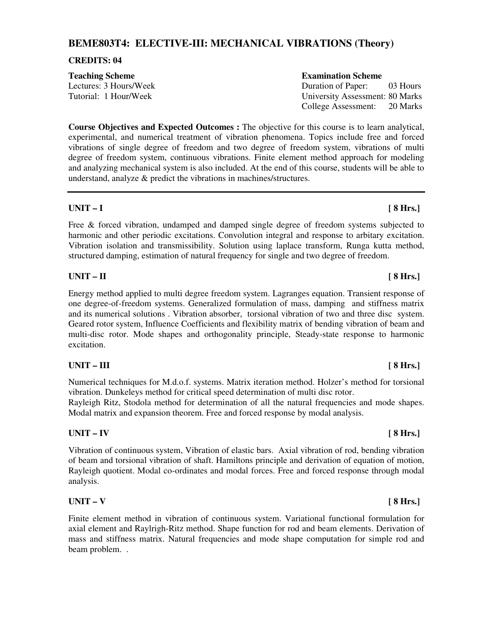## **BEME803T4: ELECTIVE-III: MECHANICAL VIBRATIONS (Theory)**

#### **CREDITS: 04**

**Teaching Scheme Examination Scheme Examination Scheme** 

Lectures: 3 Hours/Week Duration of Paper: 03 Hours Tutorial: 1 Hour/Week University Assessment: 80 Marks College Assessment: 20 Marks

**Course Objectives and Expected Outcomes :** The objective for this course is to learn analytical, experimental, and numerical treatment of vibration phenomena. Topics include free and forced vibrations of single degree of freedom and two degree of freedom system, vibrations of multi degree of freedom system, continuous vibrations. Finite element method approach for modeling and analyzing mechanical system is also included. At the end of this course, students will be able to understand, analyze & predict the vibrations in machines/structures.

### **UNIT – I [ 8 Hrs.]**

Free & forced vibration, undamped and damped single degree of freedom systems subjected to harmonic and other periodic excitations. Convolution integral and response to arbitary excitation. Vibration isolation and transmissibility. Solution using laplace transform, Runga kutta method, structured damping, estimation of natural frequency for single and two degree of freedom.

### **UNIT – II [ 8 Hrs.]**

Energy method applied to multi degree freedom system. Lagranges equation. Transient response of one degree-of-freedom systems. Generalized formulation of mass, damping and stiffness matrix and its numerical solutions . Vibration absorber, torsional vibration of two and three disc system. Geared rotor system, Influence Coefficients and flexibility matrix of bending vibration of beam and multi-disc rotor. Mode shapes and orthogonality principle, Steady-state response to harmonic excitation.

## UNIT – III [ 8 Hrs.]

Numerical techniques for M.d.o.f. systems. Matrix iteration method. Holzer's method for torsional vibration. Dunkeleys method for critical speed determination of multi disc rotor.

Rayleigh Ritz, Stodola method for determination of all the natural frequencies and mode shapes. Modal matrix and expansion theorem. Free and forced response by modal analysis.

### **UNIT – IV [ 8 Hrs.]**

Vibration of continuous system, Vibration of elastic bars. Axial vibration of rod, bending vibration of beam and torsional vibration of shaft. Hamiltons principle and derivation of equation of motion, Rayleigh quotient. Modal co-ordinates and modal forces. Free and forced response through modal analysis.

### **UNIT – V [ 8 Hrs.]**

Finite element method in vibration of continuous system. Variational functional formulation for axial element and Raylrigh-Ritz method. Shape function for rod and beam elements. Derivation of mass and stiffness matrix. Natural frequencies and mode shape computation for simple rod and beam problem. .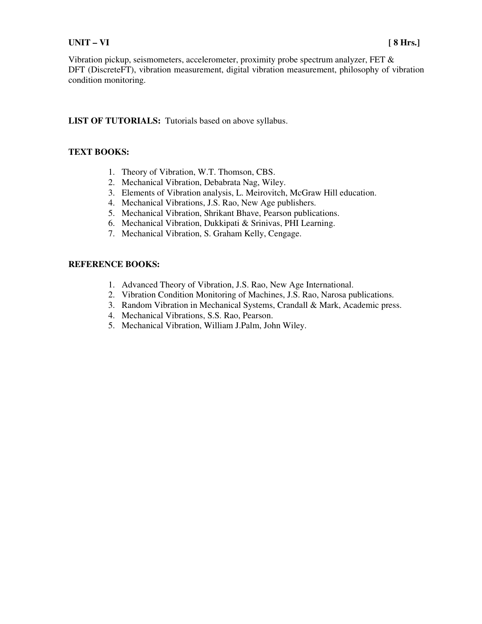#### **UNIT – VI [ 8 Hrs.]**

Vibration pickup, seismometers, accelerometer, proximity probe spectrum analyzer, FET & DFT (DiscreteFT), vibration measurement, digital vibration measurement, philosophy of vibration condition monitoring.

**LIST OF TUTORIALS:** Tutorials based on above syllabus.

#### **TEXT BOOKS:**

- 1. Theory of Vibration, W.T. Thomson, CBS.
- 2. Mechanical Vibration, Debabrata Nag, Wiley.
- 3. Elements of Vibration analysis, L. Meirovitch, McGraw Hill education.
- 4. Mechanical Vibrations, J.S. Rao, New Age publishers.
- 5. Mechanical Vibration, Shrikant Bhave, Pearson publications.
- 6. Mechanical Vibration, Dukkipati & Srinivas, PHI Learning.
- 7. Mechanical Vibration, S. Graham Kelly, Cengage.

- 1. Advanced Theory of Vibration, J.S. Rao, New Age International.
- 2. Vibration Condition Monitoring of Machines, J.S. Rao, Narosa publications.
- 3. Random Vibration in Mechanical Systems, Crandall & Mark, Academic press.
- 4. Mechanical Vibrations, S.S. Rao, Pearson.
- 5. Mechanical Vibration, William J.Palm, John Wiley.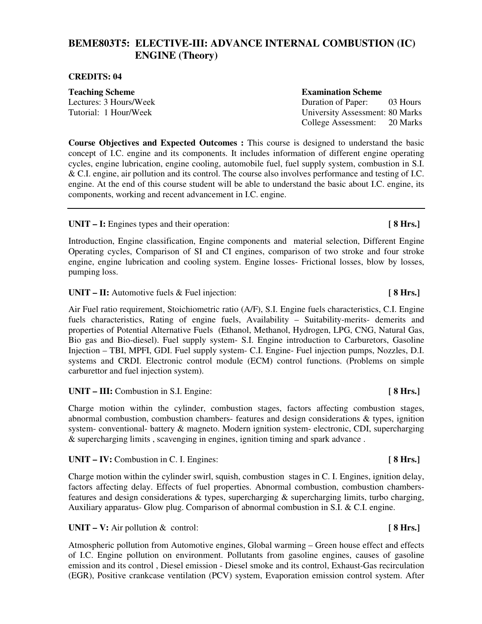## **BEME803T5: ELECTIVE-III: ADVANCE INTERNAL COMBUSTION (IC) ENGINE (Theory)**

#### **CREDITS: 04**

**Teaching Scheme Examination Scheme Examination Scheme** 

Lectures: 3 Hours/Week Duration of Paper: 03 Hours Tutorial: 1 Hour/Week University Assessment: 80 Marks College Assessment: 20 Marks

**Course Objectives and Expected Outcomes :** This course is designed to understand the basic concept of I.C. engine and its components. It includes information of different engine operating cycles, engine lubrication, engine cooling, automobile fuel, fuel supply system, combustion in S.I. & C.I. engine, air pollution and its control. The course also involves performance and testing of I.C. engine. At the end of this course student will be able to understand the basic about I.C. engine, its components, working and recent advancement in I.C. engine.

UNIT – I: Engines types and their operation: [ 8 Hrs.]

Introduction, Engine classification, Engine components and material selection, Different Engine Operating cycles, Comparison of SI and CI engines, comparison of two stroke and four stroke engine, engine lubrication and cooling system. Engine losses- Frictional losses, blow by losses, pumping loss.

UNIT – II: Automotive fuels & Fuel injection: **[ 8 Hrs.]** 

Air Fuel ratio requirement, Stoichiometric ratio (A/F), S.I. Engine fuels characteristics, C.I. Engine fuels characteristics, Rating of engine fuels, Availability – Suitability-merits- demerits and properties of Potential Alternative Fuels (Ethanol, Methanol, Hydrogen, LPG, CNG, Natural Gas, Bio gas and Bio-diesel). Fuel supply system- S.I. Engine introduction to Carburetors, Gasoline Injection – TBI, MPFI, GDI. Fuel supply system- C.I. Engine- Fuel injection pumps, Nozzles, D.I. systems and CRDI. Electronic control module (ECM) control functions. (Problems on simple carburettor and fuel injection system).

UNIT – III: Combustion in S.I. Engine: **[** 8 Hrs.]

Charge motion within the cylinder, combustion stages, factors affecting combustion stages, abnormal combustion, combustion chambers- features and design considerations & types, ignition system- conventional- battery & magneto. Modern ignition system- electronic, CDI, supercharging & supercharging limits , scavenging in engines, ignition timing and spark advance .

**UNIT – IV:** Combustion in C. I. Engines: **[ 8 Hrs.]** 

Charge motion within the cylinder swirl, squish, combustion stages in C. I. Engines, ignition delay, factors affecting delay. Effects of fuel properties. Abnormal combustion, combustion chambersfeatures and design considerations & types, supercharging & supercharging limits, turbo charging, Auxiliary apparatus- Glow plug. Comparison of abnormal combustion in S.I. & C.I. engine.

UNIT – V: Air pollution & control: **[ 8 Hrs.] [ 8 Hrs.]** 

Atmospheric pollution from Automotive engines, Global warming – Green house effect and effects of I.C. Engine pollution on environment. Pollutants from gasoline engines, causes of gasoline emission and its control , Diesel emission - Diesel smoke and its control, Exhaust-Gas recirculation (EGR), Positive crankcase ventilation (PCV) system, Evaporation emission control system. After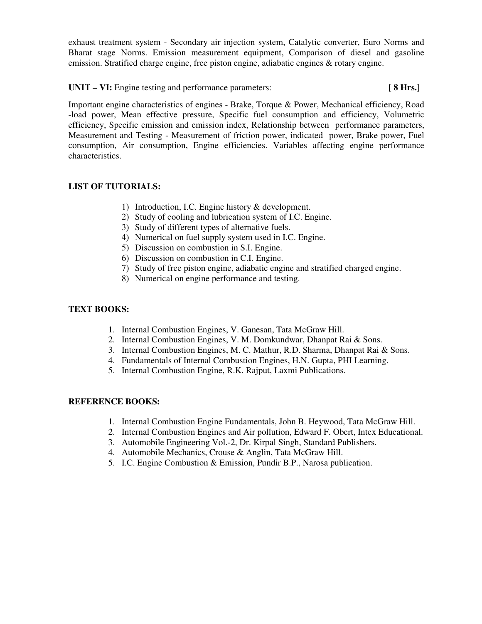exhaust treatment system - Secondary air injection system, Catalytic converter, Euro Norms and Bharat stage Norms. Emission measurement equipment, Comparison of diesel and gasoline emission. Stratified charge engine, free piston engine, adiabatic engines & rotary engine.

UNIT – VI: Engine testing and performance parameters: **[ 8 Hrs.]** 

Important engine characteristics of engines - Brake, Torque & Power, Mechanical efficiency, Road -load power, Mean effective pressure, Specific fuel consumption and efficiency, Volumetric efficiency, Specific emission and emission index, Relationship between performance parameters, Measurement and Testing - Measurement of friction power, indicated power, Brake power, Fuel consumption, Air consumption, Engine efficiencies. Variables affecting engine performance characteristics.

### **LIST OF TUTORIALS:**

- 1) Introduction, I.C. Engine history & development.
- 2) Study of cooling and lubrication system of I.C. Engine.
- 3) Study of different types of alternative fuels.
- 4) Numerical on fuel supply system used in I.C. Engine.
- 5) Discussion on combustion in S.I. Engine.
- 6) Discussion on combustion in C.I. Engine.
- 7) Study of free piston engine, adiabatic engine and stratified charged engine.
- 8) Numerical on engine performance and testing.

#### **TEXT BOOKS:**

- 1. Internal Combustion Engines, V. Ganesan, Tata McGraw Hill.
- 2. Internal Combustion Engines, V. M. Domkundwar, Dhanpat Rai & Sons.
- 3. Internal Combustion Engines, M. C. Mathur, R.D. Sharma, Dhanpat Rai & Sons.
- 4. Fundamentals of Internal Combustion Engines, H.N. Gupta, PHI Learning.
- 5. Internal Combustion Engine, R.K. Rajput, Laxmi Publications.

- 1. Internal Combustion Engine Fundamentals, John B. Heywood, Tata McGraw Hill.
- 2. Internal Combustion Engines and Air pollution, Edward F. Obert, Intex Educational.
- 3. Automobile Engineering Vol.-2, Dr. Kirpal Singh, Standard Publishers.
- 4. Automobile Mechanics, Crouse & Anglin, Tata McGraw Hill.
- 5. I.C. Engine Combustion & Emission, Pundir B.P., Narosa publication.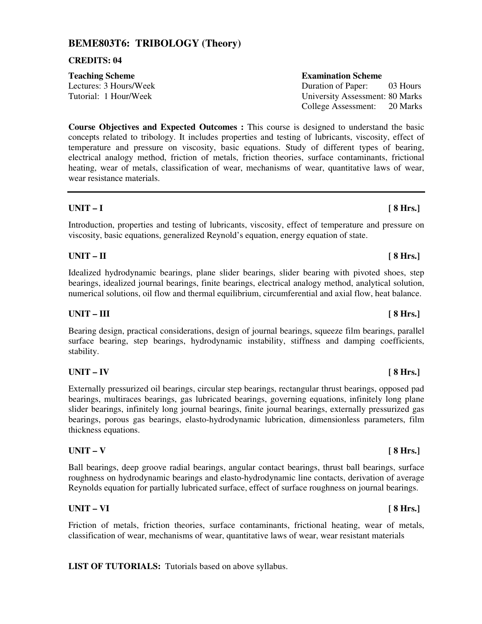## **BEME803T6: TRIBOLOGY (Theory)**

#### **CREDITS: 04**

**Course Objectives and Expected Outcomes :** This course is designed to understand the basic concepts related to tribology. It includes properties and testing of lubricants, viscosity, effect of temperature and pressure on viscosity, basic equations. Study of different types of bearing, electrical analogy method, friction of metals, friction theories, surface contaminants, frictional heating, wear of metals, classification of wear, mechanisms of wear, quantitative laws of wear, wear resistance materials.

### **UNIT – I [ 8 Hrs.]**

### Introduction, properties and testing of lubricants, viscosity, effect of temperature and pressure on viscosity, basic equations, generalized Reynold's equation, energy equation of state.

### **UNIT – II [ 8 Hrs.]**

Idealized hydrodynamic bearings, plane slider bearings, slider bearing with pivoted shoes, step bearings, idealized journal bearings, finite bearings, electrical analogy method, analytical solution, numerical solutions, oil flow and thermal equilibrium, circumferential and axial flow, heat balance.

## UNIT – III [ 8 Hrs.]

Bearing design, practical considerations, design of journal bearings, squeeze film bearings, parallel surface bearing, step bearings, hydrodynamic instability, stiffness and damping coefficients, stability.

## **UNIT – IV [ 8 Hrs.]**

### Externally pressurized oil bearings, circular step bearings, rectangular thrust bearings, opposed pad bearings, multiraces bearings, gas lubricated bearings, governing equations, infinitely long plane slider bearings, infinitely long journal bearings, finite journal bearings, externally pressurized gas bearings, porous gas bearings, elasto-hydrodynamic lubrication, dimensionless parameters, film thickness equations.

## **UNIT – V [ 8 Hrs.]**

### Ball bearings, deep groove radial bearings, angular contact bearings, thrust ball bearings, surface roughness on hydrodynamic bearings and elasto-hydrodynamic line contacts, derivation of average Reynolds equation for partially lubricated surface, effect of surface roughness on journal bearings.

## **UNIT – VI [ 8 Hrs.]**

Friction of metals, friction theories, surface contaminants, frictional heating, wear of metals, classification of wear, mechanisms of wear, quantitative laws of wear, wear resistant materials

**LIST OF TUTORIALS:** Tutorials based on above syllabus.

## **Teaching Scheme Examination Scheme Examination Scheme**

Lectures: 3 Hours/Week Duration of Paper: 03 Hours Tutorial: 1 Hour/Week University Assessment: 80 Marks College Assessment: 20 Marks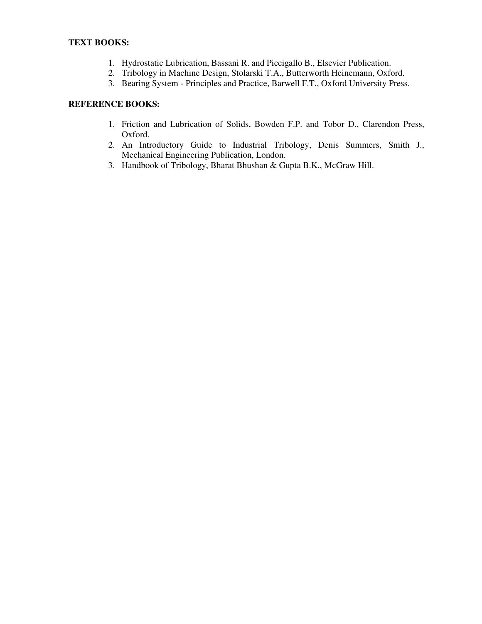- 1. Hydrostatic Lubrication, Bassani R. and Piccigallo B., Elsevier Publication.
- 2. Tribology in Machine Design, Stolarski T.A., Butterworth Heinemann, Oxford.
- 3. Bearing System Principles and Practice, Barwell F.T., Oxford University Press.

- 1. Friction and Lubrication of Solids, Bowden F.P. and Tobor D., Clarendon Press, Oxford.
- 2. An Introductory Guide to Industrial Tribology, Denis Summers, Smith J., Mechanical Engineering Publication, London.
- 3. Handbook of Tribology, Bharat Bhushan & Gupta B.K., McGraw Hill.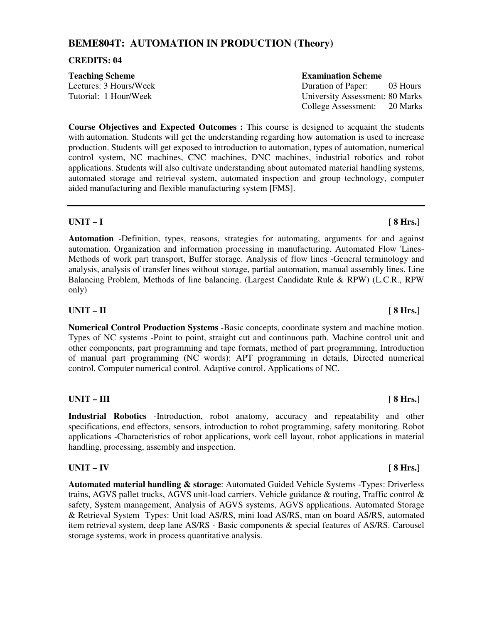## **BEME804T: AUTOMATION IN PRODUCTION (Theory)**

#### **CREDITS: 04**

| <b>Teaching Scheme</b> | <b>Examination Scheme</b>       |          |
|------------------------|---------------------------------|----------|
| Lectures: 3 Hours/Week | Duration of Paper:              | 03 Hours |
| Tutorial: 1 Hour/Week  | University Assessment: 80 Marks |          |
|                        | College Assessment:             | 20 Marks |

**Course Objectives and Expected Outcomes :** This course is designed to acquaint the students with automation. Students will get the understanding regarding how automation is used to increase production. Students will get exposed to introduction to automation, types of automation, numerical control system, NC machines, CNC machines, DNC machines, industrial robotics and robot applications. Students will also cultivate understanding about automated material handling systems, automated storage and retrieval system, automated inspection and group technology, computer aided manufacturing and flexible manufacturing system [FMS].

### **UNIT – I [ 8 Hrs.]**

**Automation** -Definition, types, reasons, strategies for automating, arguments for and against automation. Organization and information processing in manufacturing. Automated Flow 'Lines-Methods of work part transport, Buffer storage. Analysis of flow lines -General terminology and analysis, analysis of transfer lines without storage, partial automation, manual assembly lines. Line Balancing Problem, Methods of line balancing. (Largest Candidate Rule & RPW) (L.C.R., RPW only)

### **UNIT – II [ 8 Hrs.]**

**Numerical Control Production Systems** -Basic concepts, coordinate system and machine motion. Types of NC systems -Point to point, straight cut and continuous path. Machine control unit and other components, part programming and tape formats, method of part programming, Introduction of manual part programming (NC words): APT programming in details, Directed numerical control. Computer numerical control. Adaptive control. Applications of NC.

#### **UNIT – III** [ 8 Hrs.]

**Industrial Robotics** -Introduction, robot anatomy, accuracy and repeatability and other specifications, end effectors, sensors, introduction to robot programming, safety monitoring. Robot applications -Characteristics of robot applications, work cell layout, robot applications in material handling, processing, assembly and inspection.

### **UNIT – IV [ 8 Hrs.]**

**Automated material handling & storage**: Automated Guided Vehicle Systems -Types: Driverless trains, AGVS pallet trucks, AGVS unit-load carriers. Vehicle guidance & routing, Traffic control & safety, System management, Analysis of AGVS systems, AGVS applications. Automated Storage & Retrieval System Types: Unit load AS/RS, mini load AS/RS, man on board AS/RS, automated item retrieval system, deep lane AS/RS - Basic components & special features of AS/RS. Carousel storage systems, work in process quantitative analysis.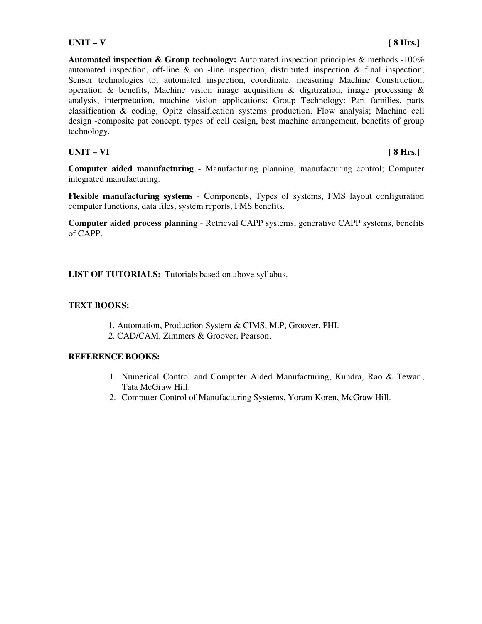**Automated inspection & Group technology:** Automated inspection principles & methods -100% automated inspection, off-line  $\&$  on -line inspection, distributed inspection  $\&$  final inspection; Sensor technologies to; automated inspection, coordinate. measuring Machine Construction, operation & benefits, Machine vision image acquisition & digitization, image processing & analysis, interpretation, machine vision applications; Group Technology: Part families, parts classification & coding, Opitz classification systems production. Flow analysis; Machine cell design -composite pat concept, types of cell design, best machine arrangement, benefits of group technology.

## **UNIT – VI [ 8 Hrs.]**

**Computer aided manufacturing** - Manufacturing planning, manufacturing control; Computer integrated manufacturing.

**Flexible manufacturing systems** - Components, Types of systems, FMS layout configuration computer functions, data files, system reports, FMS benefits.

**Computer aided process planning** - Retrieval CAPP systems, generative CAPP systems, benefits of CAPP.

**LIST OF TUTORIALS:** Tutorials based on above syllabus.

### **TEXT BOOKS:**

- 1. Automation, Production System & CIMS, M.P, Groover, PHI.
- 2. CAD/CAM, Zimmers & Groover, Pearson.

- 1. Numerical Control and Computer Aided Manufacturing, Kundra, Rao & Tewari, Tata McGraw Hill.
- 2. Computer Control of Manufacturing Systems, Yoram Koren, McGraw Hill.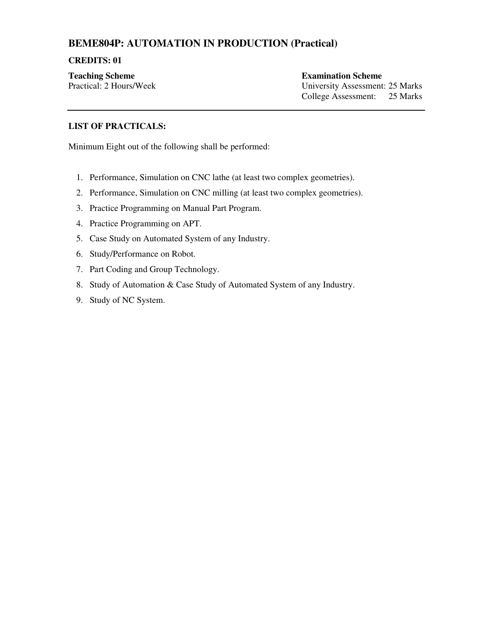## **BEME804P: AUTOMATION IN PRODUCTION (Practical)**

#### **CREDITS: 01**

**Teaching Scheme Examination Scheme** 

Practical: 2 Hours/Week University Assessment: 25 Marks College Assessment: 25 Marks

### **LIST OF PRACTICALS:**

Minimum Eight out of the following shall be performed:

- 1. Performance, Simulation on CNC lathe (at least two complex geometries).
- 2. Performance, Simulation on CNC milling (at least two complex geometries).
- 3. Practice Programming on Manual Part Program.
- 4. Practice Programming on APT.
- 5. Case Study on Automated System of any Industry.
- 6. Study/Performance on Robot.
- 7. Part Coding and Group Technology.
- 8. Study of Automation & Case Study of Automated System of any Industry.
- 9. Study of NC System.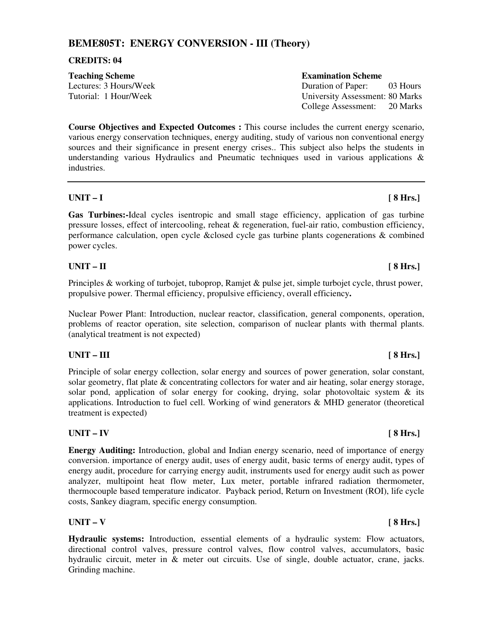## **BEME805T: ENERGY CONVERSION - III (Theory)**

#### **CREDITS: 04**

| <b>Teaching Scheme</b> | <b>Examination Scheme</b>                                                                                                                                                                                                                                                                                                      |
|------------------------|--------------------------------------------------------------------------------------------------------------------------------------------------------------------------------------------------------------------------------------------------------------------------------------------------------------------------------|
| Lectures: 3 Hours/Week | Duration of Paper:<br>03 Hours                                                                                                                                                                                                                                                                                                 |
| Tutorial: 1 Hour/Week  | University Assessment: 80 Marks                                                                                                                                                                                                                                                                                                |
|                        | $\bigcap_{i=1}^{n}$ $\bigcup_{i=1}^{n}$ $\bigcap_{i=1}^{n}$ $\bigcap_{i=1}^{n}$ $\bigcap_{i=1}^{n}$ $\bigcap_{i=1}^{n}$ $\bigcap_{i=1}^{n}$ $\bigcap_{i=1}^{n}$ $\bigcap_{i=1}^{n}$ $\bigcap_{i=1}^{n}$ $\bigcap_{i=1}^{n}$ $\bigcap_{i=1}^{n}$ $\bigcap_{i=1}^{n}$ $\bigcap_{i=1}^{n}$ $\bigcap_{i=1}^{n}$ $\bigcap_{i=1}^{n$ |

**Course Objectives and Expected Outcomes :** This course includes the current energy scenario, various energy conservation techniques, energy auditing, study of various non conventional energy sources and their significance in present energy crises.. This subject also helps the students in understanding various Hydraulics and Pneumatic techniques used in various applications & industries.

#### **UNIT – I [ 8 Hrs.]**

**Gas Turbines:-**Ideal cycles isentropic and small stage efficiency, application of gas turbine pressure losses, effect of intercooling, reheat & regeneration, fuel-air ratio, combustion efficiency, performance calculation, open cycle &closed cycle gas turbine plants cogenerations & combined power cycles.

### **UNIT – II [ 8 Hrs.]**

Principles & working of turbojet, tuboprop, Ramjet & pulse jet, simple turbojet cycle, thrust power, propulsive power. Thermal efficiency, propulsive efficiency, overall efficiency**.** 

Nuclear Power Plant: Introduction, nuclear reactor, classification, general components, operation, problems of reactor operation, site selection, comparison of nuclear plants with thermal plants. (analytical treatment is not expected)

### UNIT – III [ 8 Hrs.]

Principle of solar energy collection, solar energy and sources of power generation, solar constant, solar geometry, flat plate & concentrating collectors for water and air heating, solar energy storage, solar pond, application of solar energy for cooking, drying, solar photovoltaic system  $\&$  its applications. Introduction to fuel cell. Working of wind generators & MHD generator (theoretical treatment is expected)

### **UNIT – IV [ 8 Hrs.]**

**Energy Auditing:** Introduction, global and Indian energy scenario, need of importance of energy conversion. importance of energy audit, uses of energy audit, basic terms of energy audit, types of energy audit, procedure for carrying energy audit, instruments used for energy audit such as power analyzer, multipoint heat flow meter, Lux meter, portable infrared radiation thermometer, thermocouple based temperature indicator. Payback period, Return on Investment (ROI), life cycle costs, Sankey diagram, specific energy consumption.

### **UNIT – V [ 8 Hrs.]**

**Hydraulic systems:** Introduction, essential elements of a hydraulic system: Flow actuators, directional control valves, pressure control valves, flow control valves, accumulators, basic hydraulic circuit, meter in & meter out circuits. Use of single, double actuator, crane, jacks. Grinding machine.

College Assessment: 20 Marks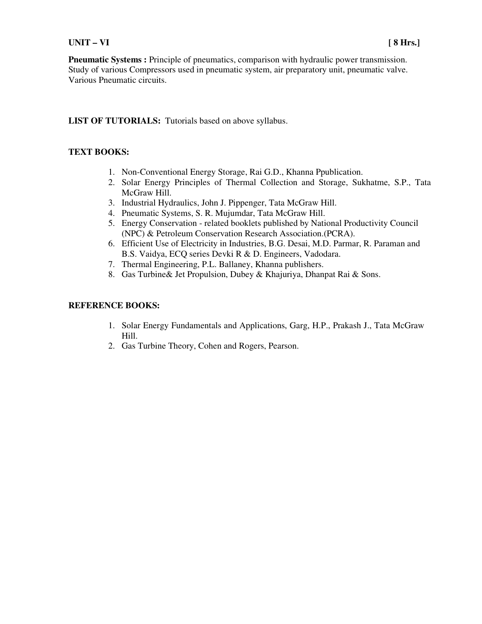#### **UNIT – VI [ 8 Hrs.]**

**Pneumatic Systems :** Principle of pneumatics, comparison with hydraulic power transmission. Study of various Compressors used in pneumatic system, air preparatory unit, pneumatic valve. Various Pneumatic circuits.

### LIST OF TUTORIALS: Tutorials based on above syllabus.

### **TEXT BOOKS:**

- 1. Non-Conventional Energy Storage, Rai G.D., Khanna Ppublication.
- 2. Solar Energy Principles of Thermal Collection and Storage, Sukhatme, S.P., Tata McGraw Hill.
- 3. Industrial Hydraulics, John J. Pippenger, Tata McGraw Hill.
- 4. Pneumatic Systems, S. R. Mujumdar, Tata McGraw Hill.
- 5. Energy Conservation related booklets published by National Productivity Council (NPC) & Petroleum Conservation Research Association.(PCRA).
- 6. Efficient Use of Electricity in Industries, B.G. Desai, M.D. Parmar, R. Paraman and B.S. Vaidya, ECQ series Devki R & D. Engineers, Vadodara.
- 7. Thermal Engineering, P.L. Ballaney, Khanna publishers.
- 8. Gas Turbine& Jet Propulsion, Dubey & Khajuriya, Dhanpat Rai & Sons.

- 1. Solar Energy Fundamentals and Applications, Garg, H.P., Prakash J., Tata McGraw Hill.
- 2. Gas Turbine Theory, Cohen and Rogers, Pearson.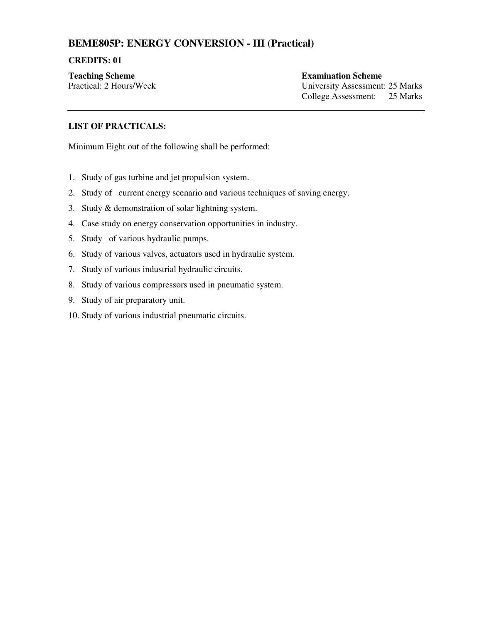## **BEME805P: ENERGY CONVERSION - III (Practical)**

#### **CREDITS: 01**

**Teaching Scheme Examination Scheme** 

Practical: 2 Hours/Week University Assessment: 25 Marks College Assessment: 25 Marks

### **LIST OF PRACTICALS:**

Minimum Eight out of the following shall be performed:

- 1. Study of gas turbine and jet propulsion system.
- 2. Study of current energy scenario and various techniques of saving energy.
- 3. Study & demonstration of solar lightning system.
- 4. Case study on energy conservation opportunities in industry.
- 5. Study of various hydraulic pumps.
- 6. Study of various valves, actuators used in hydraulic system.
- 7. Study of various industrial hydraulic circuits.
- 8. Study of various compressors used in pneumatic system.
- 9. Study of air preparatory unit.
- 10. Study of various industrial pneumatic circuits.